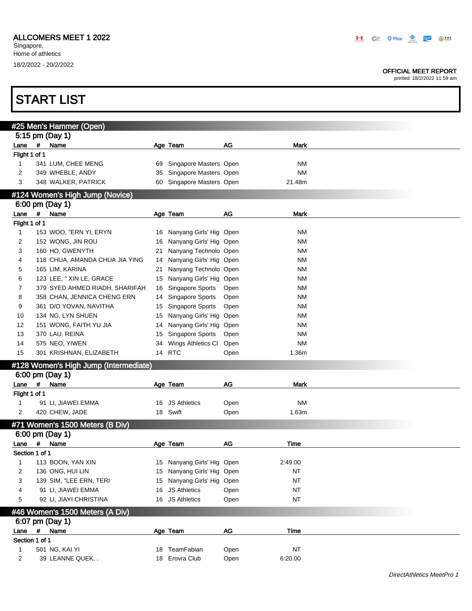#### OFFICIAL MEET REPORT

printed: 18/2/2022 11:59 am

|                         |             | #25 Men's Hammer (Open)               |    |                            |           |             |
|-------------------------|-------------|---------------------------------------|----|----------------------------|-----------|-------------|
|                         |             | 5:15 pm (Day 1)                       |    |                            |           |             |
| Lane                    | #           | Name                                  |    | Age Team                   | AG        | <b>Mark</b> |
| Flight 1 of 1           |             |                                       |    |                            |           |             |
| 1                       |             | 341 LUM, CHEE MENG                    | 69 | Singapore Masters Open     |           | NM          |
| 2                       |             | 349 WHEBLE, ANDY                      | 35 | Singapore Masters Open     |           | NM          |
| 3                       |             | 348 WALKER, PATRICK                   | 60 | Singapore Masters Open     |           | 21.48m      |
|                         |             | #124 Women's High Jump (Novice)       |    |                            |           |             |
|                         |             | 6:00 pm (Day 1)                       |    |                            |           |             |
| Lane #                  |             | Name                                  |    | Age Team                   | AG        | <b>Mark</b> |
| Flight 1 of 1           |             |                                       |    |                            |           |             |
| $\mathbf{1}$            |             | 153 WOO, "ERN YI, ERYN                |    | 16 Nanyang Girls' Hig Open |           | <b>NM</b>   |
| $\overline{\mathbf{c}}$ |             |                                       |    |                            |           | <b>NM</b>   |
|                         |             | 152 WONG, JIN ROU                     | 16 | Nanyang Girls' Hig Open    |           |             |
| 3                       |             | 160 HO, GWENYTH                       | 21 | Nanyang Technolo Open      |           | <b>NM</b>   |
| 4                       |             | 118 CHUA, AMANDA CHUA JIA YING        | 14 | Nanyang Girls' Hig Open    |           | <b>NM</b>   |
| 5                       |             | 165 LIM, KARINA                       | 21 | Nanyang Technolo Open      |           | <b>NM</b>   |
| 6                       |             | 123 LEE, " XIN LE, GRACE              | 15 | Nanyang Girls' Hig Open    |           | <b>NM</b>   |
| 7                       |             | 379 SYED AHMED RIADH, SHARIFAH        | 16 | Singapore Sports           | Open      | <b>NM</b>   |
| 8                       |             | 358 CHAN, JENNICA CHENG ERN           | 14 | Singapore Sports           | Open      | <b>NM</b>   |
| 9                       |             | 361 D/O YOVAN, NAVITHA                | 15 | Singapore Sports           | Open      | <b>NM</b>   |
| 10                      |             | 134 NG, LYN SHUEN                     | 15 | Nanyang Girls' Hig Open    |           | <b>NM</b>   |
| 12                      |             | 151 WONG, FAITH YU JIA                | 14 | Nanyang Girls' Hig Open    |           | <b>NM</b>   |
| 13                      |             | 370 LAU, REINA                        | 15 | Singapore Sports           | Open      | <b>NM</b>   |
| 14                      |             | 575 NEO, YIWEN                        | 34 | Wings Athletics CI         | Open      | <b>NM</b>   |
| 15                      |             | 301 KRISHNAN, ELIZABETH               | 14 | <b>RTC</b>                 | Open      | 1.36m       |
|                         |             | #128 Women's High Jump (Intermediate) |    |                            |           |             |
|                         |             | 6:00 pm (Day 1)                       |    |                            |           |             |
| Lane                    | $\#$        | Name                                  |    | Age Team                   | AG        | <b>Mark</b> |
| Flight 1 of 1           |             |                                       |    |                            |           |             |
| 1                       |             | 91 LI, JIAWEI EMMA                    |    | 16 JS Athletics            | Open      | <b>NM</b>   |
|                         |             |                                       |    |                            |           |             |
| 2                       |             | 420 CHEW, JADE                        |    | 18 Swift                   | Open      | 1.63m       |
|                         |             | #71 Women's 1500 Meters (B Div)       |    |                            |           |             |
|                         |             | 6:00 pm (Day 1)                       |    |                            |           |             |
| Lane #                  |             | Name                                  |    | Age Team                   | <b>AG</b> | Time        |
| Section 1 of 1          |             |                                       |    |                            |           |             |
| 1                       |             | 113 BOON, YAN XIN                     |    | 15 Nanyang Girls' Hig Open |           | 2:49.00     |
| 2                       |             | 136 ONG, HUI LIN                      |    | 15 Nanyang Girls' Hig Open |           | ΝT          |
| 3                       |             | 139 SIM, "LEE ERN, TERI               |    | 15 Nanyang Girls' Hig Open |           | <b>NT</b>   |
| 4                       |             | 91 LI, JIAWEI EMMA                    |    | 16 JS Athletics            | Open      | <b>NT</b>   |
| 5                       |             | 92 LI, JIAYI CHRISTINA                |    | 16 JS Athletics            | Open      | <b>NT</b>   |
|                         |             |                                       |    |                            |           |             |
|                         |             | #46 Women's 1500 Meters (A Div)       |    |                            |           |             |
|                         |             | 6:07 pm (Day 1)                       |    |                            |           |             |
| Lane                    | $\pmb{\mu}$ | Name                                  |    | Age Team                   | AG        | <b>Time</b> |
| Section 1 of 1          |             |                                       |    |                            |           |             |
| 1                       |             | 501 NG, KAI YI                        |    | 18 TeamFabian              | Open      | <b>NT</b>   |
|                         |             | 39 LEANNE QUEK, .                     |    | 18 Erovra Club             | Open      | 6:20.00     |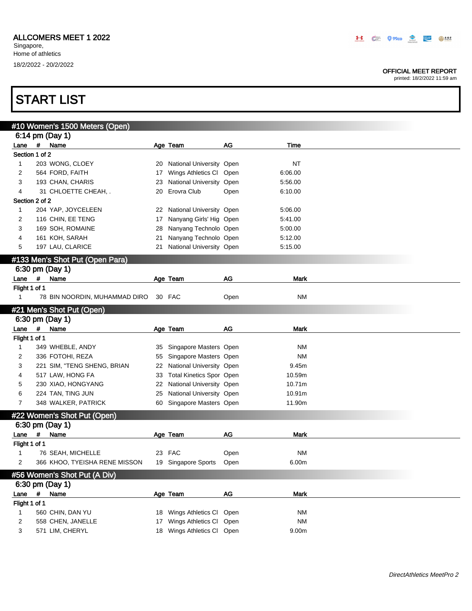#### OFFICIAL MEET REPORT

printed: 18/2/2022 11:59 am

|                |             | #10 Women's 1500 Meters (Open)  |    |                                 |      |             |
|----------------|-------------|---------------------------------|----|---------------------------------|------|-------------|
|                |             | 6:14 pm (Day 1)                 |    |                                 |      |             |
| Lane #         |             | Name                            |    | Age Team                        | AG   | Time        |
| Section 1 of 2 |             |                                 |    |                                 |      |             |
| $\mathbf{1}$   |             | 203 WONG, CLOEY                 |    | 20 National University Open     |      | <b>NT</b>   |
| 2              |             | 564 FORD, FAITH                 | 17 | Wings Athletics Cl Open         |      | 6:06.00     |
| 3              |             | 193 CHAN, CHARIS                | 23 | National University Open        |      | 5:56.00     |
| 4              |             | 31 CHLOETTE CHEAH, .            | 20 | Erovra Club                     | Open | 6:10.00     |
| Section 2 of 2 |             |                                 |    |                                 |      |             |
| $\mathbf{1}$   |             | 204 YAP, JOYCELEEN              | 22 | National University Open        |      | 5:06.00     |
| 2              |             | 116 CHIN, EE TENG               | 17 | Nanyang Girls' Hig Open         |      | 5:41.00     |
| 3              |             | 169 SOH, ROMAINE                | 28 | Nanyang Technolo Open           |      | 5:00.00     |
| 4              |             | 161 KOH, SARAH                  | 21 | Nanyang Technolo Open           |      | 5:12.00     |
| 5              |             | 197 LAU, CLARICE                |    | 21 National University Open     |      | 5:15.00     |
|                |             | #133 Men's Shot Put (Open Para) |    |                                 |      |             |
|                |             | 6:30 pm (Day 1)                 |    |                                 |      |             |
| Lane #         |             | Name                            |    |                                 | AG   | <b>Mark</b> |
| Flight 1 of 1  |             |                                 |    | Age Team                        |      |             |
| $\mathbf{1}$   |             | 78 BIN NOORDIN, MUHAMMAD DIRO   |    | 30 FAC                          | Open | <b>NM</b>   |
|                |             |                                 |    |                                 |      |             |
|                |             | #21 Men's Shot Put (Open)       |    |                                 |      |             |
|                |             | 6:30 pm (Day 1)                 |    |                                 |      |             |
| Lane           | $\#$        | Name                            |    | Age Team                        | AG   | Mark        |
| Flight 1 of 1  |             |                                 |    |                                 |      |             |
| 1              |             | 349 WHEBLE, ANDY                |    | 35 Singapore Masters Open       |      | NM          |
| 2              |             | 336 FOTOHI, REZA                | 55 | Singapore Masters Open          |      | NM          |
| 3              |             | 221 SIM, "TENG SHENG, BRIAN     |    | 22 National University Open     |      | 9.45m       |
| 4              |             | 517 LAW, HONG FA                | 33 | <b>Total Kinetics Spor Open</b> |      | 10.59m      |
| 5              |             | 230 XIAO, HONGYANG              |    | 22 National University Open     |      | 10.71m      |
| 6              |             | 224 TAN, TING JUN               | 25 | National University Open        |      | 10.91m      |
| 7              |             | 348 WALKER, PATRICK             |    | 60 Singapore Masters Open       |      | 11.90m      |
|                |             | #22 Women's Shot Put (Open)     |    |                                 |      |             |
|                |             | 6:30 pm (Day 1)                 |    |                                 |      |             |
| Lane           |             | # Name                          |    | Age Team                        | AG   | Mark        |
| Flight 1 of 1  |             |                                 |    |                                 |      |             |
| 1              |             | 76 SEAH, MICHELLE               |    | 23 FAC                          | Open | <b>NM</b>   |
| 2              |             | 366 KHOO, TYEISHA RENE MISSON   |    | 19 Singapore Sports             | Open | 6.00m       |
|                |             |                                 |    |                                 |      |             |
|                |             | #56 Women's Shot Put (A Div)    |    |                                 |      |             |
|                |             | 6:30 pm (Day 1)                 |    |                                 |      |             |
| Lane           | $\pmb{\mu}$ | Name                            |    | Age Team                        | AG   | <b>Mark</b> |
| Flight 1 of 1  |             |                                 |    |                                 |      |             |
| 1              |             | 560 CHIN, DAN YU                |    | 18 Wings Athletics Cl Open      |      | <b>NM</b>   |
| 2              |             | 558 CHEN, JANELLE               |    | 17 Wings Athletics Cl Open      |      | <b>NM</b>   |
| 3              |             | 571 LIM, CHERYL                 |    | 18 Wings Athletics Cl Open      |      | 9.00m       |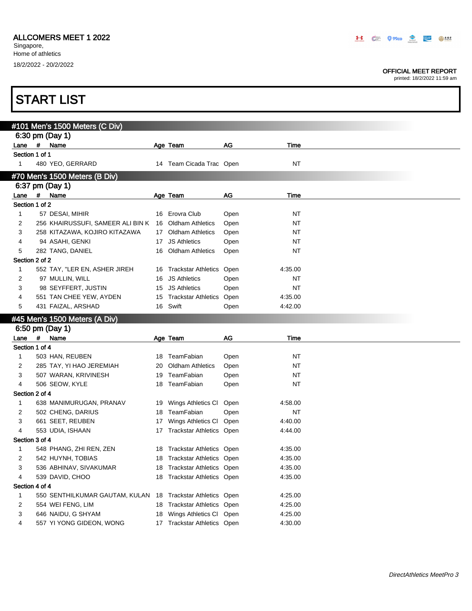#### OFFICIAL MEET REPORT

|                                |   | <b>START LIST</b>                                   |    |                                                                |              |                    |  |
|--------------------------------|---|-----------------------------------------------------|----|----------------------------------------------------------------|--------------|--------------------|--|
|                                |   |                                                     |    |                                                                |              |                    |  |
|                                |   | #101 Men's 1500 Meters (C Div)                      |    |                                                                |              |                    |  |
|                                |   | 6:30 pm (Day 1)                                     |    |                                                                |              |                    |  |
|                                |   | Lane # Name                                         |    | Age Team                                                       | AG           | Time               |  |
| Section 1 of 1<br>$\mathbf{1}$ |   | 480 YEO, GERRARD                                    |    | 14 Team Cicada Trac Open                                       |              | <b>NT</b>          |  |
|                                |   |                                                     |    |                                                                |              |                    |  |
|                                |   | #70 Men's 1500 Meters (B Div)<br>6:37 pm (Day 1)    |    |                                                                |              |                    |  |
|                                |   | Lane # Name                                         |    | Age Team                                                       | AG           | Time               |  |
| Section 1 of 2                 |   |                                                     |    |                                                                |              |                    |  |
| 1                              |   | 57 DESAI, MIHIR                                     |    | 16 Erovra Club                                                 | Open         | NT                 |  |
| 2                              |   | 256 KHAIRUSSUFI, SAMEER ALI BIN K                   |    | 16 Oldham Athletics                                            | Open         | <b>NT</b>          |  |
| 3                              |   | 258 KITAZAWA, KOJIRO KITAZAWA                       |    | 17 Oldham Athletics                                            | Open         | <b>NT</b>          |  |
| 4                              |   | 94 ASAHI, GENKI                                     |    | 17 JS Athletics                                                | Open         | NT                 |  |
| 5                              |   | 282 TANG, DANIEL                                    |    | 16 Oldham Athletics                                            | Open         | <b>NT</b>          |  |
| Section 2 of 2                 |   |                                                     |    |                                                                |              |                    |  |
| 1                              |   | 552 TAY, "LER EN, ASHER JIREH                       |    | 16 Trackstar Athletics Open                                    |              | 4:35.00            |  |
| 2                              |   | 97 MULLIN, WILL                                     | 16 | <b>JS Athletics</b>                                            | Open         | NT                 |  |
| 3                              |   | 98 SEYFFERT, JUSTIN                                 |    | 15 JS Athletics                                                | Open         | <b>NT</b>          |  |
| 4<br>5                         |   | 551 TAN CHEE YEW, AYDEN                             |    | 15 Trackstar Athletics<br>16 Swift                             | Open         | 4:35.00            |  |
|                                |   | 431 FAIZAL, ARSHAD                                  |    |                                                                | Open         | 4:42.00            |  |
|                                |   |                                                     |    |                                                                |              |                    |  |
|                                |   | #45 Men's 1500 Meters (A Div)                       |    |                                                                |              |                    |  |
|                                |   | 6:50 pm (Day 1)                                     |    |                                                                |              |                    |  |
| Lane                           | # | Name                                                |    | Age Team                                                       | AG           | Time               |  |
| Section 1 of 4<br>1            |   |                                                     |    | 18 TeamFabian                                                  |              | NT                 |  |
| 2                              |   | 503 HAN, REUBEN<br>285 TAY, YI HAO JEREMIAH         | 20 | <b>Oldham Athletics</b>                                        | Open<br>Open | NT                 |  |
| 3                              |   | 507 WARAN, KRIVINESH                                | 19 | TeamFabian                                                     | Open         | NT                 |  |
| 4                              |   | 506 SEOW, KYLE                                      |    | 18 TeamFabian                                                  | Open         | NT                 |  |
| Section 2 of 4                 |   |                                                     |    |                                                                |              |                    |  |
| 1                              |   | 638 MANIMURUGAN, PRANAV                             |    | 19 Wings Athletics CI                                          | Open         | 4:58.00            |  |
| 2                              |   | 502 CHENG, DARIUS                                   |    | 18 TeamFabian                                                  | Open         | NT                 |  |
| 3                              |   | 661 SEET, REUBEN                                    |    | 17 Wings Athletics Cl Open                                     |              | 4:40.00            |  |
| 4                              |   | 553 UDIA, ISHAAN                                    |    | 17 Trackstar Athletics Open                                    |              | 4:44.00            |  |
| Section 3 of 4                 |   |                                                     |    |                                                                |              |                    |  |
| 1                              |   | 548 PHANG, ZHI REN, ZEN                             |    | 18 Trackstar Athletics Open                                    |              | 4:35.00            |  |
| 2                              |   | 542 HUYNH, TOBIAS                                   | 18 | <b>Trackstar Athletics Open</b>                                |              | 4:35.00            |  |
| 3                              |   | 536 ABHINAV, SIVAKUMAR                              | 18 | Trackstar Athletics Open                                       |              | 4:35.00            |  |
| 4                              |   | 539 DAVID, CHOO                                     |    | 18 Trackstar Athletics Open                                    |              | 4:35.00            |  |
| Section 4 of 4<br>1            |   |                                                     |    |                                                                |              |                    |  |
| 2                              |   | 550 SENTHILKUMAR GAUTAM, KULAN<br>554 WEI FENG, LIM | 18 | 18 Trackstar Athletics Open<br><b>Trackstar Athletics Open</b> |              | 4:25.00<br>4:25.00 |  |
| 3                              |   | 646 NAIDU, G SHYAM                                  | 18 | Wings Athletics Cl Open                                        |              | 4:25.00            |  |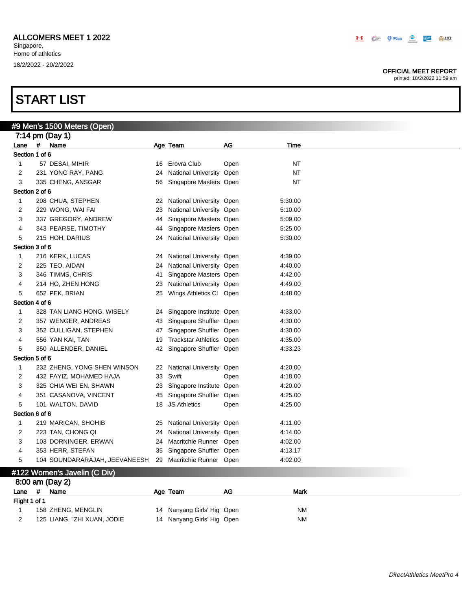#### OFFICIAL MEET REPORT

printed: 18/2/2022 11:59 am

### START LIST

|                    |   | #9 Men's 1500 Meters (Open)   |    |                             |      |           |  |
|--------------------|---|-------------------------------|----|-----------------------------|------|-----------|--|
|                    |   | 7:14 pm (Day 1)               |    |                             |      |           |  |
| Lane               | # | Name                          |    | Age Team                    | AG   | Time      |  |
| Section 1 of 6     |   |                               |    |                             |      |           |  |
| $\mathbf{1}$       |   | 57 DESAI, MIHIR               |    | 16 Erovra Club              | Open | <b>NT</b> |  |
| $\overline{2}$     |   | 231 YONG RAY, PANG            | 24 | National University Open    |      | <b>NT</b> |  |
| 3                  |   | 335 CHENG, ANSGAR             | 56 | Singapore Masters Open      |      | <b>NT</b> |  |
| Section 2 of 6     |   |                               |    |                             |      |           |  |
| $\mathbf{1}$       |   | 208 CHUA, STEPHEN             | 22 | National University Open    |      | 5:30.00   |  |
| $\overline{2}$     |   | 229 WONG, WAI FAI             | 23 | National University Open    |      | 5:10.00   |  |
| 3                  |   | 337 GREGORY, ANDREW           | 44 | Singapore Masters Open      |      | 5:09.00   |  |
| 4                  |   | 343 PEARSE, TIMOTHY           | 44 | Singapore Masters Open      |      | 5:25.00   |  |
| 5                  |   | 215 HOH, DARIUS               | 24 | National University Open    |      | 5:30.00   |  |
| Section 3 of 6     |   |                               |    |                             |      |           |  |
| $\mathbf{1}$       |   | 216 KERK, LUCAS               | 24 | National University Open    |      | 4:39.00   |  |
| $\overline{2}$     |   | 225 TEO, AIDAN                | 24 | National University Open    |      | 4:40.00   |  |
| 3                  |   | 346 TIMMS, CHRIS              | 41 | Singapore Masters Open      |      | 4:42.00   |  |
| 4                  |   | 214 HO, ZHEN HONG             | 23 | National University Open    |      | 4:49.00   |  |
| 5                  |   | 652 PEK, BRIAN                | 25 | Wings Athletics CI Open     |      | 4:48.00   |  |
| Section 4 of 6     |   |                               |    |                             |      |           |  |
| $\mathbf{1}$       |   | 328 TAN LIANG HONG, WISELY    |    | 24 Singapore Institute Open |      | 4:33.00   |  |
| 2                  |   | 357 WENGER, ANDREAS           |    | 43 Singapore Shuffler Open  |      | 4:30.00   |  |
| 3                  |   | 352 CULLIGAN, STEPHEN         | 47 | Singapore Shuffler Open     |      | 4:30.00   |  |
| 4                  |   | 556 YAN KAI, TAN              | 19 | Trackstar Athletics Open    |      | 4:35.00   |  |
| 5                  |   | 350 ALLENDER, DANIEL          |    | 42 Singapore Shuffler Open  |      | 4:33.23   |  |
| Section 5 of 6     |   |                               |    |                             |      |           |  |
| $\mathbf{1}$       |   | 232 ZHENG, YONG SHEN WINSON   |    | 22 National University Open |      | 4:20.00   |  |
| $\overline{2}$     |   | 432 FAYIZ, MOHAMED HAJA       | 33 | Swift                       | Open | 4:18.00   |  |
| 3                  |   | 325 CHIA WEI EN, SHAWN        |    | 23 Singapore Institute Open |      | 4:20.00   |  |
| 4                  |   | 351 CASANOVA, VINCENT         |    | 45 Singapore Shuffler Open  |      | 4:25.00   |  |
| 5                  |   | 101 WALTON, DAVID             | 18 | <b>JS Athletics</b>         | Open | 4:25.00   |  |
| Section 6 of 6     |   |                               |    |                             |      |           |  |
| $\mathbf{1}$       |   | 219 MARICAN, SHOHIB           | 25 | National University Open    |      | 4:11.00   |  |
| 2                  |   | 223 TAN, CHONG QI             | 24 | National University Open    |      | 4:14.00   |  |
| 3                  |   | 103 DORNINGER, ERWAN          | 24 | Macritchie Runner Open      |      | 4:02.00   |  |
| 4                  |   | 353 HERR, STEFAN              | 35 | Singapore Shuffler Open     |      | 4:13.17   |  |
| 5                  |   | 104 SOUNDARARAJAH, JEEVANEESH |    | 29 Macritchie Runner Open   |      | 4:02.00   |  |
|                    |   |                               |    |                             |      |           |  |
|                    |   | #122 Women's Javelin (C Div)  |    |                             |      |           |  |
|                    |   | 8:00 am (Day 2)               |    |                             |      |           |  |
| Lane               | # | Name                          |    | Age Team                    | AG   | Mark      |  |
| Flight 1 of 1<br>1 |   | 158 ZHENG, MENGLIN            |    | 14 Nanyang Girls' Hig Open  |      | ΝM        |  |
|                    |   |                               |    |                             |      |           |  |

2 125 LIANG, "ZHI XUAN, JODIE 14 Nanyang Girls' Hig Open NM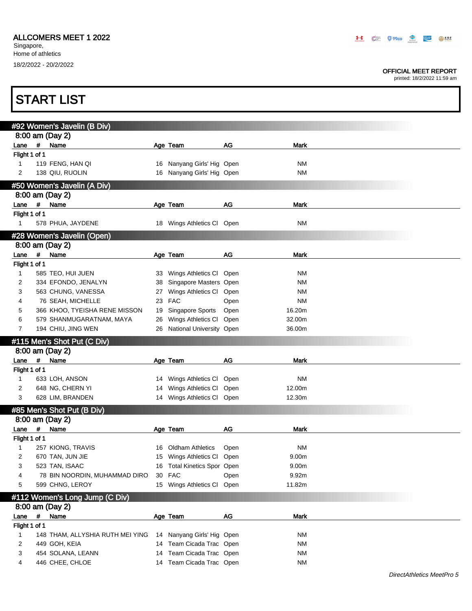#### OFFICIAL MEET REPORT

|                       |      | <b>START LIST</b>                |    |                            |      |                   |  |
|-----------------------|------|----------------------------------|----|----------------------------|------|-------------------|--|
|                       |      | #92 Women's Javelin (B Div)      |    |                            |      |                   |  |
|                       |      | 8:00 am (Day 2)                  |    |                            |      |                   |  |
| Lane                  | #    | Name                             |    | Age Team                   | AG   | <b>Mark</b>       |  |
| Flight 1 of 1         |      |                                  |    |                            |      |                   |  |
| 1                     |      | 119 FENG, HAN QI                 |    | 16 Nanyang Girls' Hig Open |      | <b>NM</b>         |  |
| 2                     |      | 138 QIU, RUOLIN                  |    | 16 Nanyang Girls' Hig Open |      | <b>NM</b>         |  |
|                       |      | #50 Women's Javelin (A Div)      |    |                            |      |                   |  |
|                       |      | 8:00 am (Day 2)                  |    |                            |      |                   |  |
| Lane #                |      | Name                             |    | Age Team                   | AG   | Mark              |  |
| Flight 1 of 1         |      |                                  |    |                            |      |                   |  |
| $\mathbf{1}$          |      | 578 PHUA, JAYDENE                |    | 18 Wings Athletics Cl Open |      | <b>NM</b>         |  |
|                       |      | #28 Women's Javelin (Open)       |    |                            |      |                   |  |
|                       |      | 8:00 am (Day 2)                  |    |                            |      |                   |  |
| Lane                  | #    | Name                             |    | Age Team                   | AG   | Mark              |  |
| Flight 1 of 1         |      |                                  |    |                            |      |                   |  |
| $\mathbf{1}$          |      | 585 TEO, HUI JUEN                |    | 33 Wings Athletics Cl Open |      | <b>NM</b>         |  |
| 2                     |      | 334 EFONDO, JENALYN              | 38 | Singapore Masters Open     |      | <b>NM</b>         |  |
| 3                     |      | 563 CHUNG, VANESSA               | 27 | Wings Athletics Cl Open    |      | <b>NM</b>         |  |
| 4                     |      | 76 SEAH, MICHELLE                | 23 | <b>FAC</b>                 | Open | <b>NM</b>         |  |
| 5                     |      | 366 KHOO, TYEISHA RENE MISSON    | 19 | Singapore Sports           | Open | 16.20m            |  |
| 6                     |      | 579 SHANMUGARATNAM, MAYA         | 26 | Wings Athletics Cl Open    |      | 32.00m            |  |
| $\overline{7}$        |      | 194 CHIU, JING WEN               | 26 | National University Open   |      | 36.00m            |  |
|                       |      | #115 Men's Shot Put (C Div)      |    |                            |      |                   |  |
|                       |      | 8:00 am (Day 2)                  |    |                            |      |                   |  |
| Lane                  | #    | Name                             |    | Age Team                   | AG   | <b>Mark</b>       |  |
| Flight 1 of 1         |      |                                  |    |                            |      |                   |  |
| 1                     |      | 633 LOH, ANSON                   |    | 14 Wings Athletics Cl Open |      | <b>NM</b>         |  |
| 2                     |      | 648 NG, CHERN YI                 | 14 | Wings Athletics CI         | Open | 12.00m            |  |
| 3                     |      | 628 LIM, BRANDEN                 |    | 14 Wings Athletics Cl Open |      | 12.30m            |  |
|                       |      | #85 Men's Shot Put (B Div)       |    |                            |      |                   |  |
|                       |      | 8:00 am (Day 2)                  |    |                            |      |                   |  |
| Lane                  | #    | Name                             |    | Age Team                   | AG   | Mark              |  |
| Flight 1 of 1         |      |                                  |    |                            |      |                   |  |
| 1                     |      | 257 KIONG, TRAVIS                |    | 16 Oldham Athletics        | Open | <b>NM</b>         |  |
| 2                     |      | 670 TAN, JUN JIE                 | 15 | Wings Athletics CI         | Open | 9.00m             |  |
| 3                     |      | 523 TAN, ISAAC                   | 16 | Total Kinetics Spor Open   |      | 9.00 <sub>m</sub> |  |
| 4                     |      | 78 BIN NOORDIN, MUHAMMAD DIRO    |    | 30 FAC                     | Open | 9.92m             |  |
| 5                     |      | 599 CHNG, LEROY                  |    | 15 Wings Athletics Cl Open |      | 11.82m            |  |
|                       |      | #112 Women's Long Jump (C Div)   |    |                            |      |                   |  |
|                       |      | 8:00 am (Day 2)                  |    |                            |      |                   |  |
| Lane<br>Flight 1 of 1 | $\#$ | Name                             |    | Age Team                   | AG   | Mark              |  |
| 1                     |      | 148 THAM, ALLYSHIA RUTH MEI YING |    | 14 Nanyang Girls' Hig Open |      | NM                |  |
| 2                     |      | 449 GOH, KEIA                    |    | 14 Team Cicada Trac Open   |      | <b>NM</b>         |  |
| 3                     |      | 454 SOLANA, LEANN                | 14 | Team Cicada Trac Open      |      | <b>NM</b>         |  |
| 4                     |      | 446 CHEE, CHLOE                  |    | 14 Team Cicada Trac Open   |      | <b>NM</b>         |  |
|                       |      |                                  |    |                            |      |                   |  |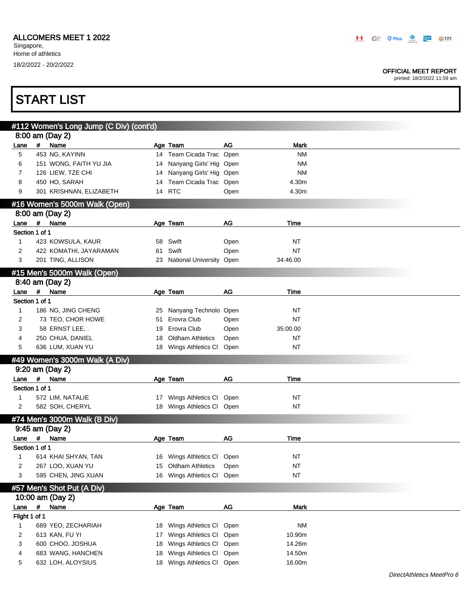#### OFFICIAL MEET REPORT

|                        |            | <b>START LIST</b>                       |    |                                      |           |                          |  |
|------------------------|------------|-----------------------------------------|----|--------------------------------------|-----------|--------------------------|--|
|                        |            |                                         |    |                                      |           |                          |  |
|                        |            | #112 Women's Long Jump (C Div) (cont'd) |    |                                      |           |                          |  |
|                        |            | 8:00 am (Day 2)                         |    |                                      | <b>AG</b> |                          |  |
| Lane<br>5              | #          | Name<br>453 NG, KAYINN                  |    | Age Team<br>14 Team Cicada Trac Open |           | <b>Mark</b><br><b>NM</b> |  |
| 6                      |            | 151 WONG, FAITH YU JIA                  |    | 14 Nanyang Girls' Hig Open           |           | <b>NM</b>                |  |
| 7                      |            | 126 LIEW, TZE CHI                       |    | 14 Nanyang Girls' Hig Open           |           | <b>NM</b>                |  |
| 8                      |            | 450 HO, SARAH                           |    | 14 Team Cicada Trac Open             |           | 4.30m                    |  |
| 9                      |            | 301 KRISHNAN, ELIZABETH                 |    | 14 RTC                               | Open      | 4.30m                    |  |
|                        |            | #16 Women's 5000m Walk (Open)           |    |                                      |           |                          |  |
|                        |            | 8:00 am (Day 2)                         |    |                                      |           |                          |  |
| Lane                   | $\pmb{\#}$ | Name                                    |    | Age Team                             | AG        | Time                     |  |
| Section 1 of 1         |            |                                         |    |                                      |           |                          |  |
| $\mathbf{1}$           |            | 423 KOWSULA, KAUR                       | 58 | Swift                                | Open      | ΝT                       |  |
| 2                      |            | 422 KOMATHI, JAYARAMAN                  | 61 | Swift                                | Open      | <b>NT</b>                |  |
| 3                      |            | 201 TING, ALLISON                       |    | 23 National University Open          |           | 34:46.00                 |  |
|                        |            |                                         |    |                                      |           |                          |  |
|                        |            | #15 Men's 5000m Walk (Open)             |    |                                      |           |                          |  |
| Lane                   | $\#$       | 8:40 am (Day 2)<br>Name                 |    |                                      | AG        | Time                     |  |
| Section 1 of 1         |            |                                         |    | Age Team                             |           |                          |  |
| 1                      |            | 186 NG, JING CHENG                      | 25 | Nanyang Technolo Open                |           | ΝT                       |  |
| 2                      |            | 73 TEO, CHOR HOWE                       | 51 | Erovra Club                          | Open      | <b>NT</b>                |  |
| 3                      |            | 58 ERNST LEE,.                          | 19 | Erovra Club                          | Open      | 35:00.00                 |  |
| 4                      |            | 250 CHUA, DANIEL                        | 18 | <b>Oldham Athletics</b>              | Open      | <b>NT</b>                |  |
| 5                      |            | 636 LUM, XUAN YU                        |    | 18 Wings Athletics Cl                | Open      | <b>NT</b>                |  |
|                        |            |                                         |    |                                      |           |                          |  |
|                        |            | #49 Women's 3000m Walk (A Div)          |    |                                      |           |                          |  |
|                        |            | 9:20 am (Day 2)                         |    |                                      |           |                          |  |
| Lane<br>Section 1 of 1 | $\#$       | Name                                    |    | Age Team                             | AG        | Time                     |  |
| 1                      |            | 572 LIM, NATALIE                        |    | 17 Wings Athletics CI                | Open      | NT                       |  |
| 2                      |            | 582 SOH, CHERYL                         |    | 18 Wings Athletics Cl Open           |           | NT                       |  |
|                        |            |                                         |    |                                      |           |                          |  |
|                        |            | #74 Men's 3000m Walk (B Div)            |    |                                      |           |                          |  |
|                        |            | 9:45 am (Day 2)                         |    |                                      |           |                          |  |
| Lane<br>Section 1 of 1 | #          | Name                                    |    | Age Team                             | AG        | Time                     |  |
| 1                      |            | 614 KHAI SHYAN, TAN                     |    | 16 Wings Athletics CI                | Open      | NT                       |  |
| 2                      |            | 267 LOO, XUAN YU                        | 15 | <b>Oldham Athletics</b>              | Open      | NT                       |  |
| 3                      |            | 595 CHEN, JING XUAN                     |    | 16 Wings Athletics CI                |           | NT                       |  |
|                        |            |                                         |    |                                      | Open      |                          |  |
|                        |            | #57 Men's Shot Put (A Div)              |    |                                      |           |                          |  |
|                        |            | 10:00 am (Day 2)                        |    |                                      |           |                          |  |
| Lane                   | $\#$       | Name                                    |    | Age Team                             | $AG$      | Mark                     |  |
| Flight 1 of 1          |            |                                         |    |                                      |           |                          |  |
| 1                      |            | 689 YEO, ZECHARIAH                      | 18 | Wings Athletics CI                   | Open      | <b>NM</b>                |  |
| 2                      |            | 613 KAN, FU YI                          | 17 | Wings Athletics CI                   | Open      | 10.90m                   |  |
| 3                      |            | 600 CHOO, JOSHUA                        | 18 | Wings Athletics CI                   | Open      | 14.26m                   |  |
| 4                      |            | 683 WANG, HANCHEN                       | 18 | Wings Athletics CI                   | Open      | 14.50m                   |  |
| 5                      |            | 632 LOH, ALOYSIUS                       |    | 18 Wings Athletics Cl Open           |           | 16.00m                   |  |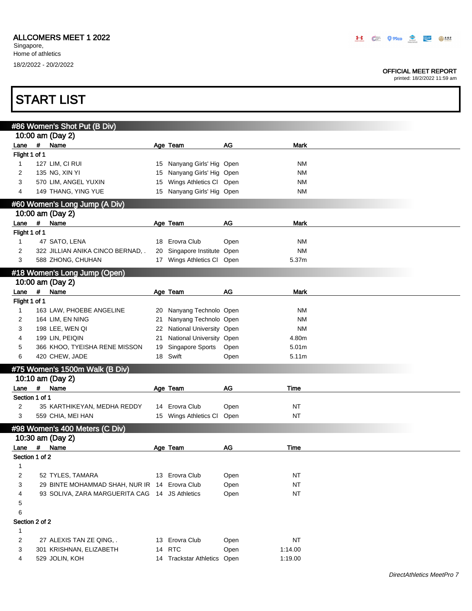#### OFFICIAL MEET REPORT

|                |             | <b>START LIST</b>                                  |          |                                              |              |                            |  |
|----------------|-------------|----------------------------------------------------|----------|----------------------------------------------|--------------|----------------------------|--|
|                |             |                                                    |          |                                              |              |                            |  |
|                |             | #86 Women's Shot Put (B Div)<br>10:00 am (Day 2)   |          |                                              |              |                            |  |
| Lane           | #           | Name                                               |          | Age Team                                     | $AG$         | Mark                       |  |
| Flight 1 of 1  |             |                                                    |          |                                              |              |                            |  |
| $\mathbf{1}$   |             | 127 LIM, CI RUI                                    |          | 15 Nanyang Girls' Hig Open                   |              | ΝM                         |  |
| 2              |             | 135 NG, XIN YI                                     |          | 15 Nanyang Girls' Hig Open                   |              | ΝM                         |  |
| 3              |             | 570 LIM, ANGEL YUXIN                               |          | 15 Wings Athletics Cl Open                   |              | <b>NM</b>                  |  |
| 4              |             | 149 THANG, YING YUE                                |          | 15 Nanyang Girls' Hig Open                   |              | ΝM                         |  |
|                |             | #60 Women's Long Jump (A Div)                      |          |                                              |              |                            |  |
|                |             | 10:00 am (Day 2)                                   |          |                                              |              |                            |  |
| Lane           | $\pmb{\#}$  | Name                                               |          | Age Team                                     | AG           | <b>Mark</b>                |  |
| Flight 1 of 1  |             |                                                    |          |                                              |              |                            |  |
| $\mathbf{1}$   |             | 47 SATO, LENA                                      |          | 18 Erovra Club                               | Open         | ΝM                         |  |
| 2              |             | 322 JILLIAN ANIKA CINCO BERNAD, .                  |          | 20 Singapore Institute Open                  |              | <b>NM</b>                  |  |
| 3              |             | 588 ZHONG, CHUHAN                                  |          | 17 Wings Athletics Cl Open                   |              | 5.37m                      |  |
|                |             | #18 Women's Long Jump (Open)                       |          |                                              |              |                            |  |
|                |             | 10:00 am (Day 2)                                   |          |                                              |              |                            |  |
| Lane           | #           | Name                                               |          | Age Team                                     | AG           | Mark                       |  |
| Flight 1 of 1  |             |                                                    |          |                                              |              |                            |  |
| $\mathbf{1}$   |             | 163 LAW, PHOEBE ANGELINE                           |          | 20 Nanyang Technolo Open                     |              | ΝM                         |  |
| 2              |             | 164 LIM, EN NING                                   | 21       | Nanyang Technolo Open                        |              | <b>NM</b>                  |  |
| 3              |             | 198 LEE, WEN QI                                    |          | 22 National University Open                  |              | <b>NM</b>                  |  |
| 4<br>5         |             | 199 LIN, PEIQIN                                    | 21<br>19 | National University Open<br>Singapore Sports |              | 4.80m<br>5.01 <sub>m</sub> |  |
| 6              |             | 366 KHOO, TYEISHA RENE MISSON<br>420 CHEW, JADE    |          | 18 Swift                                     | Open<br>Open | 5.11m                      |  |
|                |             |                                                    |          |                                              |              |                            |  |
|                |             | #75 Women's 1500m Walk (B Div)                     |          |                                              |              |                            |  |
| Lane           | #           | 10:10 am (Day 2)<br>Name                           |          | Age Team                                     | AG           | Time                       |  |
| Section 1 of 1 |             |                                                    |          |                                              |              |                            |  |
| 2              |             | 35 KARTHIKEYAN, MEDHA REDDY                        |          | 14 Erovra Club                               | Open         | <b>NT</b>                  |  |
| 3              |             | 559 CHIA, MEI HAN                                  |          | 15 Wings Athletics CI                        | Open         | <b>NT</b>                  |  |
|                |             |                                                    |          |                                              |              |                            |  |
|                |             | #98 Women's 400 Meters (C Div)<br>10:30 am (Day 2) |          |                                              |              |                            |  |
| Lane           | $\pmb{\mu}$ | Name                                               |          | Age Team                                     | AG           | Time                       |  |
| Section 1 of 2 |             |                                                    |          |                                              |              |                            |  |
| 1              |             |                                                    |          |                                              |              |                            |  |
| 2              |             | 52 TYLES, TAMARA                                   |          | 13 Erovra Club                               | Open         | NT                         |  |
| 3              |             | 29 BINTE MOHAMMAD SHAH, NUR IR 14 Erovra Club      |          |                                              | Open         | <b>NT</b>                  |  |
| 4              |             | 93 SOLIVA, ZARA MARGUERITA CAG 14 JS Athletics     |          |                                              | Open         | <b>NT</b>                  |  |
| 5              |             |                                                    |          |                                              |              |                            |  |
| 6              |             |                                                    |          |                                              |              |                            |  |
| Section 2 of 2 |             |                                                    |          |                                              |              |                            |  |
| 1              |             |                                                    |          |                                              |              |                            |  |
| 2              |             | 27 ALEXIS TAN ZE QING, .                           |          | 13 Erovra Club                               | Open         | <b>NT</b>                  |  |
| 3              |             | 301 KRISHNAN, ELIZABETH                            |          | 14 RTC                                       | Open         | 1:14.00                    |  |
| 4              |             | 529 JOLIN, KOH                                     |          | 14 Trackstar Athletics Open                  |              | 1:19.00                    |  |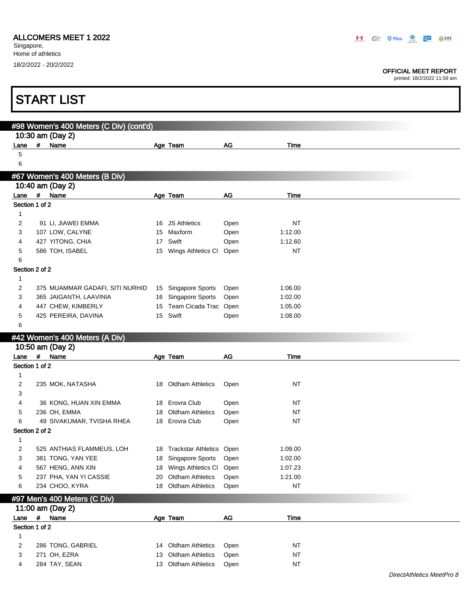Singapore, Home of athletics 18/2/2022 - 20/2/2022

Г

#### OFFICIAL MEET REPORT

printed: 18/2/2022 11:59 am

٦

|                                |   | <b>START LIST</b>                       |    |                             |      |                      |  |
|--------------------------------|---|-----------------------------------------|----|-----------------------------|------|----------------------|--|
|                                |   |                                         |    |                             |      |                      |  |
|                                |   | #98 Women's 400 Meters (C Div) (cont'd) |    |                             |      |                      |  |
|                                |   | 10:30 am (Day 2)                        |    |                             |      |                      |  |
| Lane                           | # | Name                                    |    | Age Team                    | AG   | Time                 |  |
| 5                              |   |                                         |    |                             |      |                      |  |
| 6                              |   |                                         |    |                             |      |                      |  |
|                                |   | #67 Women's 400 Meters (B Div)          |    |                             |      |                      |  |
|                                |   | 10:40 am (Day 2)                        |    |                             |      |                      |  |
| Lane                           | # | Name                                    |    | Age Team                    | AG   | <b>Time</b>          |  |
| Section 1 of 2                 |   |                                         |    |                             |      |                      |  |
| $\mathbf{1}$                   |   |                                         |    |                             |      |                      |  |
| 2                              |   | 91 LI, JIAWEI EMMA                      |    | 16 JS Athletics             | Open | NT                   |  |
| 3                              |   | 107 LOW, CALYNE                         | 15 | Maxform                     | Open | 1:12.00              |  |
| 4                              |   | 427 YITONG, CHIA<br>586 TOH, ISABEL     | 17 | Swift                       | Open | 1:12.60<br><b>NT</b> |  |
| 5<br>6                         |   |                                         |    | 15 Wings Athletics Cl       | Open |                      |  |
| Section 2 of 2                 |   |                                         |    |                             |      |                      |  |
| $\mathbf{1}$                   |   |                                         |    |                             |      |                      |  |
| $\overline{c}$                 |   | 375 MUAMMAR GADAFI, SITI NURHID         |    | 15 Singapore Sports         | Open | 1:06.00              |  |
| 3                              |   | 365 JAIGANTH, LAAVINIA                  |    | 16 Singapore Sports         | Open | 1:02.00              |  |
| 4                              |   | 447 CHEW, KIMBERLY                      |    | 15 Team Cicada Trac         | Open | 1:05.00              |  |
| 5                              |   | 425 PEREIRA, DAVINA                     |    | 15 Swift                    | Open | 1:08.00              |  |
| 6                              |   |                                         |    |                             |      |                      |  |
|                                |   | #42 Women's 400 Meters (A Div)          |    |                             |      |                      |  |
|                                |   | 10:50 am (Day 2)                        |    |                             |      |                      |  |
| Lane # Name                    |   |                                         |    | Age Team                    | AG   | Time                 |  |
| Section 1 of 2                 |   |                                         |    |                             |      |                      |  |
| $\mathbf{1}$                   |   |                                         |    |                             |      |                      |  |
| $\overline{c}$                 |   | 235 MOK, NATASHA                        |    | 18 Oldham Athletics         | Open | NT                   |  |
| 3                              |   |                                         |    |                             |      |                      |  |
| 4                              |   | 36 KONG, HUAN XIN EMMA                  |    | 18 Erovra Club              | Open | NT                   |  |
| 5                              |   | 236 OH, EMMA                            | 18 | <b>Oldham Athletics</b>     | Open | NT                   |  |
| 6                              |   | 49 SIVAKUMAR, TVISHA RHEA               |    | 18 Erovra Club              | Open | <b>NT</b>            |  |
| Section 2 of 2<br>$\mathbf{1}$ |   |                                         |    |                             |      |                      |  |
| 2                              |   | 525 ANTHIAS FLAMMEUS, LOH               |    | 18 Trackstar Athletics Open |      | 1:09.00              |  |
| 3                              |   | 381 TONG, YAN YEE                       | 18 | Singapore Sports            | Open | 1:02.00              |  |
| 4                              |   | 567 HENG, ANN XIN                       |    | 18 Wings Athletics CI       | Open | 1:07.23              |  |
| 5                              |   | 237 PHA, YAN YI CASSIE                  | 20 | Oldham Athletics            | Open | 1:21.00              |  |
| 6                              |   | 234 CHOO, KYRA                          |    | 18 Oldham Athletics         | Open | <b>NT</b>            |  |
|                                |   | #97 Men's 400 Meters (C Div)            |    |                             |      |                      |  |
|                                |   | 11:00 am (Day 2)                        |    |                             |      |                      |  |
| Lane                           | # | Name                                    |    | Age Team                    | $AG$ | Time                 |  |
| Section 1 of 2                 |   |                                         |    |                             |      |                      |  |
| $\mathbf{1}$                   |   |                                         |    |                             |      |                      |  |
| 2                              |   | 286 TONG, GABRIEL                       | 14 | <b>Oldham Athletics</b>     | Open | <b>NT</b>            |  |
| 3                              |   | 271 OH, EZRA                            | 13 | <b>Oldham Athletics</b>     | Open | <b>NT</b>            |  |
| 4                              |   | 284 TAY, SEAN                           |    | 13 Oldham Athletics         | Open | NT                   |  |
|                                |   |                                         |    |                             |      |                      |  |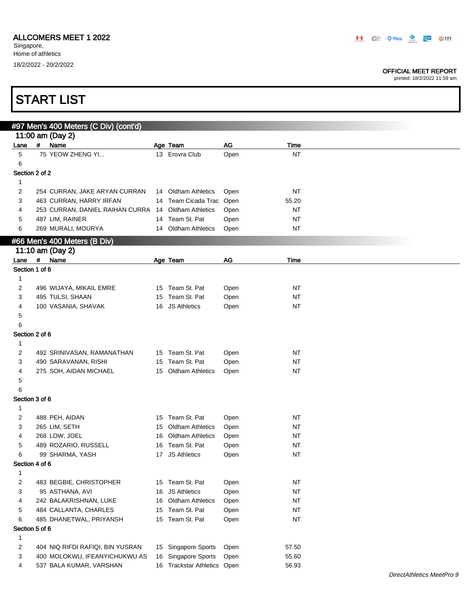Singapore, Home of athletics 18/2/2022 - 20/2/2022

#### OFFICIAL MEET REPORT

|              | <b>START LIST</b>                                   |                             |      |             |  |
|--------------|-----------------------------------------------------|-----------------------------|------|-------------|--|
|              | #97 Men's 400 Meters (C Div) (cont'd)               |                             |      |             |  |
|              | 11:00 am (Day 2)                                    |                             |      |             |  |
| Lane         | #<br>Name                                           | Age Team                    | AG   | Time        |  |
| 5            | 75 YEOW ZHENG YI, .                                 | 13 Erovra Club              | Open | <b>NT</b>   |  |
| 6            |                                                     |                             |      |             |  |
|              | Section 2 of 2                                      |                             |      |             |  |
| $\mathbf{1}$ |                                                     |                             |      |             |  |
| 2            | 254 CURRAN, JAKE ARYAN CURRAN                       | 14 Oldham Athletics         | Open | NT          |  |
| 3            | 463 CURRAN, HARRY IRFAN                             | 14 Team Cicada Trac Open    |      | 55.20       |  |
| 4            | 253 CURRAN, DANIEL RAIHAN CURRA 14 Oldham Athletics |                             | Open | NT          |  |
| 5            | 487 LIM, RAINER                                     | 14 Team St. Pat             | Open | <b>NT</b>   |  |
| 6            | 269 MURALI, MOURYA                                  | 14 Oldham Athletics         | Open | NT          |  |
|              | #66 Men's 400 Meters (B Div)                        |                             |      |             |  |
|              | 11:10 am (Day 2)                                    |                             |      |             |  |
| Lane #       | Name                                                | Age Team                    | AG   | <b>Time</b> |  |
|              | Section 1 of 6                                      |                             |      |             |  |
| $\mathbf{1}$ |                                                     |                             |      |             |  |
| 2            | 496 WIJAYA, MIKAIL EMRE                             | 15 Team St. Pat             | Open | NT          |  |
| 3            | 495 TULSI, SHAAN                                    | 15 Team St. Pat             | Open | NT          |  |
| 4            | 100 VASANIA, SHAVAK                                 | 16 JS Athletics             | Open | NT          |  |
| 5            |                                                     |                             |      |             |  |
| 6            |                                                     |                             |      |             |  |
|              | Section 2 of 6                                      |                             |      |             |  |
| $\mathbf{1}$ |                                                     |                             |      |             |  |
| 2            | 492 SRINIVASAN, RAMANATHAN                          | 15 Team St. Pat             | Open | NT          |  |
| 3            | 490 SARAVANAN, RISHI                                | 15 Team St. Pat             | Open | NT          |  |
| 4            | 275 SOH, AIDAN MICHAEL                              | 15 Oldham Athletics         | Open | <b>NT</b>   |  |
| 5            |                                                     |                             |      |             |  |
| 6            |                                                     |                             |      |             |  |
|              | Section 3 of 6                                      |                             |      |             |  |
| $\mathbf{1}$ |                                                     |                             |      |             |  |
| 2            | 488 PEH, AIDAN                                      | 15 Team St. Pat             | Open | <b>NT</b>   |  |
| 3            | 265 LIM, SETH                                       | 15 Oldham Athletics         | Open | <b>NT</b>   |  |
|              | 268 LOW, JOEL                                       | 16 Oldham Athletics         | Open | $\sf{NT}$   |  |
| 5            | 489 ROZARIO, RUSSELL                                | 16 Team St. Pat             | Open | ΝT          |  |
| 6            | 99 SHARMA, YASH                                     | 17 JS Athletics             | Open | $\sf{NT}$   |  |
|              | Section 4 of 6                                      |                             |      |             |  |
| 1            |                                                     |                             |      |             |  |
| 2            | 483 BEGBIE, CHRISTOPHER                             | 15 Team St. Pat             | Open | <b>NT</b>   |  |
| 3            | 95 ASTHANA, AVI                                     | 16 JS Athletics             | Open | NT          |  |
| 4            | 242 BALAKRISHNAN, LUKE                              | 16 Oldham Athletics         | Open | NT          |  |
| 5            | 484 CALLANTA, CHARLES                               | 15 Team St. Pat             | Open | NT          |  |
| 6            | 485 DHANETWAL, PRIYANSH                             | 15 Team St. Pat             | Open | NT          |  |
|              | Section 5 of 6                                      |                             |      |             |  |
| 1            |                                                     |                             |      |             |  |
| 2            | 404 NIQ RIFDI RAFIQI, BIN YUSRAN                    | 15 Singapore Sports         | Open | 57.50       |  |
| 3            | 400 MOLOKWU, IFEANYICHUKWU AS                       | 16 Singapore Sports         | Open | 55.60       |  |
| 4            | 537 BALA KUMAR, VARSHAN                             | 16 Trackstar Athletics Open |      | 56.93       |  |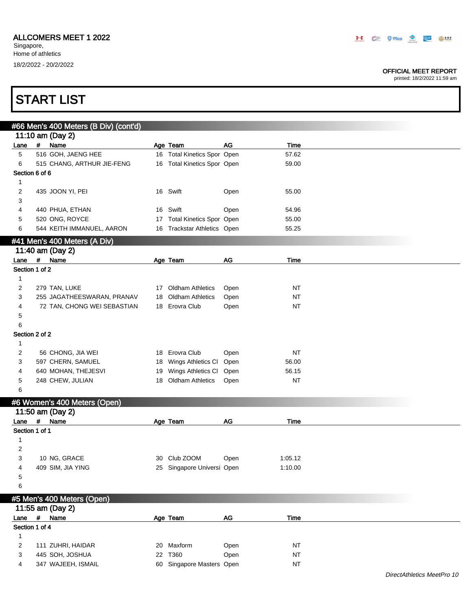#### OFFICIAL MEET REPORT

printed: 18/2/2022 11:59 am

| <b>START LIST</b> |
|-------------------|
|-------------------|

|                |      | #66 Men's 400 Meters (B Div) (cont'd) |    |                                 |           |           |  |
|----------------|------|---------------------------------------|----|---------------------------------|-----------|-----------|--|
|                |      | 11:10 am (Day 2)                      |    |                                 |           |           |  |
| Lane           |      | # Name                                |    | Age Team                        | <b>AG</b> | Time      |  |
| 5              |      | 516 GOH, JAENG HEE                    |    | 16 Total Kinetics Spor Open     |           | 57.62     |  |
| 6              |      | 515 CHANG, ARTHUR JIE-FENG            |    | 16 Total Kinetics Spor Open     |           | 59.00     |  |
| Section 6 of 6 |      |                                       |    |                                 |           |           |  |
| $\mathbf{1}$   |      |                                       |    |                                 |           |           |  |
| 2              |      | 435 JOON YI, PEI                      |    | 16 Swift                        | Open      | 55.00     |  |
| 3              |      |                                       |    |                                 |           |           |  |
| 4              |      | 440 PHUA, ETHAN                       | 16 | Swift                           | Open      | 54.96     |  |
| 5              |      | 520 ONG, ROYCE                        | 17 | <b>Total Kinetics Spor Open</b> |           | 55.00     |  |
| 6              |      | 544 KEITH IMMANUEL, AARON             |    | 16 Trackstar Athletics Open     |           | 55.25     |  |
|                |      | #41 Men's 400 Meters (A Div)          |    |                                 |           |           |  |
|                |      | 11:40 am (Day 2)                      |    |                                 |           |           |  |
| Lane           | $\#$ | Name                                  |    | Age Team                        | AG        | Time      |  |
| Section 1 of 2 |      |                                       |    |                                 |           |           |  |
| 1              |      |                                       |    |                                 |           |           |  |
| 2              |      | 279 TAN, LUKE                         |    | 17 Oldham Athletics             | Open      | NT        |  |
| 3              |      | 255 JAGATHEESWARAN, PRANAV            | 18 | <b>Oldham Athletics</b>         | Open      | <b>NT</b> |  |
| 4              |      | 72 TAN, CHONG WEI SEBASTIAN           |    | 18 Erovra Club                  | Open      | NT        |  |
| 5              |      |                                       |    |                                 |           |           |  |
| 6              |      |                                       |    |                                 |           |           |  |
| Section 2 of 2 |      |                                       |    |                                 |           |           |  |
|                |      |                                       |    |                                 |           |           |  |
| $\mathbf{1}$   |      |                                       |    |                                 |           |           |  |
| 2              |      | 56 CHONG, JIA WEI                     |    | 18 Erovra Club                  | Open      | <b>NT</b> |  |
| 3              |      | 597 CHERN, SAMUEL                     | 18 | Wings Athletics CI              | Open      | 56.00     |  |
| 4              |      | 640 MOHAN, THEJESVI                   | 19 | Wings Athletics CI              | Open      | 56.15     |  |
| 5              |      | 248 CHEW, JULIAN                      | 18 | <b>Oldham Athletics</b>         | Open      | <b>NT</b> |  |
| 6              |      |                                       |    |                                 |           |           |  |
|                |      | #6 Women's 400 Meters (Open)          |    |                                 |           |           |  |
|                |      | 11:50 am (Day 2)                      |    |                                 |           |           |  |
| Lane           |      | # Name                                |    | Age Team                        | AG        | Time      |  |
| Section 1 of 1 |      |                                       |    |                                 |           |           |  |
| 1              |      |                                       |    |                                 |           |           |  |
| 2              |      |                                       |    |                                 |           |           |  |
| 3              |      | 10 NG, GRACE                          |    | 30 Club ZOOM                    | Open      | 1:05.12   |  |
| 4              |      | 409 SIM, JIA YING                     |    | 25 Singapore Universi Open      |           | 1:10.00   |  |
| 5              |      |                                       |    |                                 |           |           |  |
| 6              |      |                                       |    |                                 |           |           |  |
|                |      | #5 Men's 400 Meters (Open)            |    |                                 |           |           |  |
|                |      | 11:55 am (Day 2)                      |    |                                 |           |           |  |
| Lane           |      | # Name                                |    | Age Team                        | AG        | Time      |  |
| Section 1 of 4 |      |                                       |    |                                 |           |           |  |
| $\mathbf{1}$   |      |                                       |    |                                 |           |           |  |
| $\overline{c}$ |      | 111 ZUHRI, HAIDAR                     | 20 | Maxform                         | Open      | <b>NT</b> |  |
| 3              |      | 445 SOH, JOSHUA                       |    | 22 T360                         | Open      | $\sf{NT}$ |  |

4 347 WAJEEH, ISMAIL 60 Singapore Masters Open NT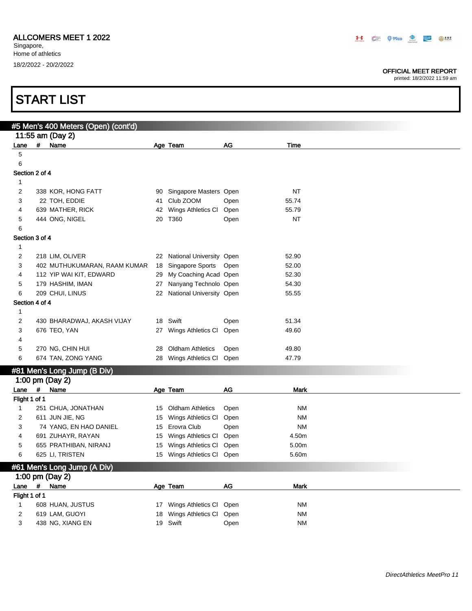#### OFFICIAL MEET REPORT

|                     |             | <b>START LIST</b>                   |    |                             |      |             |
|---------------------|-------------|-------------------------------------|----|-----------------------------|------|-------------|
|                     |             | #5 Men's 400 Meters (Open) (cont'd) |    |                             |      |             |
|                     |             | 11:55 am (Day 2)                    |    |                             |      |             |
| Lane                | #           | Name                                |    | Age Team                    | AG   | Time        |
| 5                   |             |                                     |    |                             |      |             |
| 6                   |             |                                     |    |                             |      |             |
| Section 2 of 4      |             |                                     |    |                             |      |             |
| 1                   |             |                                     |    |                             |      |             |
| $\overline{c}$      |             | 338 KOR, HONG FATT                  |    | 90 Singapore Masters Open   |      | <b>NT</b>   |
| 3                   |             | 22 TOH, EDDIE                       |    | 41 Club ZOOM                | Open | 55.74       |
| 4                   |             | 639 MATHER, RICK                    | 42 | Wings Athletics CI          | Open | 55.79       |
| 5                   |             | 444 ONG, NIGEL                      |    | 20 T360                     | Open | <b>NT</b>   |
| 6                   |             |                                     |    |                             |      |             |
| Section 3 of 4      |             |                                     |    |                             |      |             |
| 1                   |             |                                     |    |                             |      |             |
| 2                   |             | 218 LIM, OLIVER                     |    | 22 National University Open |      | 52.90       |
| 3                   |             | 402 MUTHUKUMARAN, RAAM KUMAR        |    | 18 Singapore Sports Open    |      | 52.00       |
| 4                   |             | 112 YIP WAI KIT, EDWARD             |    | 29 My Coaching Acad Open    |      | 52.30       |
| 5                   |             | 179 HASHIM, IMAN                    |    | 27 Nanyang Technolo Open    |      | 54.30       |
| 6<br>Section 4 of 4 |             | 209 CHUI, LINUS                     |    | 22 National University Open |      | 55.55       |
| 1                   |             |                                     |    |                             |      |             |
| 2                   |             | 430 BHARADWAJ, AKASH VIJAY          |    | 18 Swift                    | Open | 51.34       |
| 3                   |             | 676 TEO, YAN                        |    | 27 Wings Athletics Cl       | Open | 49.60       |
| 4                   |             |                                     |    |                             |      |             |
| 5                   |             | 270 NG, CHIN HUI                    | 28 | <b>Oldham Athletics</b>     | Open | 49.80       |
| 6                   |             | 674 TAN, ZONG YANG                  |    | 28 Wings Athletics Cl       | Open | 47.79       |
|                     |             | #81 Men's Long Jump (B Div)         |    |                             |      |             |
|                     |             | 1:00 pm (Day 2)                     |    |                             |      |             |
| Lane #              |             | Name                                |    | Age Team                    | AG   | <b>Mark</b> |
| Flight 1 of 1       |             |                                     |    |                             |      |             |
| $\mathbf{1}$        |             | 251 CHUA, JONATHAN                  |    | 15 Oldham Athletics         | Open | <b>NM</b>   |
| 2                   |             | 611 JUN JIE, NG                     |    | 15 Wings Athletics CI       | Open | <b>NM</b>   |
| 3                   |             | 74 YANG, EN HAO DANIEL              |    | 15 Erovra Club              | Open | NM          |
|                     |             | 691 ZUHAYR, RAYAN                   |    | 15 Wings Athletics Cl Open  |      | 4.50m       |
| 5                   |             | 655 PRATHIBAN, NIRANJ               |    | 15 Wings Athletics Cl Open  |      | 5.00m       |
| 6                   |             | 625 LI, TRISTEN                     |    | 15 Wings Athletics Cl Open  |      | 5.60m       |
|                     |             | #61 Men's Long Jump (A Div)         |    |                             |      |             |
|                     |             | 1:00 pm (Day 2)                     |    |                             |      |             |
| Lane                | $\pmb{\mu}$ | Name                                |    | Age Team                    | $AG$ | Mark        |
| Flight 1 of 1       |             |                                     |    |                             |      |             |
| $\mathbf{1}$        |             | 608 HUAN, JUSTUS                    |    | 17 Wings Athletics CI       | Open | <b>NM</b>   |
| $\overline{c}$      |             | 619 LAM, GUOYI                      |    | 18 Wings Athletics CI       | Open | <b>NM</b>   |
| 3                   |             | 438 NG, XIANG EN                    |    | 19 Swift                    | Open | <b>NM</b>   |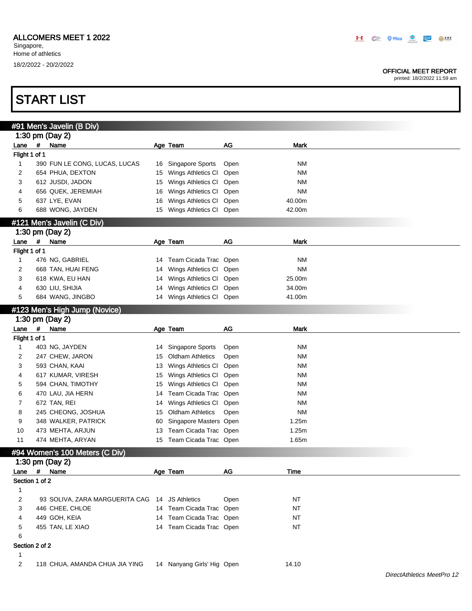#### OFFICIAL MEET REPORT

printed: 18/2/2022 11:59 am

|                |             | #91 Men's Javelin (B Div)                      |    |                            |      |             |  |
|----------------|-------------|------------------------------------------------|----|----------------------------|------|-------------|--|
|                |             | 1:30 pm (Day 2)                                |    |                            |      |             |  |
| Lane           | $\pmb{\#}$  | Name                                           |    | Age Team                   | AG   | <b>Mark</b> |  |
| Flight 1 of 1  |             |                                                |    |                            |      |             |  |
| 1              |             | 390 FUN LE CONG, LUCAS, LUCAS                  | 16 | Singapore Sports           | Open | <b>NM</b>   |  |
| 2              |             | 654 PHUA, DEXTON                               | 15 | Wings Athletics CI         | Open | <b>NM</b>   |  |
| 3              |             | 612 JUSDI, JADON                               | 15 | Wings Athletics CI         | Open | <b>NM</b>   |  |
| 4              |             | 656 QUEK, JEREMIAH                             | 16 | Wings Athletics Cl         | Open | <b>NM</b>   |  |
| 5              |             | 637 LYE, EVAN                                  | 16 | Wings Athletics Cl Open    |      | 40.00m      |  |
| 6              |             | 688 WONG, JAYDEN                               | 15 | Wings Athletics CI Open    |      | 42.00m      |  |
|                |             | #121 Men's Javelin (C Div)                     |    |                            |      |             |  |
|                |             | 1:30 pm (Day 2)                                |    |                            |      |             |  |
| Lane           | #           | Name                                           |    | Age Team                   | AG   | <b>Mark</b> |  |
| Flight 1 of 1  |             |                                                |    |                            |      |             |  |
| 1              |             | 476 NG, GABRIEL                                | 14 | Team Cicada Trac Open      |      | ΝM          |  |
| 2              |             | 668 TAN, HUAI FENG                             | 14 | Wings Athletics Cl Open    |      | <b>NM</b>   |  |
| 3              |             | 618 KWA, EU HAN                                | 14 | Wings Athletics Cl Open    |      | 25.00m      |  |
| 4              |             | 630 LIU, SHIJIA                                | 14 | Wings Athletics Cl Open    |      | 34.00m      |  |
| 5              |             | 684 WANG, JINGBO                               | 14 | Wings Athletics Cl Open    |      | 41.00m      |  |
|                |             |                                                |    |                            |      |             |  |
|                |             | #123 Men's High Jump (Novice)                  |    |                            |      |             |  |
|                |             | 1:30 pm (Day 2)                                |    |                            |      |             |  |
| Lane           | $\pmb{\mu}$ | Name                                           |    | Age Team                   | AG   | Mark        |  |
| Flight 1 of 1  |             |                                                |    |                            |      |             |  |
| 1              |             | 403 NG, JAYDEN                                 | 14 | Singapore Sports           | Open | <b>NM</b>   |  |
| 2              |             | 247 CHEW, JARON                                | 15 | <b>Oldham Athletics</b>    | Open | <b>NM</b>   |  |
| 3              |             | 593 CHAN, KAAI                                 | 13 | Wings Athletics CI         | Open | <b>NM</b>   |  |
| 4              |             | 617 KUMAR, VIRESH                              | 15 | Wings Athletics CI         | Open | <b>NM</b>   |  |
| 5              |             | 594 CHAN, TIMOTHY                              | 15 | Wings Athletics CI         | Open | <b>NM</b>   |  |
| 6              |             | 470 LAU, JIA HERN                              | 14 | Team Cicada Trac Open      |      | <b>NM</b>   |  |
| 7              |             | 672 TAN, REI                                   | 14 | Wings Athletics CI         | Open | <b>NM</b>   |  |
| 8              |             | 245 CHEONG, JOSHUA                             | 15 | <b>Oldham Athletics</b>    | Open | <b>NM</b>   |  |
| 9              |             | 348 WALKER, PATRICK                            | 60 | Singapore Masters Open     |      | 1.25m       |  |
| 10             |             | 473 MEHTA, ARJUN                               | 13 | Team Cicada Trac Open      |      | 1.25m       |  |
| 11             |             | 474 MEHTA, ARYAN                               | 15 | Team Cicada Trac Open      |      | 1.65m       |  |
|                |             | #94 Women's 100 Meters (C Div)                 |    |                            |      |             |  |
|                |             | 1:30 pm (Day 2)                                |    |                            |      |             |  |
| Lane           | #           | Name                                           |    | Age Team                   | AG   | Time        |  |
| Section 1 of 2 |             |                                                |    |                            |      |             |  |
| $\mathbf{1}$   |             |                                                |    |                            |      |             |  |
| 2              |             | 93 SOLIVA, ZARA MARGUERITA CAG 14 JS Athletics |    |                            | Open | <b>NT</b>   |  |
| 3              |             | 446 CHEE, CHLOE                                |    | 14 Team Cicada Trac Open   |      | <b>NT</b>   |  |
| 4              |             | 449 GOH, KEIA                                  |    | 14 Team Cicada Trac Open   |      | <b>NT</b>   |  |
| 5              |             | 455 TAN, LE XIAO                               |    | 14 Team Cicada Trac Open   |      | <b>NT</b>   |  |
| 6              |             |                                                |    |                            |      |             |  |
| Section 2 of 2 |             |                                                |    |                            |      |             |  |
| 1              |             |                                                |    |                            |      |             |  |
| $\overline{c}$ |             | 118 CHUA, AMANDA CHUA JIA YING                 |    | 14 Nanyang Girls' Hig Open |      | 14.10       |  |
|                |             |                                                |    |                            |      |             |  |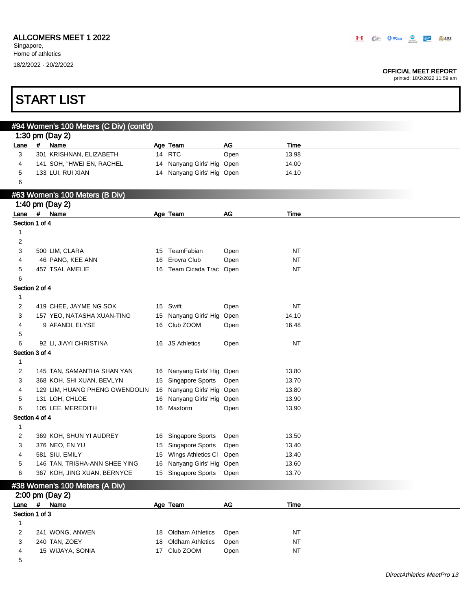**START LIST** 

#### OFFICIAL MEET REPORT

|              |                   | #94 Women's 100 Meters (C Div) (cont'd) |    |                            |      |           |  |
|--------------|-------------------|-----------------------------------------|----|----------------------------|------|-----------|--|
|              | 1:30 pm (Day 2)   |                                         |    |                            |      |           |  |
| Lane         | #<br>Name         |                                         |    | Age Team                   | AG   | Time      |  |
| 3            |                   | 301 KRISHNAN, ELIZABETH                 |    | 14 RTC                     | Open | 13.98     |  |
| 4            |                   | 141 SOH, "HWEI EN, RACHEL               |    | 14 Nanyang Girls' Hig Open |      | 14.00     |  |
| 5            | 133 LUI, RUI XIAN |                                         |    | 14 Nanyang Girls' Hig Open |      | 14.10     |  |
| 6            |                   |                                         |    |                            |      |           |  |
|              |                   | #63 Women's 100 Meters (B Div)          |    |                            |      |           |  |
|              | 1:40 pm (Day 2)   |                                         |    |                            |      |           |  |
|              | Lane # Name       |                                         |    | Age Team                   | AG   | Time      |  |
|              | Section 1 of 4    |                                         |    |                            |      |           |  |
| 1            |                   |                                         |    |                            |      |           |  |
| 2            |                   |                                         |    |                            |      |           |  |
| 3            | 500 LIM, CLARA    |                                         |    | 15 TeamFabian              | Open | <b>NT</b> |  |
| 4            | 46 PANG, KEE ANN  |                                         |    | 16 Erovra Club             | Open | <b>NT</b> |  |
| 5            | 457 TSAI, AMELIE  |                                         |    | 16 Team Cicada Trac Open   |      | NT        |  |
| 6            |                   |                                         |    |                            |      |           |  |
|              | Section 2 of 4    |                                         |    |                            |      |           |  |
| 1            |                   |                                         |    |                            |      |           |  |
| 2            |                   | 419 CHEE, JAYME NG SOK                  |    | 15 Swift                   | Open | <b>NT</b> |  |
| 3            |                   | 157 YEO, NATASHA XUAN-TING              |    | 15 Nanyang Girls' Hig      | Open | 14.10     |  |
| 4            | 9 AFANDI, ELYSE   |                                         |    | 16 Club ZOOM               | Open | 16.48     |  |
| 5            |                   |                                         |    |                            |      |           |  |
| 6            |                   | 92 LI, JIAYI CHRISTINA                  |    | 16 JS Athletics            | Open | <b>NT</b> |  |
|              | Section 3 of 4    |                                         |    |                            |      |           |  |
| 1            |                   |                                         |    |                            |      |           |  |
| 2            |                   | 145 TAN, SAMANTHA SHAN YAN              |    | 16 Nanyang Girls' Hig Open |      | 13.80     |  |
| 3            |                   | 368 KOH, SHI XUAN, BEVLYN               |    | 15 Singapore Sports        | Open | 13.70     |  |
| 4            |                   | 129 LIM, HUANG PHENG GWENDOLIN          |    | 16 Nanyang Girls' Hig Open |      | 13.80     |  |
| 5            | 131 LOH, CHLOE    |                                         |    | 16 Nanyang Girls' Hig Open |      | 13.90     |  |
| 6            | 105 LEE, MEREDITH |                                         |    | 16 Maxform                 | Open | 13.90     |  |
|              | Section 4 of 4    |                                         |    |                            |      |           |  |
| $\mathbf{1}$ |                   |                                         |    |                            |      |           |  |
| 2            |                   | 369 KOH, SHUN YI AUDREY                 |    | 16 Singapore Sports        | Open | 13.50     |  |
| 3            | 376 NEO, EN YU    |                                         |    | 15 Singapore Sports        | Open | 13.40     |  |
| 4            | 581 SIU, EMILY    |                                         |    | 15 Wings Athletics Cl Open |      | 13.40     |  |
| 5            |                   | 146 TAN, TRISHA-ANN SHEE YING           |    | 16 Nanyang Girls' Hig Open |      | 13.60     |  |
| 6            |                   | 367 KOH, JING XUAN, BERNYCE             |    | 15 Singapore Sports        | Open | 13.70     |  |
|              |                   | #38 Women's 100 Meters (A Div)          |    |                            |      |           |  |
|              | 2:00 pm (Day 2)   |                                         |    |                            |      |           |  |
| Lane $#$     | Name              |                                         |    | Age Team                   | $AG$ | Time      |  |
|              | Section 1 of 3    |                                         |    |                            |      |           |  |
| 1            |                   |                                         |    |                            |      |           |  |
| 2            | 241 WONG, ANWEN   |                                         | 18 | <b>Oldham Athletics</b>    | Open | NT        |  |
| 3            | 240 TAN, ZOEY     |                                         | 18 | <b>Oldham Athletics</b>    | Open | NT        |  |
| 4            | 15 WIJAYA, SONIA  |                                         |    | 17 Club ZOOM               | Open | NT        |  |
| 5            |                   |                                         |    |                            |      |           |  |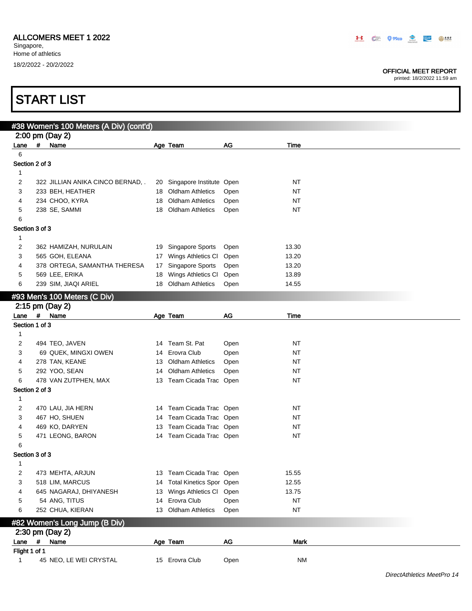Singapore, Home of athletics 18/2/2022 - 20/2/2022

#### OFFICIAL MEET REPORT

|                |      | <b>START LIST</b>                              |          |                                               |               |           |                            |
|----------------|------|------------------------------------------------|----------|-----------------------------------------------|---------------|-----------|----------------------------|
|                |      |                                                |          |                                               |               |           |                            |
|                |      | #38 Women's 100 Meters (A Div) (cont'd)        |          |                                               |               |           |                            |
|                |      | 2:00 pm (Day 2)                                |          |                                               |               |           |                            |
| Lane<br>6      | #    | Name                                           |          | Age Team                                      | AG            | Time      |                            |
| Section 2 of 3 |      |                                                |          |                                               |               |           |                            |
|                |      |                                                |          |                                               |               |           |                            |
| 1<br>2         |      | 322 JILLIAN ANIKA CINCO BERNAD, .              |          | 20 Singapore Institute Open                   |               | NT        |                            |
| 3              |      | 233 BEH, HEATHER                               |          | 18 Oldham Athletics                           | Open          | NT        |                            |
| 4              |      | 234 CHOO, KYRA                                 | 18       | <b>Oldham Athletics</b>                       | Open          | <b>NT</b> |                            |
| 5              |      | 238 SE, SAMMI                                  | 18       | <b>Oldham Athletics</b>                       | Open          | NT        |                            |
| 6              |      |                                                |          |                                               |               |           |                            |
| Section 3 of 3 |      |                                                |          |                                               |               |           |                            |
| $\mathbf{1}$   |      |                                                |          |                                               |               |           |                            |
|                |      |                                                |          |                                               |               |           |                            |
| 2<br>3         |      | 362 HAMIZAH, NURULAIN                          |          | 19 Singapore Sports                           | Open          | 13.30     |                            |
|                |      | 565 GOH, ELEANA                                | 17       | Wings Athletics CI                            | Open          | 13.20     |                            |
| 4<br>5         |      | 378 ORTEGA, SAMANTHA THERESA<br>569 LEE, ERIKA | 17       | Singapore Sports                              | Open          | 13.20     |                            |
|                |      |                                                | 18<br>18 | Wings Athletics CI<br><b>Oldham Athletics</b> | Open          | 13.89     |                            |
| 6              |      | 239 SIM, JIAQI ARIEL                           |          |                                               | Open          | 14.55     |                            |
|                |      | #93 Men's 100 Meters (C Div)                   |          |                                               |               |           |                            |
|                |      | 2:15 pm (Day 2)                                |          |                                               |               |           |                            |
| Lane $#$       |      | Name                                           |          | Age Team                                      | AG            | Time      |                            |
| Section 1 of 3 |      |                                                |          |                                               |               |           |                            |
| 1              |      |                                                |          |                                               |               |           |                            |
| 2              |      | 494 TEO, JAVEN                                 |          | 14 Team St. Pat                               | Open          | <b>NT</b> |                            |
| 3              |      | 69 QUEK, MINGXI OWEN                           | 14       | Erovra Club                                   | Open          | <b>NT</b> |                            |
| 4              |      | 278 TAN, KEANE                                 | 13       | <b>Oldham Athletics</b>                       | Open          | NT        |                            |
| 5              |      | 292 YOO, SEAN                                  | 14       | <b>Oldham Athletics</b>                       | Open          | NT        |                            |
| 6              |      | 478 VAN ZUTPHEN, MAX                           |          | 13 Team Cicada Trac Open                      |               | NT        |                            |
| Section 2 of 3 |      |                                                |          |                                               |               |           |                            |
| 1              |      |                                                |          |                                               |               |           |                            |
| 2              |      | 470 LAU, JIA HERN                              |          | 14 Team Cicada Trac Open                      |               | <b>NT</b> |                            |
| 3              |      | 467 HO, SHUEN                                  | 14       | Team Cicada Trac Open                         |               | <b>NT</b> |                            |
| 4              |      | 469 KO, DARYEN                                 |          | 13 Team Cicada Trac Open                      |               | <b>NT</b> |                            |
| 5              |      | 471 LEONG, BARON                               |          | 14 Team Cicada Trac Open                      |               | <b>NT</b> |                            |
| 6              |      |                                                |          |                                               |               |           |                            |
| Section 3 of 3 |      |                                                |          |                                               |               |           |                            |
| 1              |      |                                                |          |                                               |               |           |                            |
| 2              |      | 473 MEHTA, ARJUN                               |          | 13 Team Cicada Trac Open                      |               | 15.55     |                            |
| 3              |      | 518 LIM, MARCUS                                | 14       | <b>Total Kinetics Spor Open</b>               |               | 12.55     |                            |
| 4              |      | 645 NAGARAJ, DHIYANESH                         | 13       | Wings Athletics CI                            | Open          | 13.75     |                            |
| 5              |      | 54 ANG, TITUS                                  | 14       | Erovra Club                                   | Open          | <b>NT</b> |                            |
| 6              |      | 252 CHUA, KIERAN                               | 13       | <b>Oldham Athletics</b>                       | Open          | <b>NT</b> |                            |
|                |      |                                                |          |                                               |               |           |                            |
|                |      | #82 Women's Long Jump (B Div)                  |          |                                               |               |           |                            |
|                |      | 2:30 pm (Day 2)                                |          |                                               |               |           |                            |
| Lane           | $\#$ | Name                                           |          | Age Team                                      | $\mathsf{AG}$ | Mark      |                            |
| Flight 1 of 1  |      |                                                |          |                                               |               |           |                            |
| 1              |      | 45 NEO, LE WEI CRYSTAL                         |          | 15 Erovra Club                                | Open          | <b>NM</b> |                            |
|                |      |                                                |          |                                               |               |           | DirectAthletics MeetPro 14 |
|                |      |                                                |          |                                               |               |           |                            |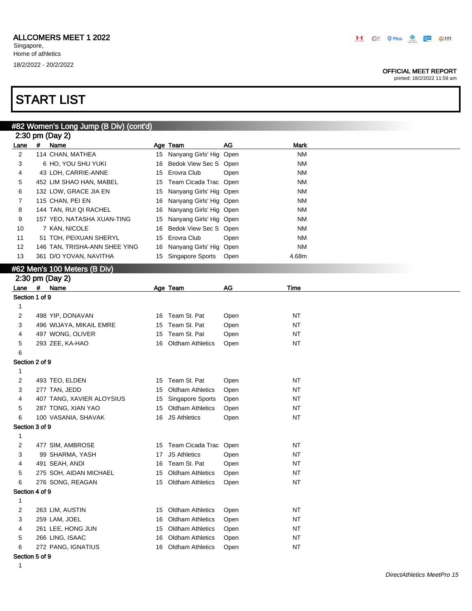#### OFFICIAL MEET REPORT

printed: 18/2/2022 11:59 am

|                |     | #82 Women's Long Jump (B Div) (cont'd) |    |                            |      |             |
|----------------|-----|----------------------------------------|----|----------------------------|------|-------------|
|                |     | 2:30 pm (Day 2)                        |    |                            |      |             |
| Lane           | #   | Name                                   |    | Age Team                   | AG   | <b>Mark</b> |
| $\overline{2}$ |     | 114 CHAN, MATHEA                       |    | 15 Nanyang Girls' Hig Open |      | <b>NM</b>   |
| 3              |     | 6 HO, YOU SHU YUKI                     | 16 | Bedok View Sec S Open      |      | <b>NM</b>   |
| 4              |     | 43 LOH, CARRIE-ANNE                    | 15 | Erovra Club                | Open | <b>NM</b>   |
| 5              |     | 452 LIM SHAO HAN, MABEL                | 15 | Team Cicada Trac Open      |      | <b>NM</b>   |
| 6              |     | 132 LOW, GRACE JIA EN                  | 15 | Nanyang Girls' Hig Open    |      | <b>NM</b>   |
| 7              |     | 115 CHAN, PEI EN                       | 16 | Nanyang Girls' Hig Open    |      | <b>NM</b>   |
| 8              |     | 144 TAN, RUI QI RACHEL                 | 16 | Nanyang Girls' Hig Open    |      | <b>NM</b>   |
| 9              |     | 157 YEO, NATASHA XUAN-TING             | 15 | Nanyang Girls' Hig Open    |      | <b>NM</b>   |
| 10             |     | 7 KAN, NICOLE                          | 16 | Bedok View Sec S Open      |      | <b>NM</b>   |
| 11             |     | 51 TOH, PEIXUAN SHERYL                 | 15 | Erovra Club                | Open | <b>NM</b>   |
| 12             |     | 146 TAN, TRISHA-ANN SHEE YING          | 16 | Nanyang Girls' Hig Open    |      | <b>NM</b>   |
| 13             |     | 361 D/O YOVAN, NAVITHA                 |    | 15 Singapore Sports        | Open | 4.68m       |
|                |     |                                        |    |                            |      |             |
|                |     | #62 Men's 100 Meters (B Div)           |    |                            |      |             |
|                |     | 2:30 pm (Day 2)                        |    |                            |      |             |
| Lane           | #   | Name                                   |    | Age Team                   | AG   | Time        |
| Section 1 of 9 |     |                                        |    |                            |      |             |
| 1              |     |                                        |    |                            |      |             |
| 2              |     | 498 YIP, DONAVAN                       |    | 16 Team St. Pat            | Open | <b>NT</b>   |
| 3              |     | 496 WIJAYA, MIKAIL EMRE                | 15 | Team St. Pat               | Open | <b>NT</b>   |
| 4              |     | 497 WONG, OLIVER                       | 15 | Team St. Pat               | Open | <b>NT</b>   |
| 5              |     | 293 ZEE, KA-HAO                        | 16 | <b>Oldham Athletics</b>    | Open | <b>NT</b>   |
| 6              |     |                                        |    |                            |      |             |
| Section 2 of 9 |     |                                        |    |                            |      |             |
| 1              |     |                                        |    |                            |      |             |
| 2              |     | 493 TEO, ELDEN                         | 15 | Team St. Pat               | Open | <b>NT</b>   |
| 3              |     | 277 TAN, JEDD                          | 15 | <b>Oldham Athletics</b>    | Open | <b>NT</b>   |
| 4              |     | 407 TANG, XAVIER ALOYSIUS              | 15 | Singapore Sports           | Open | <b>NT</b>   |
| 5              |     | 287 TONG, XIAN YAO                     | 15 | <b>Oldham Athletics</b>    | Open | <b>NT</b>   |
| 6              |     | 100 VASANIA, SHAVAK                    |    | 16 JS Athletics            | Open | NT          |
| Section 3 of 9 |     |                                        |    |                            |      |             |
| 1              |     |                                        |    |                            |      |             |
| 2              |     | 477 SIM, AMBROSE                       |    | 15 Team Cicada Trac Open   |      | <b>NT</b>   |
| 3              |     | 99 SHARMA, YASH                        | 17 | <b>JS Athletics</b>        | Open | <b>NT</b>   |
| 4              |     | 491 SEAH, ANDI                         |    | 16 Team St. Pat            | Open | NT          |
| 5              |     | 275 SOH, AIDAN MICHAEL                 | 15 | <b>Oldham Athletics</b>    | Open | <b>NT</b>   |
| 6              |     | 276 SONG, REAGAN                       |    | 15 Oldham Athletics        | Open | <b>NT</b>   |
| Section 4 of 9 |     |                                        |    |                            |      |             |
| 1              |     |                                        |    |                            |      |             |
| 2              |     | 263 LIM, AUSTIN                        | 15 | <b>Oldham Athletics</b>    | Open | <b>NT</b>   |
| 3              |     | 259 LAM, JOEL                          | 16 | <b>Oldham Athletics</b>    | Open | <b>NT</b>   |
| 4              |     | 261 LEE, HONG JUN                      | 15 | <b>Oldham Athletics</b>    | Open | <b>NT</b>   |
| 5              |     | 266 LING, ISAAC                        | 16 | <b>Oldham Athletics</b>    | Open | <b>NT</b>   |
| 6              |     | 272 PANG, IGNATIUS                     |    | 16 Oldham Athletics        | Open | <b>NT</b>   |
|                | -40 |                                        |    |                            |      |             |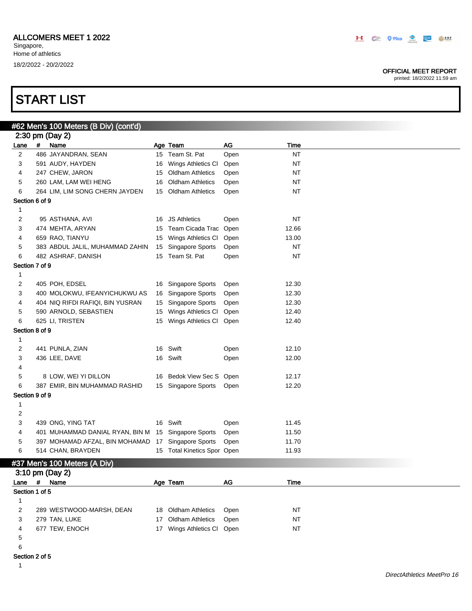#### OFFICIAL MEET REPORT

printed: 18/2/2022 11:59 am

|                |            | #62 Men's 100 Meters (B Div) (cont'd) |    |                             |      |           |  |
|----------------|------------|---------------------------------------|----|-----------------------------|------|-----------|--|
|                |            | 2:30 pm (Day 2)                       |    |                             |      |           |  |
| Lane           | #          | Name                                  |    | Age Team                    | AG   | Time      |  |
| $\overline{2}$ |            | 486 JAYANDRAN, SEAN                   |    | 15 Team St. Pat             | Open | <b>NT</b> |  |
| 3              |            | 591 AUDY, HAYDEN                      | 16 | Wings Athletics CI          | Open | <b>NT</b> |  |
| 4              |            | 247 CHEW, JARON                       | 15 | <b>Oldham Athletics</b>     | Open | ΝT        |  |
| 5              |            | 260 LAM, LAM WEI HENG                 | 16 | <b>Oldham Athletics</b>     | Open | <b>NT</b> |  |
| 6              |            | 264 LIM, LIM SONG CHERN JAYDEN        |    | 15 Oldham Athletics         | Open | <b>NT</b> |  |
| Section 6 of 9 |            |                                       |    |                             |      |           |  |
| $\mathbf{1}$   |            |                                       |    |                             |      |           |  |
| 2              |            | 95 ASTHANA, AVI                       |    | 16 JS Athletics             | Open | <b>NT</b> |  |
| 3              |            | 474 MEHTA, ARYAN                      | 15 | Team Cicada Trac            | Open | 12.66     |  |
| 4              |            | 659 RAO, TIANYU                       | 15 | Wings Athletics CI          | Open | 13.00     |  |
| 5              |            | 383 ABDUL JALIL, MUHAMMAD ZAHIN       | 15 | Singapore Sports            | Open | <b>NT</b> |  |
| 6              |            | 482 ASHRAF, DANISH                    |    | 15 Team St. Pat             | Open | <b>NT</b> |  |
| Section 7 of 9 |            |                                       |    |                             |      |           |  |
| $\mathbf{1}$   |            |                                       |    |                             |      |           |  |
| 2              |            | 405 POH, EDSEL                        |    | 16 Singapore Sports         | Open | 12.30     |  |
| 3              |            | 400 MOLOKWU, IFEANYICHUKWU AS         | 16 | <b>Singapore Sports</b>     | Open | 12.30     |  |
| 4              |            | 404 NIQ RIFDI RAFIQI, BIN YUSRAN      | 15 | <b>Singapore Sports</b>     | Open | 12.30     |  |
| 5              |            | 590 ARNOLD, SEBASTIEN                 | 15 | Wings Athletics CI          | Open | 12.40     |  |
| 6              |            | 625 LI, TRISTEN                       |    | 15 Wings Athletics CI       | Open | 12.40     |  |
| Section 8 of 9 |            |                                       |    |                             |      |           |  |
| $\mathbf{1}$   |            |                                       |    |                             |      |           |  |
| 2              |            | 441 PUNLA, ZIAN                       |    | 16 Swift                    | Open | 12.10     |  |
| 3              |            | 436 LEE, DAVE                         |    | 16 Swift                    | Open | 12.00     |  |
| 4              |            |                                       |    |                             |      |           |  |
| 5              |            | 8 LOW, WEI YI DILLON                  |    | 16 Bedok View Sec S         | Open | 12.17     |  |
| 6              |            | 387 EMIR, BIN MUHAMMAD RASHID         |    | 15 Singapore Sports         | Open | 12.20     |  |
| Section 9 of 9 |            |                                       |    |                             |      |           |  |
| $\mathbf{1}$   |            |                                       |    |                             |      |           |  |
| 2              |            |                                       |    |                             |      |           |  |
| 3              |            | 439 ONG, YING TAT                     |    | 16 Swift                    | Open | 11.45     |  |
| 4              |            | 401 MUHAMMAD DANIAL RYAN, BIN M       |    | 15 Singapore Sports         | Open | 11.50     |  |
| 5              |            | 397 MOHAMAD AFZAL, BIN MOHAMAD        | 17 | Singapore Sports            | Open | 11.70     |  |
| 6              |            | 514 CHAN, BRAYDEN                     |    | 15 Total Kinetics Spor Open |      | 11.93     |  |
|                |            | #37 Men's 100 Meters (A Div)          |    |                             |      |           |  |
|                |            | 3:10 pm (Day 2)                       |    |                             |      |           |  |
| Lane           | $\pmb{\#}$ | Name                                  |    | Age Team                    | AG   | Time      |  |
| Section 1 of 5 |            |                                       |    |                             |      |           |  |
| $\mathbf{1}$   |            |                                       |    |                             |      |           |  |
| $\overline{c}$ |            | 289 WESTWOOD-MARSH, DEAN              | 18 | <b>Oldham Athletics</b>     | Open | <b>NT</b> |  |
| 3              |            | 279 TAN, LUKE                         | 17 | <b>Oldham Athletics</b>     | Open | <b>NT</b> |  |
| 4              |            | 677 TEW, ENOCH                        |    | 17 Wings Athletics CI       | Open | <b>NT</b> |  |
| 5              |            |                                       |    |                             |      |           |  |

- 
- Section 2 of 5
	-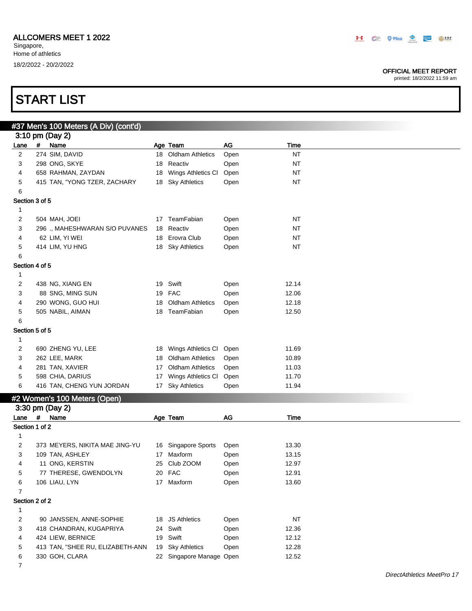#### OFFICIAL MEET REPORT

printed: 18/2/2022 11:59 am

|                |   | #37 Men's 100 Meters (A Div) (cont'd) |    |                          |      |           |
|----------------|---|---------------------------------------|----|--------------------------|------|-----------|
|                |   | 3:10 pm (Day 2)                       |    |                          |      |           |
| Lane           | # | Name                                  |    | Age Team                 | $AG$ | Time      |
| $\overline{c}$ |   | 274 SIM, DAVID                        |    | 18 Oldham Athletics      | Open | <b>NT</b> |
| 3              |   | 298 ONG, SKYE                         | 18 | Reactiv                  | Open | <b>NT</b> |
| 4              |   | 658 RAHMAN, ZAYDAN                    | 18 | Wings Athletics Cl       | Open | <b>NT</b> |
| 5              |   | 415 TAN, "YONG TZER, ZACHARY          |    | 18 Sky Athletics         | Open | <b>NT</b> |
| 6              |   |                                       |    |                          |      |           |
| Section 3 of 5 |   |                                       |    |                          |      |           |
| 1              |   |                                       |    |                          |      |           |
| 2              |   | 504 MAH, JOEI                         |    | 17 TeamFabian            | Open | <b>NT</b> |
| 3              |   | 296 ., MAHESHWARAN S/O PUVANES        | 18 | Reactiv                  | Open | <b>NT</b> |
| 4              |   | 62 LIM, YI WEI                        |    | 18 Erovra Club           | Open | <b>NT</b> |
| 5              |   | 414 LIM, YU HNG                       |    | 18 Sky Athletics         | Open | <b>NT</b> |
| 6              |   |                                       |    |                          |      |           |
| Section 4 of 5 |   |                                       |    |                          |      |           |
| 1              |   |                                       |    |                          |      |           |
| 2              |   | 438 NG, XIANG EN                      | 19 | Swift                    | Open | 12.14     |
| 3              |   | 88 SNG, MING SUN                      | 19 | <b>FAC</b>               | Open | 12.06     |
| 4              |   | 290 WONG, GUO HUI                     | 18 | <b>Oldham Athletics</b>  | Open | 12.18     |
| 5              |   | 505 NABIL, AIMAN                      |    | 18 TeamFabian            | Open | 12.50     |
| 6              |   |                                       |    |                          |      |           |
| Section 5 of 5 |   |                                       |    |                          |      |           |
| 1              |   |                                       |    |                          |      |           |
| $\overline{c}$ |   | 690 ZHENG YU, LEE                     |    | 18 Wings Athletics CI    | Open | 11.69     |
| 3              |   | 262 LEE, MARK                         | 18 | <b>Oldham Athletics</b>  | Open | 10.89     |
| 4              |   | 281 TAN, XAVIER                       | 17 | <b>Oldham Athletics</b>  | Open | 11.03     |
| 5              |   | 598 CHIA, DARIUS                      | 17 | Wings Athletics CI       | Open | 11.70     |
| 6              |   | 416 TAN, CHENG YUN JORDAN             |    | 17 Sky Athletics         | Open | 11.94     |
|                |   |                                       |    |                          |      |           |
|                |   | #2 Women's 100 Meters (Open)          |    |                          |      |           |
|                |   | 3:30 pm (Day 2)                       |    |                          |      |           |
| Lane           | # | Name                                  |    | Age Team                 | AG   | Time      |
| Section 1 of 2 |   |                                       |    |                          |      |           |
| 1              |   |                                       |    |                          |      |           |
| 2              |   | 373 MEYERS, NIKITA MAE JING-YU        |    | 16 Singapore Sports      | Open | 13.30     |
| 3              |   | 109 TAN, ASHLEY                       | 17 | Maxform                  | Open | 13.15     |
| 4              |   | 11 ONG, KERSTIN                       | 25 | Club ZOOM                | Open | 12.97     |
| 5              |   | 77 THERESE, GWENDOLYN                 |    | 20 FAC                   | Open | 12.91     |
| 6              |   | 106 LIAU, LYN                         |    | 17 Maxform               | Open | 13.60     |
| $\overline{7}$ |   |                                       |    |                          |      |           |
| Section 2 of 2 |   |                                       |    |                          |      |           |
| 1              |   |                                       |    |                          |      |           |
| 2              |   | 90 JANSSEN, ANNE-SOPHIE               | 18 | <b>JS Athletics</b>      | Open | NT        |
| 3              |   | 418 CHANDRAN, KUGAPRIYA               | 24 | Swift                    | Open | 12.36     |
| 4              |   | 424 LIEW, BERNICE                     |    | 19 Swift                 | Open | 12.12     |
| 5              |   | 413 TAN, "SHEE RU, ELIZABETH-ANN      |    | 19 Sky Athletics         | Open | 12.28     |
| 6              |   | 330 GOH, CLARA                        |    | 22 Singapore Manage Open |      | 12.52     |
| $\overline{7}$ |   |                                       |    |                          |      |           |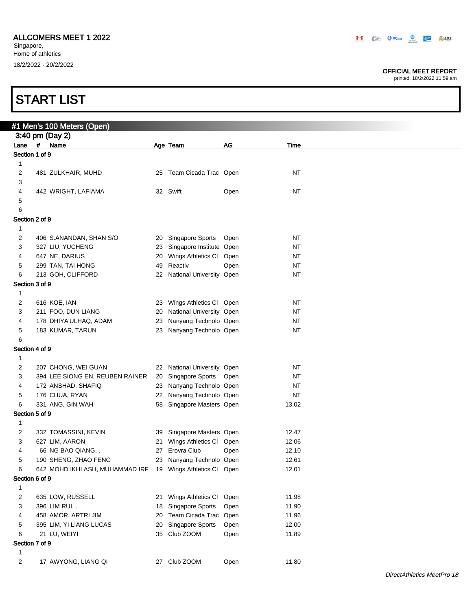#### OFFICIAL MEET REPORT

printed: 18/2/2022 11:59 am

|                | #1 Men's 100 Meters (Open)                                |                             |      |           |  |
|----------------|-----------------------------------------------------------|-----------------------------|------|-----------|--|
|                | 3:40 pm (Day 2)                                           |                             |      |           |  |
|                | Lane # Name                                               | Age Team                    | AG   | Time      |  |
| Section 1 of 9 |                                                           |                             |      |           |  |
| 1              |                                                           |                             |      |           |  |
| 2              | 481 ZULKHAIR, MUHD                                        | 25 Team Cicada Trac Open    |      | <b>NT</b> |  |
| 3              |                                                           |                             |      |           |  |
| 4              | 442 WRIGHT, LAFIAMA                                       | 32 Swift                    | Open | <b>NT</b> |  |
| 5              |                                                           |                             |      |           |  |
| 6              |                                                           |                             |      |           |  |
| Section 2 of 9 |                                                           |                             |      |           |  |
| 1              |                                                           |                             |      |           |  |
| 2              | 406 S.ANANDAN, SHAN S/O                                   | 20 Singapore Sports         | Open | <b>NT</b> |  |
| 3              | 327 LIU, YUCHENG                                          | 23 Singapore Institute Open |      | NT        |  |
| 4              | 647 NE, DARIUS                                            | 20 Wings Athletics Cl Open  |      | <b>NT</b> |  |
| 5              | 299 TAN, TAI HONG                                         | 49 Reactiv                  | Open | <b>NT</b> |  |
| 6              | 213 GOH, CLIFFORD                                         | 22 National University Open |      | NT        |  |
| Section 3 of 9 |                                                           |                             |      |           |  |
| 1              |                                                           |                             |      |           |  |
| 2              | 616 KOE, IAN                                              | 23 Wings Athletics Cl Open  |      | NT        |  |
| 3              | 211 FOO, DUN LIANG                                        | 20 National University Open |      | <b>NT</b> |  |
| 4              | 178 DHIYA'ULHAQ, ADAM                                     | 23 Nanyang Technolo Open    |      | <b>NT</b> |  |
| 5              | 183 KUMAR, TARUN                                          | 23 Nanyang Technolo Open    |      | NT        |  |
| 6              |                                                           |                             |      |           |  |
| Section 4 of 9 |                                                           |                             |      |           |  |
| 1              |                                                           |                             |      |           |  |
| 2              | 207 CHONG, WEI GUAN                                       | 22 National University Open |      | NT        |  |
| 3              | 394 LEE SIONG EN, REUBEN RAINER                           | 20 Singapore Sports Open    |      | NT        |  |
| 4              | 172 ANSHAD, SHAFIQ                                        | 23 Nanyang Technolo Open    |      | <b>NT</b> |  |
| 5              | 176 CHUA, RYAN                                            | 22 Nanyang Technolo Open    |      | <b>NT</b> |  |
| 6              | 331 ANG, GIN WAH                                          | 58 Singapore Masters Open   |      | 13.02     |  |
| Section 5 of 9 |                                                           |                             |      |           |  |
| 1              |                                                           |                             |      |           |  |
| 2              | 332 TOMASSINI, KEVIN                                      | 39 Singapore Masters Open   |      | 12.47     |  |
| 3              | 627 LIM, AARON                                            | 21 Wings Athletics Cl Open  |      | 12.06     |  |
| 4              | 66 NG BAO QIANG, .                                        | 27 Erovra Club              | Open | 12.10     |  |
| 5              | 190 SHENG, ZHAO FENG                                      | 23 Nanyang Technolo Open    |      | 12.61     |  |
|                | 642 MOHD IKHLASH, MUHAMMAD IRF 19 Wings Athletics Cl Open |                             |      | 12.01     |  |
| Section 6 of 9 |                                                           |                             |      |           |  |
| 1              |                                                           |                             |      |           |  |
| 2              | 635 LOW, RUSSELL                                          | 21 Wings Athletics CI       | Open | 11.98     |  |
| 3              | 396 LIM RUI, .                                            | 18 Singapore Sports         | Open | 11.90     |  |
| 4              | 458 AMOR, ARTRI JIM                                       | 20 Team Cicada Trac Open    |      | 11.96     |  |
| 5              | 395 LIM, YI LIANG LUCAS                                   | 20 Singapore Sports         | Open | 12.00     |  |
| 6              | 21 LU, WEIYI                                              | 35 Club ZOOM                | Open | 11.89     |  |
| Section 7 of 9 |                                                           |                             |      |           |  |
| 1              |                                                           |                             |      |           |  |
| 2              | 17 AWYONG, LIANG QI                                       | 27 Club ZOOM                | Open | 11.80     |  |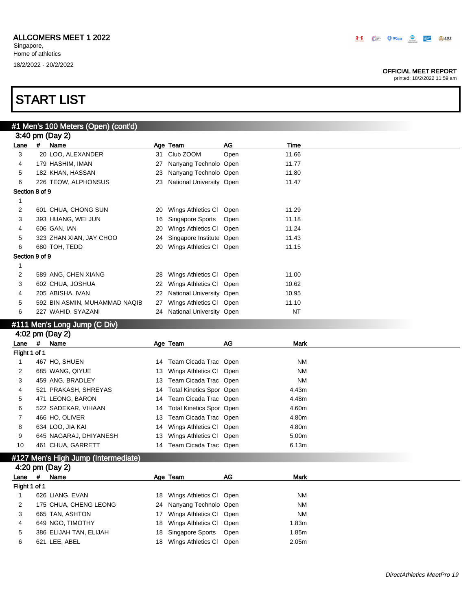#### OFFICIAL MEET REPORT

printed: 18/2/2022 11:59 am

# START LIST

|                |   | #1 Men's 100 Meters (Open) (cont'd) |    |                                 |      |             |
|----------------|---|-------------------------------------|----|---------------------------------|------|-------------|
|                |   | 3:40 pm (Day 2)                     |    |                                 |      |             |
| Lane           | # | Name                                |    | Age Team                        | AG   | Time        |
| 3              |   | 20 LOO, ALEXANDER                   | 31 | Club ZOOM                       | Open | 11.66       |
| 4              |   | 179 HASHIM, IMAN                    | 27 | Nanyang Technolo Open           |      | 11.77       |
| 5              |   | 182 KHAN, HASSAN                    | 23 | Nanyang Technolo Open           |      | 11.80       |
| 6              |   | 226 TEOW, ALPHONSUS                 | 23 | National University Open        |      | 11.47       |
| Section 8 of 9 |   |                                     |    |                                 |      |             |
| 1              |   |                                     |    |                                 |      |             |
| 2              |   | 601 CHUA, CHONG SUN                 | 20 | Wings Athletics CI              | Open | 11.29       |
| 3              |   | 393 HUANG, WEI JUN                  | 16 | Singapore Sports                | Open | 11.18       |
| 4              |   | 606 GAN, IAN                        | 20 | Wings Athletics CI              | Open | 11.24       |
| 5              |   | 323 ZHAN XIAN, JAY CHOO             | 24 | Singapore Institute Open        |      | 11.43       |
| 6              |   | 680 TOH, TEDD                       | 20 | Wings Athletics Cl Open         |      | 11.15       |
| Section 9 of 9 |   |                                     |    |                                 |      |             |
| 1              |   |                                     |    |                                 |      |             |
| 2              |   | 589 ANG, CHEN XIANG                 | 28 | Wings Athletics CI              | Open | 11.00       |
| 3              |   | 602 CHUA, JOSHUA                    | 22 | Wings Athletics CI              | Open | 10.62       |
| 4              |   | 205 ABISHA, IVAN                    | 22 | National University Open        |      | 10.95       |
| 5              |   | 592 BIN ASMIN, MUHAMMAD NAQIB       | 27 | Wings Athletics Cl Open         |      | 11.10       |
| 6              |   | 227 WAHID, SYAZANI                  |    | 24 National University Open     |      | <b>NT</b>   |
|                |   | #111 Men's Long Jump (C Div)        |    |                                 |      |             |
|                |   | 4:02 pm (Day 2)                     |    |                                 |      |             |
| Lane           | # | Name                                |    | Age Team                        | AG   | <b>Mark</b> |
| Flight 1 of 1  |   |                                     |    |                                 |      |             |
| 1              |   | 467 HO, SHUEN                       | 14 | Team Cicada Trac                | Open | <b>NM</b>   |
| 2              |   | 685 WANG, QIYUE                     | 13 | Wings Athletics Cl Open         |      | <b>NM</b>   |
| 3              |   | 459 ANG, BRADLEY                    | 13 | Team Cicada Trac Open           |      | <b>NM</b>   |
| 4              |   | 521 PRAKASH, SHREYAS                | 14 | <b>Total Kinetics Spor Open</b> |      | 4.43m       |
| 5              |   | 471 LEONG, BARON                    | 14 | Team Cicada Trac Open           |      | 4.48m       |
| 6              |   | 522 SADEKAR, VIHAAN                 | 14 | <b>Total Kinetics Spor Open</b> |      | 4.60m       |

| 8  | 634 LOO, JIA KAI                    | 14 Wings Athletics CI Open | 4.80m |
|----|-------------------------------------|----------------------------|-------|
| 9  | 645 NAGARAJ, DHIYANESH              | 13 Wings Athletics CI Open | 5.00m |
| 10 | 461 CHUA, GARRETT                   | 14 Team Cicada Trac Open   | 6.13m |
|    | #127 Men's High Jump (Intermediate) |                            |       |
|    | 4:20 pm (Day 2)                     |                            |       |
|    |                                     |                            |       |

7 466 HO, OLIVER 13 Team Cicada Trac Open 4.80m

|               |    | 4:20 pm (Day 2)        |                            |      |                   |
|---------------|----|------------------------|----------------------------|------|-------------------|
| Lane          | -# | Name                   | Age Team                   | AG.  | <b>Mark</b>       |
| Flight 1 of 1 |    |                        |                            |      |                   |
|               |    | 626 LIANG, EVAN        | 18 Wings Athletics CI Open |      | NM                |
|               |    | 175 CHUA, CHENG LEONG  | 24 Nanyang Technolo Open   |      | NM                |
| 3             |    | 665 TAN, ASHTON        | 17 Wings Athletics CI Open |      | NM                |
| 4             |    | 649 NGO, TIMOTHY       | 18 Wings Athletics CI Open |      | 1.83m             |
| 5             |    | 386 ELIJAH TAN, ELIJAH | 18 Singapore Sports        | Open | l.85m             |
| 6             |    | 621 LEE, ABEL          | 18 Wings Athletics CI Open |      | 2.05 <sub>m</sub> |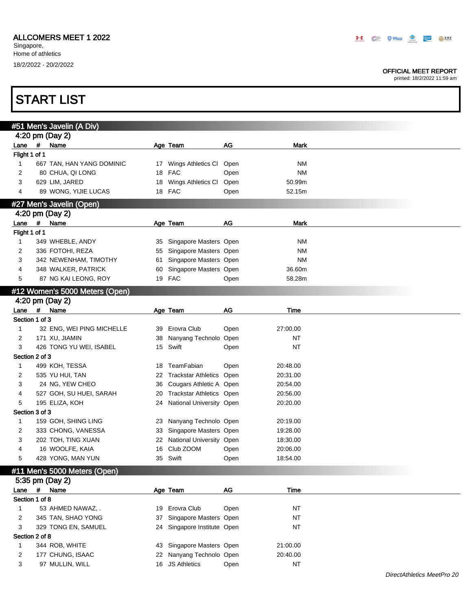#### OFFICIAL MEET REPORT

|                | <b>START LIST</b>              |    |                             |      |             |  |
|----------------|--------------------------------|----|-----------------------------|------|-------------|--|
|                | #51 Men's Javelin (A Div)      |    |                             |      |             |  |
|                | 4:20 pm (Day 2)                |    |                             |      |             |  |
| Lane           | $\overline{t}$<br>Name         |    | Age Team                    | AG   | <b>Mark</b> |  |
| Flight 1 of 1  |                                |    |                             |      |             |  |
| 1              | 667 TAN, HAN YANG DOMINIC      |    | 17 Wings Athletics CI Open  |      | NM          |  |
| 2              | 80 CHUA, QI LONG               | 18 | <b>FAC</b>                  | Open | <b>NM</b>   |  |
| 3              | 629 LIM, JARED                 | 18 | Wings Athletics CI          | Open | 50.99m      |  |
| 4              | 89 WONG, YIJIE LUCAS           |    | 18 FAC                      | Open | 52.15m      |  |
|                | #27 Men's Javelin (Open)       |    |                             |      |             |  |
|                | 4:20 pm (Day 2)                |    |                             |      |             |  |
| Lane           | #<br>Name                      |    | Age Team                    | AG   | <b>Mark</b> |  |
| Flight 1 of 1  |                                |    |                             |      |             |  |
| 1              | 349 WHEBLE, ANDY               |    | 35 Singapore Masters Open   |      | NM          |  |
| $\overline{c}$ | 336 FOTOHI, REZA               |    | 55 Singapore Masters Open   |      | NM          |  |
| 3              | 342 NEWENHAM, TIMOTHY          | 61 | Singapore Masters Open      |      | <b>NM</b>   |  |
| 4              | 348 WALKER, PATRICK            | 60 | Singapore Masters Open      |      | 36.60m      |  |
| 5              | 87 NG KAI LEONG, ROY           |    | 19 FAC                      | Open | 58.28m      |  |
|                |                                |    |                             |      |             |  |
|                | #12 Women's 5000 Meters (Open) |    |                             |      |             |  |
|                | 4:20 pm (Day 2)                |    |                             |      |             |  |
|                | Lane # Name                    |    | Age Team                    | AG   | Time        |  |
|                | Section 1 of 3                 |    |                             |      |             |  |
| 1              | 32 ENG, WEI PING MICHELLE      |    | 39 Erovra Club              | Open | 27:00.00    |  |
| 2              | 171 XU, JIAMIN                 | 38 | Nanyang Technolo Open       |      | NT          |  |
| 3              | 426 TONG YU WEI, ISABEL        |    | 15 Swift                    | Open | <b>NT</b>   |  |
|                | Section 2 of 3                 |    |                             |      |             |  |
| 1              | 499 KOH, TESSA                 |    | 18 TeamFabian               | Open | 20:48.00    |  |
| 2              | 535 YU HUI, TAN                | 22 | Trackstar Athletics Open    |      | 20:31.00    |  |
| 3              | 24 NG, YEW CHEO                | 36 | Cougars Athletic A Open     |      | 20:54.00    |  |
| 4              | 527 GOH, SU HUEI, SARAH        | 20 | Trackstar Athletics Open    |      | 20:56.00    |  |
| 5              | 195 ELIZA, KOH                 | 24 | National University Open    |      | 20:20.00    |  |
|                | Section 3 of 3                 |    |                             |      |             |  |
| 1              | 159 GOH, SHING LING            |    | 23 Nanyang Technolo Open    |      | 20:19.00    |  |
| 2              | 333 CHONG, VANESSA             |    | 33 Singapore Masters Open   |      | 19:28.00    |  |
| 3              | 202 TOH, TING XUAN             |    | 22 National University Open |      | 18:30.00    |  |
| 4              | 16 WOOLFE, KAIA                |    | 16 Club ZOOM                | Open | 20:06.00    |  |
| 5              | 428 YONG, MAN YUN              |    | 35 Swift                    | Open | 18:54.00    |  |
|                | #11 Men's 5000 Meters (Open)   |    |                             |      |             |  |
|                | 5:35 pm (Day 2)                |    |                             |      |             |  |
| Lane           | # Name                         |    | Age Team                    | AG   | Time        |  |
|                | Section 1 of 8                 |    |                             |      |             |  |
| $\mathbf{1}$   | 53 AHMED NAWAZ, .              |    | 19 Erovra Club              | Open | NT          |  |
| 2              | 345 TAN, SHAO YONG             |    | 37 Singapore Masters Open   |      | <b>NT</b>   |  |
| 3              | 329 TONG EN, SAMUEL            |    | 24 Singapore Institute Open |      | <b>NT</b>   |  |
|                | Section 2 of 8                 |    |                             |      |             |  |
| $\mathbf{1}$   | 344 ROB, WHITE                 |    | 43 Singapore Masters Open   |      | 21:00.00    |  |
| 2              | 177 CHUNG, ISAAC               | 22 | Nanyang Technolo Open       |      | 20:40.00    |  |
| 3              | 97 MULLIN, WILL                |    | 16 JS Athletics             | Open | <b>NT</b>   |  |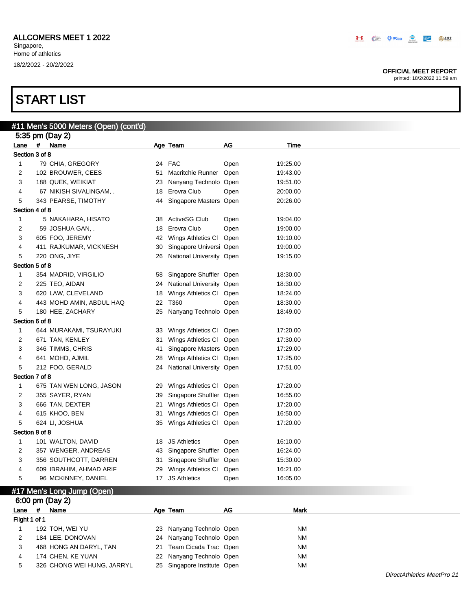#### OFFICIAL MEET REPORT

|                |             | #11 Men's 5000 Meters (Open) (cont'd) |    |                             |      |             |  |
|----------------|-------------|---------------------------------------|----|-----------------------------|------|-------------|--|
|                |             | 5:35 pm (Day 2)                       |    |                             |      |             |  |
| Lane           |             | # Name                                |    | Age Team                    | AG   | Time        |  |
| Section 3 of 8 |             |                                       |    |                             |      |             |  |
| 1              |             | 79 CHIA, GREGORY                      |    | 24 FAC                      | Open | 19:25.00    |  |
| 2              |             | 102 BROUWER, CEES                     | 51 | <b>Macritchie Runner</b>    | Open | 19:43.00    |  |
| 3              |             | 188 QUEK, WEIKIAT                     | 23 | Nanyang Technolo            | Open | 19:51.00    |  |
| 4              |             | 67 NIKISH SIVALINGAM, .               | 18 | Erovra Club                 | Open | 20:00.00    |  |
| 5              |             | 343 PEARSE, TIMOTHY                   |    | 44 Singapore Masters Open   |      | 20:26.00    |  |
| Section 4 of 8 |             |                                       |    |                             |      |             |  |
| 1              |             | 5 NAKAHARA, HISATO                    |    | 38 ActiveSG Club            | Open | 19:04.00    |  |
| 2              |             | 59 JOSHUA GAN, .                      | 18 | Erovra Club                 | Open | 19:00.00    |  |
| 3              |             | 605 FOO, JEREMY                       | 42 | Wings Athletics CI          | Open | 19:10.00    |  |
| 4              |             | 411 RAJKUMAR, VICKNESH                | 30 | Singapore Universi Open     |      | 19:00.00    |  |
| 5              |             | 220 ONG, JIYE                         | 26 | National University Open    |      | 19:15.00    |  |
| Section 5 of 8 |             |                                       |    |                             |      |             |  |
| 1              |             | 354 MADRID, VIRGILIO                  | 58 | Singapore Shuffler Open     |      | 18:30.00    |  |
| 2              |             | 225 TEO, AIDAN                        | 24 | <b>National University</b>  | Open | 18:30.00    |  |
| 3              |             | 620 LAW, CLEVELAND                    | 18 | Wings Athletics CI          | Open | 18:24.00    |  |
| 4              |             | 443 MOHD AMIN, ABDUL HAQ              | 22 | T360                        | Open | 18:30.00    |  |
| 5              |             | 180 HEE, ZACHARY                      | 25 | Nanyang Technolo Open       |      | 18:49.00    |  |
| Section 6 of 8 |             |                                       |    |                             |      |             |  |
| 1              |             | 644 MURAKAMI, TSURAYUKI               | 33 | Wings Athletics CI          | Open | 17:20.00    |  |
| 2              |             | 671 TAN, KENLEY                       | 31 | Wings Athletics CI          | Open | 17:30.00    |  |
| 3              |             | 346 TIMMS, CHRIS                      | 41 | Singapore Masters Open      |      | 17:29.00    |  |
| 4              |             | 641 MOHD, AJMIL                       | 28 | Wings Athletics CI          | Open | 17:25.00    |  |
| 5              |             | 212 FOO, GERALD                       |    | 24 National University Open |      | 17:51.00    |  |
| Section 7 of 8 |             |                                       |    |                             |      |             |  |
| 1              |             | 675 TAN WEN LONG, JASON               | 29 | Wings Athletics CI          | Open | 17:20.00    |  |
| 2              |             | 355 SAYER, RYAN                       | 39 | Singapore Shuffler          | Open | 16:55.00    |  |
| 3              |             | 666 TAN, DEXTER                       | 21 | Wings Athletics CI          | Open | 17:20.00    |  |
| 4              |             | 615 KHOO, BEN                         | 31 | Wings Athletics CI          | Open | 16:50.00    |  |
| 5              |             | 624 LI, JOSHUA                        | 35 | Wings Athletics CI          | Open | 17:20.00    |  |
| Section 8 of 8 |             |                                       |    |                             |      |             |  |
| 1              |             | 101 WALTON, DAVID                     |    | 18 JS Athletics             | Open | 16:10.00    |  |
| 2              |             | 357 WENGER, ANDREAS                   | 43 | Singapore Shuffler          | Open | 16:24.00    |  |
| 3              |             | 356 SOUTHCOTT, DARREN                 | 31 | Singapore Shuffler Open     |      | 15:30.00    |  |
| 4              |             | 609 IBRAHIM, AHMAD ARIF               |    | 29 Wings Athletics CI       | Open | 16:21.00    |  |
| 5              |             | 96 MCKINNEY, DANIEL                   |    | 17 JS Athletics             | Open | 16:05.00    |  |
|                |             | #17 Men's Long Jump (Open)            |    |                             |      |             |  |
|                |             | 6:00 pm (Day 2)                       |    |                             |      |             |  |
| Lane           | $\pmb{\mu}$ | Name                                  |    | Age Team                    | AG   | <b>Mark</b> |  |
| Flight 1 of 1  |             |                                       |    |                             |      |             |  |
|                |             | 102TOLWETVII                          |    | 22 Nonvang Tochnolo Oper    |      | <b>NIM</b>  |  |

| Flight 1 of 1 |                            |                             |           |
|---------------|----------------------------|-----------------------------|-----------|
|               | 192 TOH, WEI YU            | 23 Nanyang Technolo Open    | <b>NM</b> |
|               | 184 LEE, DONOVAN           | 24 Nanyang Technolo Open    | <b>NM</b> |
|               | 468 HONG AN DARYL, TAN     | 21 Team Cicada Trac Open    | <b>NM</b> |
|               | 174 CHEN, KE YUAN          | 22 Nanyang Technolo Open    | <b>NM</b> |
|               | 326 CHONG WEI HUNG, JARRYL | 25 Singapore Institute Open | <b>NM</b> |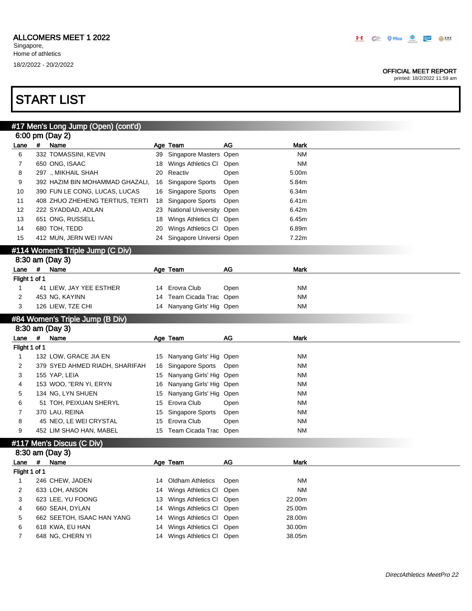#### OFFICIAL MEET REPORT

printed: 18/2/2022 11:59 am

| #17 Men's Long Jump (Open) (cont'd)<br>6:00 pm (Day 2)<br>#<br>Name<br>Age Team<br>AG<br><b>Mark</b><br>Lane<br>332 TOMASSINI, KEVIN<br>Singapore Masters Open<br><b>NM</b><br>6<br>39<br>650 ONG, ISAAC<br><b>NM</b><br>Wings Athletics CI<br>7<br>Open<br>18<br>8<br>Reactiv<br>5.00m<br>297 ., MIKHAIL SHAH<br>20<br>Open<br>9<br>392 HAZIM BIN MOHAMMAD GHAZALI,<br>Singapore Sports<br>Open<br>5.84m<br>16<br>10<br>390 FUN LE CONG, LUCAS, LUCAS<br>Singapore Sports<br>6.34m<br>Open<br>16<br>11<br>408 ZHUO ZHEHENG TERTIUS, TERTI<br>Singapore Sports<br>6.41m<br>Open<br>18<br>12<br>222 SYADDAD, ADLAN<br>National University Open<br>6.42m<br>23<br>13<br>651 ONG, RUSSELL<br>Wings Athletics CI<br>6.45m<br>18<br>Open<br>680 TOH, TEDD<br>14<br>Wings Athletics CI<br>6.89m<br>20<br>Open<br>Singapore Universi Open<br>7.22m<br>15<br>412 MUN, JERN WEI IVAN<br>24<br>#114 Women's Triple Jump (C Div)<br>8:30 am (Day 3)<br>AG<br>#<br>Lane<br>Name<br>Age Team<br>Mark<br>Flight 1 of 1<br>Erovra Club<br>1<br>41 LIEW, JAY YEE ESTHER<br>Open<br>ΝM<br>14 |  |
|-----------------------------------------------------------------------------------------------------------------------------------------------------------------------------------------------------------------------------------------------------------------------------------------------------------------------------------------------------------------------------------------------------------------------------------------------------------------------------------------------------------------------------------------------------------------------------------------------------------------------------------------------------------------------------------------------------------------------------------------------------------------------------------------------------------------------------------------------------------------------------------------------------------------------------------------------------------------------------------------------------------------------------------------------------------------------------|--|
|                                                                                                                                                                                                                                                                                                                                                                                                                                                                                                                                                                                                                                                                                                                                                                                                                                                                                                                                                                                                                                                                             |  |
|                                                                                                                                                                                                                                                                                                                                                                                                                                                                                                                                                                                                                                                                                                                                                                                                                                                                                                                                                                                                                                                                             |  |
|                                                                                                                                                                                                                                                                                                                                                                                                                                                                                                                                                                                                                                                                                                                                                                                                                                                                                                                                                                                                                                                                             |  |
|                                                                                                                                                                                                                                                                                                                                                                                                                                                                                                                                                                                                                                                                                                                                                                                                                                                                                                                                                                                                                                                                             |  |
|                                                                                                                                                                                                                                                                                                                                                                                                                                                                                                                                                                                                                                                                                                                                                                                                                                                                                                                                                                                                                                                                             |  |
|                                                                                                                                                                                                                                                                                                                                                                                                                                                                                                                                                                                                                                                                                                                                                                                                                                                                                                                                                                                                                                                                             |  |
|                                                                                                                                                                                                                                                                                                                                                                                                                                                                                                                                                                                                                                                                                                                                                                                                                                                                                                                                                                                                                                                                             |  |
|                                                                                                                                                                                                                                                                                                                                                                                                                                                                                                                                                                                                                                                                                                                                                                                                                                                                                                                                                                                                                                                                             |  |
|                                                                                                                                                                                                                                                                                                                                                                                                                                                                                                                                                                                                                                                                                                                                                                                                                                                                                                                                                                                                                                                                             |  |
|                                                                                                                                                                                                                                                                                                                                                                                                                                                                                                                                                                                                                                                                                                                                                                                                                                                                                                                                                                                                                                                                             |  |
|                                                                                                                                                                                                                                                                                                                                                                                                                                                                                                                                                                                                                                                                                                                                                                                                                                                                                                                                                                                                                                                                             |  |
|                                                                                                                                                                                                                                                                                                                                                                                                                                                                                                                                                                                                                                                                                                                                                                                                                                                                                                                                                                                                                                                                             |  |
|                                                                                                                                                                                                                                                                                                                                                                                                                                                                                                                                                                                                                                                                                                                                                                                                                                                                                                                                                                                                                                                                             |  |
|                                                                                                                                                                                                                                                                                                                                                                                                                                                                                                                                                                                                                                                                                                                                                                                                                                                                                                                                                                                                                                                                             |  |
|                                                                                                                                                                                                                                                                                                                                                                                                                                                                                                                                                                                                                                                                                                                                                                                                                                                                                                                                                                                                                                                                             |  |
|                                                                                                                                                                                                                                                                                                                                                                                                                                                                                                                                                                                                                                                                                                                                                                                                                                                                                                                                                                                                                                                                             |  |
|                                                                                                                                                                                                                                                                                                                                                                                                                                                                                                                                                                                                                                                                                                                                                                                                                                                                                                                                                                                                                                                                             |  |
| 2<br>Team Cicada Trac Open<br>ΝM<br>453 NG, KAYINN<br>14                                                                                                                                                                                                                                                                                                                                                                                                                                                                                                                                                                                                                                                                                                                                                                                                                                                                                                                                                                                                                    |  |
| 3<br>126 LIEW, TZE CHI<br>14 Nanyang Girls' Hig Open<br><b>NM</b>                                                                                                                                                                                                                                                                                                                                                                                                                                                                                                                                                                                                                                                                                                                                                                                                                                                                                                                                                                                                           |  |
| #84 Women's Triple Jump (B Div)                                                                                                                                                                                                                                                                                                                                                                                                                                                                                                                                                                                                                                                                                                                                                                                                                                                                                                                                                                                                                                             |  |
| 8:30 am (Day 3)                                                                                                                                                                                                                                                                                                                                                                                                                                                                                                                                                                                                                                                                                                                                                                                                                                                                                                                                                                                                                                                             |  |
| $\pmb{\mu}$<br><b>AG</b><br>Name<br>Age Team<br>Mark<br>Lane                                                                                                                                                                                                                                                                                                                                                                                                                                                                                                                                                                                                                                                                                                                                                                                                                                                                                                                                                                                                                |  |
| Flight 1 of 1                                                                                                                                                                                                                                                                                                                                                                                                                                                                                                                                                                                                                                                                                                                                                                                                                                                                                                                                                                                                                                                               |  |
| 132 LOW, GRACE JIA EN<br>ΝM<br>$\mathbf{1}$<br>Nanyang Girls' Hig Open<br>15                                                                                                                                                                                                                                                                                                                                                                                                                                                                                                                                                                                                                                                                                                                                                                                                                                                                                                                                                                                                |  |
| 2<br>379 SYED AHMED RIADH, SHARIFAH<br>Singapore Sports<br>ΝM<br>Open<br>16                                                                                                                                                                                                                                                                                                                                                                                                                                                                                                                                                                                                                                                                                                                                                                                                                                                                                                                                                                                                 |  |
| 3<br>155 YAP, LEIA<br>Nanyang Girls' Hig Open<br>ΝM<br>15                                                                                                                                                                                                                                                                                                                                                                                                                                                                                                                                                                                                                                                                                                                                                                                                                                                                                                                                                                                                                   |  |
| 153 WOO, "ERN YI, ERYN<br>Nanyang Girls' Hig Open<br>4<br>NΜ<br>16                                                                                                                                                                                                                                                                                                                                                                                                                                                                                                                                                                                                                                                                                                                                                                                                                                                                                                                                                                                                          |  |
| 134 NG, LYN SHUEN<br>Nanyang Girls' Hig Open<br>ΝM<br>5<br>15                                                                                                                                                                                                                                                                                                                                                                                                                                                                                                                                                                                                                                                                                                                                                                                                                                                                                                                                                                                                               |  |
|                                                                                                                                                                                                                                                                                                                                                                                                                                                                                                                                                                                                                                                                                                                                                                                                                                                                                                                                                                                                                                                                             |  |
| 51 TOH, PEIXUAN SHERYL<br>Erovra Club<br>ΝM<br>6<br>15<br>Open                                                                                                                                                                                                                                                                                                                                                                                                                                                                                                                                                                                                                                                                                                                                                                                                                                                                                                                                                                                                              |  |
| 7<br>370 LAU, REINA<br>Singapore Sports<br>ΝM<br>Open<br>15                                                                                                                                                                                                                                                                                                                                                                                                                                                                                                                                                                                                                                                                                                                                                                                                                                                                                                                                                                                                                 |  |
| 45 NEO, LE WEI CRYSTAL<br>Erovra Club<br>ΝM<br>8<br>15<br>Open                                                                                                                                                                                                                                                                                                                                                                                                                                                                                                                                                                                                                                                                                                                                                                                                                                                                                                                                                                                                              |  |
| 452 LIM SHAO HAN, MABEL<br>15 Team Cicada Trac Open<br>ΝM<br>9                                                                                                                                                                                                                                                                                                                                                                                                                                                                                                                                                                                                                                                                                                                                                                                                                                                                                                                                                                                                              |  |
|                                                                                                                                                                                                                                                                                                                                                                                                                                                                                                                                                                                                                                                                                                                                                                                                                                                                                                                                                                                                                                                                             |  |
| #117 Men's Discus (C Div)<br>8:30 am (Day 3)                                                                                                                                                                                                                                                                                                                                                                                                                                                                                                                                                                                                                                                                                                                                                                                                                                                                                                                                                                                                                                |  |
| #<br>Name<br>AG<br>Mark<br>Age Team<br>Lane                                                                                                                                                                                                                                                                                                                                                                                                                                                                                                                                                                                                                                                                                                                                                                                                                                                                                                                                                                                                                                 |  |
| Flight 1 of 1                                                                                                                                                                                                                                                                                                                                                                                                                                                                                                                                                                                                                                                                                                                                                                                                                                                                                                                                                                                                                                                               |  |
| 246 CHEW, JADEN<br><b>Oldham Athletics</b><br><b>NM</b><br>1<br>14<br>Open                                                                                                                                                                                                                                                                                                                                                                                                                                                                                                                                                                                                                                                                                                                                                                                                                                                                                                                                                                                                  |  |
| <b>NM</b><br>2<br>Wings Athletics CI<br>633 LOH, ANSON<br>Open<br>14                                                                                                                                                                                                                                                                                                                                                                                                                                                                                                                                                                                                                                                                                                                                                                                                                                                                                                                                                                                                        |  |
| 3<br>623 LEE, YU FOONG<br>22.00m<br>Wings Athletics CI<br>Open<br>13                                                                                                                                                                                                                                                                                                                                                                                                                                                                                                                                                                                                                                                                                                                                                                                                                                                                                                                                                                                                        |  |
| 660 SEAH, DYLAN<br>25.00m<br>Wings Athletics CI<br>Open<br>4<br>14                                                                                                                                                                                                                                                                                                                                                                                                                                                                                                                                                                                                                                                                                                                                                                                                                                                                                                                                                                                                          |  |
| 662 SEETOH, ISAAC HAN YANG<br>28.00m<br>5<br>Wings Athletics CI<br>Open<br>14                                                                                                                                                                                                                                                                                                                                                                                                                                                                                                                                                                                                                                                                                                                                                                                                                                                                                                                                                                                               |  |
| 618 KWA, EU HAN<br>Wings Athletics CI<br>30.00m<br>6<br>Open<br>14                                                                                                                                                                                                                                                                                                                                                                                                                                                                                                                                                                                                                                                                                                                                                                                                                                                                                                                                                                                                          |  |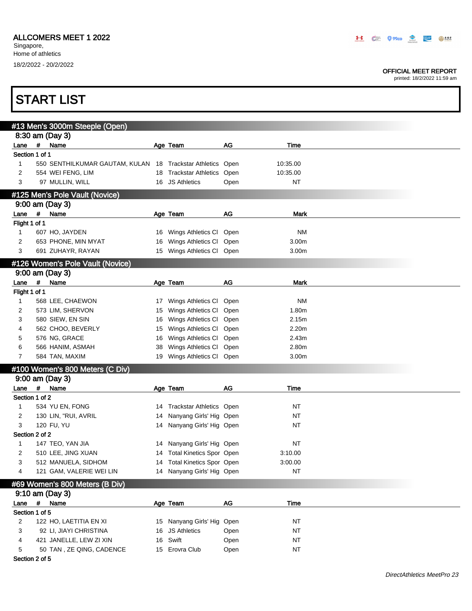START LIST

#### OFFICIAL MEET REPORT

printed: 18/2/2022 11:59 am

|                |             | #13 Men's 3000m Steeple (Open)                             |    |                             |           |             |
|----------------|-------------|------------------------------------------------------------|----|-----------------------------|-----------|-------------|
|                |             | 8:30 am (Day 3)                                            |    |                             |           |             |
| Lane           | #           | Name                                                       |    | Age Team                    | AG        | Time        |
| Section 1 of 1 |             |                                                            |    |                             |           |             |
| 1              |             | 550 SENTHILKUMAR GAUTAM, KULAN 18 Trackstar Athletics Open |    |                             |           | 10:35.00    |
| 2              |             | 554 WEI FENG, LIM                                          |    | 18 Trackstar Athletics Open |           | 10:35.00    |
| 3              |             | 97 MULLIN, WILL                                            |    | 16 JS Athletics             | Open      | <b>NT</b>   |
|                |             | #125 Men's Pole Vault (Novice)                             |    |                             |           |             |
|                |             | 9:00 am (Day 3)                                            |    |                             |           |             |
| Lane           |             | # Name                                                     |    | Age Team                    | AG        | <b>Mark</b> |
| Flight 1 of 1  |             |                                                            |    |                             |           |             |
| 1              |             | 607 HO, JAYDEN                                             |    | 16 Wings Athletics Cl Open  |           | NΜ          |
| 2              |             | 653 PHONE, MIN MYAT                                        |    | 16 Wings Athletics Cl Open  |           | 3.00m       |
| 3              |             | 691 ZUHAYR, RAYAN                                          |    | 15 Wings Athletics Cl Open  |           | 3.00m       |
|                |             |                                                            |    |                             |           |             |
|                |             | #126 Women's Pole Vault (Novice)                           |    |                             |           |             |
|                |             | 9:00 am (Day 3)                                            |    |                             |           |             |
| Lane           | $\#$        | Name                                                       |    | Age Team                    | <b>AG</b> | <b>Mark</b> |
| Flight 1 of 1  |             |                                                            |    |                             |           |             |
| 1              |             | 568 LEE, CHAEWON                                           |    | 17 Wings Athletics Cl Open  |           | <b>NM</b>   |
| 2              |             | 573 LIM, SHERVON                                           |    | 15 Wings Athletics Cl Open  |           | 1.80m       |
| 3              |             | 580 SIEW, EN SIN                                           | 16 | Wings Athletics Cl Open     |           | 2.15m       |
| 4              |             | 562 CHOO, BEVERLY                                          | 15 | Wings Athletics Cl Open     |           | 2.20m       |
| 5              |             | 576 NG, GRACE                                              | 16 | Wings Athletics Cl Open     |           | 2.43m       |
| 6              |             | 566 HANIM, ASMAH                                           | 38 | Wings Athletics Cl Open     |           | 2.80m       |
| 7              |             | 584 TAN, MAXIM                                             |    | 19 Wings Athletics Cl Open  |           | 3.00m       |
|                |             | #100 Women's 800 Meters (C Div)                            |    |                             |           |             |
|                |             | 9:00 am (Day 3)                                            |    |                             |           |             |
| Lane # Name    |             |                                                            |    |                             | AG        |             |
| Section 1 of 2 |             |                                                            |    | Age Team                    |           | Time        |
|                |             |                                                            |    |                             |           |             |
| 1              |             | 534 YU EN, FONG                                            |    | 14 Trackstar Athletics Open |           | NT          |
| 2              |             | 130 LIN, "RUI, AVRIL                                       |    | 14 Nanyang Girls' Hig Open  |           | <b>NT</b>   |
| 3              |             | 120 FU, YU                                                 |    | 14 Nanyang Girls' Hig Open  |           | <b>NT</b>   |
| Section 2 of 2 |             |                                                            |    |                             |           |             |
| 1              |             | 147 TEO, YAN JIA                                           |    | 14 Nanyang Girls' Hig Open  |           | ΝT          |
|                |             | 510 LEE, JING XUAN                                         |    | 14 Total Kinetics Spor Open |           | 3:10.00     |
| 3              |             | 512 MANUELA, SIDHOM                                        |    | 14 Total Kinetics Spor Open |           | 3:00.00     |
| 4              |             | 121 GAM, VALERIE WEI LIN                                   |    | 14 Nanyang Girls' Hig Open  |           | <b>NT</b>   |
|                |             | #69 Women's 800 Meters (B Div)                             |    |                             |           |             |
|                |             | 9:10 am (Day 3)                                            |    |                             |           |             |
| Lane           | $\pmb{\mu}$ | Name                                                       |    | Age Team                    | AG        | Time        |
| Section 1 of 5 |             |                                                            |    |                             |           |             |
| 2              |             | 122 HO, LAETITIA EN XI                                     |    | 15 Nanyang Girls' Hig       | Open      | NT          |
| 3              |             | 92 LI, JIAYI CHRISTINA                                     |    | 16 JS Athletics             | Open      | <b>NT</b>   |
| 4              |             | 421 JANELLE, LEW ZI XIN                                    | 16 | Swift                       |           | <b>NT</b>   |
|                |             | 50 TAN, ZE QING, CADENCE                                   |    | 15 Erovra Club              | Open      | <b>NT</b>   |
| 5              |             |                                                            |    |                             | Open      |             |

#### Section 2 of 5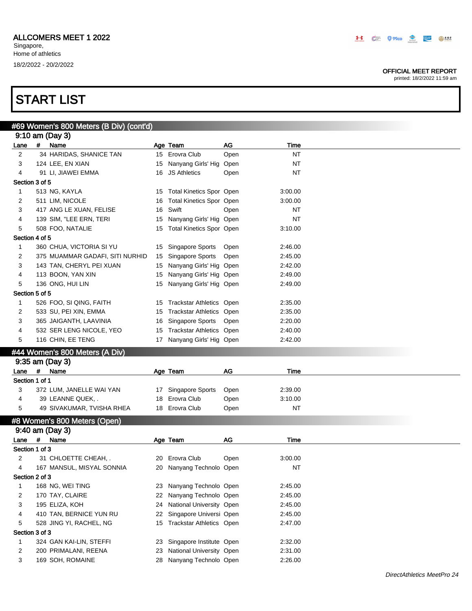#### OFFICIAL MEET REPORT

printed: 18/2/2022 11:59 am

|                |   | #69 Women's 800 Meters (B Div) (cont'd)  |    |                                                      |      |                    |  |
|----------------|---|------------------------------------------|----|------------------------------------------------------|------|--------------------|--|
|                |   | 9:10 am (Day 3)                          |    |                                                      |      |                    |  |
| Lane           | # | Name                                     |    | Age Team                                             | AG   | Time               |  |
| 2              |   | 34 HARIDAS, SHANICE TAN                  |    | 15 Erovra Club                                       | Open | <b>NT</b>          |  |
| 3              |   | 124 LEE, EN XIAN                         |    | 15 Nanyang Girls' Hig Open                           |      | <b>NT</b>          |  |
| 4              |   | 91 LI, JIAWEI EMMA                       |    | 16 JS Athletics                                      | Open | <b>NT</b>          |  |
| Section 3 of 5 |   |                                          |    |                                                      |      |                    |  |
| 1              |   | 513 NG, KAYLA                            | 15 | <b>Total Kinetics Spor Open</b>                      |      | 3:00.00            |  |
| 2              |   | 511 LIM, NICOLE                          | 16 | <b>Total Kinetics Spor Open</b>                      |      | 3:00.00            |  |
| 3              |   | 417 ANG LE XUAN, FELISE                  | 16 | Swift                                                | Open | <b>NT</b>          |  |
| 4              |   | 139 SIM, "LEE ERN, TERI                  | 15 | Nanyang Girls' Hig Open                              |      | <b>NT</b>          |  |
| 5              |   | 508 FOO, NATALIE                         |    | 15 Total Kinetics Spor Open                          |      | 3:10.00            |  |
| Section 4 of 5 |   |                                          |    |                                                      |      |                    |  |
| $\mathbf{1}$   |   | 360 CHUA, VICTORIA SI YU                 |    | 15 Singapore Sports                                  | Open | 2:46.00            |  |
| 2              |   | 375 MUAMMAR GADAFI, SITI NURHID          | 15 | <b>Singapore Sports</b>                              | Open | 2:45.00            |  |
| 3              |   | 143 TAN, CHERYL PEI XUAN                 | 15 | Nanyang Girls' Hig Open                              |      | 2:42.00            |  |
| 4              |   | 113 BOON, YAN XIN                        | 15 | Nanyang Girls' Hig Open                              |      | 2:49.00            |  |
| 5              |   | 136 ONG, HUI LIN                         |    | 15 Nanyang Girls' Hig Open                           |      | 2:49.00            |  |
| Section 5 of 5 |   |                                          |    |                                                      |      |                    |  |
| $\mathbf{1}$   |   | 526 FOO, SI QING, FAITH                  | 15 | Trackstar Athletics Open                             |      | 2:35.00            |  |
| 2              |   | 533 SU, PEI XIN, EMMA                    | 15 | <b>Trackstar Athletics Open</b>                      |      | 2:35.00            |  |
| 3              |   | 365 JAIGANTH, LAAVINIA                   | 16 | Singapore Sports                                     | Open | 2:20.00            |  |
|                |   | 532 SER LENG NICOLE, YEO                 |    | <b>Trackstar Athletics Open</b>                      |      |                    |  |
| 4<br>5         |   | 116 CHIN, EE TENG                        | 15 | 17 Nanyang Girls' Hig Open                           |      | 2:40.00<br>2:42.00 |  |
|                |   |                                          |    |                                                      |      |                    |  |
|                |   |                                          |    |                                                      |      |                    |  |
|                |   | #44 Women's 800 Meters (A Div)           |    |                                                      |      |                    |  |
|                |   | 9:35 am (Day 3)                          |    |                                                      |      |                    |  |
| Lane #         |   | Name                                     |    | Age Team                                             | AG   | Time               |  |
| Section 1 of 1 |   |                                          |    |                                                      |      |                    |  |
| 3              |   | 372 LUM, JANELLE WAI YAN                 |    | 17 Singapore Sports                                  | Open | 2:39.00            |  |
| 4              |   | 39 LEANNE QUEK, .                        | 18 | Erovra Club                                          | Open | 3:10.00            |  |
| 5              |   | 49 SIVAKUMAR, TVISHA RHEA                |    | 18 Erovra Club                                       | Open | <b>NT</b>          |  |
|                |   |                                          |    |                                                      |      |                    |  |
|                |   | #8 Women's 800 Meters (Open)             |    |                                                      |      |                    |  |
|                |   | 9:40 am (Day 3)                          |    |                                                      |      |                    |  |
| Lane           | # | Name                                     |    | Age Team                                             | AG   | Time               |  |
| Section 1 of 3 |   |                                          |    |                                                      |      |                    |  |
| 2              |   | 31 CHLOETTE CHEAH, .                     |    | 20 Erovra Club                                       | Open | 3:00.00            |  |
| 4              |   | 167 MANSUL, MISYAL SONNIA                |    | 20 Nanyang Technolo Open                             |      | ΝT                 |  |
| Section 2 of 3 |   |                                          |    |                                                      |      |                    |  |
| 1              |   | 168 NG, WEI TING                         |    | 23 Nanyang Technolo Open                             |      | 2:45.00            |  |
| 2              |   | 170 TAY, CLAIRE                          | 22 | Nanyang Technolo Open                                |      | 2:45.00            |  |
| 3              |   | 195 ELIZA, KOH                           | 24 | National University Open                             |      | 2:45.00            |  |
| 4              |   | 410 TAN, BERNICE YUN RU                  | 22 | Singapore Universi Open                              |      | 2:45.00            |  |
| 5              |   | 528 JING YI, RACHEL, NG                  |    | 15 Trackstar Athletics Open                          |      | 2:47.00            |  |
| Section 3 of 3 |   |                                          |    |                                                      |      |                    |  |
| 1              |   | 324 GAN KAI-LIN, STEFFI                  | 23 | Singapore Institute Open                             |      | 2:32.00            |  |
| 2<br>3         |   | 200 PRIMALANI, REENA<br>169 SOH, ROMAINE | 23 | National University Open<br>28 Nanyang Technolo Open |      | 2:31.00<br>2:26.00 |  |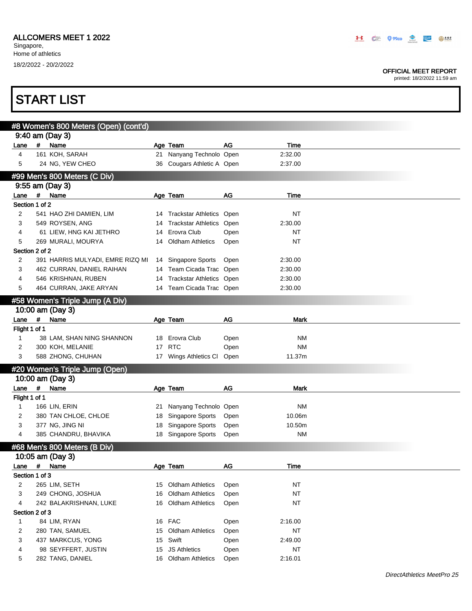#### OFFICIAL MEET REPORT

|                              |                | <b>START LIST</b>                               |    |                                                |      |           |  |  |  |
|------------------------------|----------------|-------------------------------------------------|----|------------------------------------------------|------|-----------|--|--|--|
|                              |                |                                                 |    |                                                |      |           |  |  |  |
|                              |                | #8 Women's 800 Meters (Open) (cont'd)           |    |                                                |      |           |  |  |  |
| Lane                         | $\#$           | 9:40 am (Day 3)<br>Name                         |    | Age Team                                       | AG   | Time      |  |  |  |
| 4                            |                | 161 KOH, SARAH                                  |    | 21 Nanyang Technolo Open                       |      | 2:32.00   |  |  |  |
| 5                            |                | 24 NG, YEW CHEO                                 |    | 36 Cougars Athletic A Open                     |      | 2:37.00   |  |  |  |
|                              |                |                                                 |    |                                                |      |           |  |  |  |
|                              |                | #99 Men's 800 Meters (C Div)<br>9:55 am (Day 3) |    |                                                |      |           |  |  |  |
| Lane                         | $\overline{u}$ | Name                                            |    | Age Team                                       | AG   | Time      |  |  |  |
| Section 1 of 2               |                |                                                 |    |                                                |      |           |  |  |  |
| 2                            |                | 541 HAO ZHI DAMIEN, LIM                         |    | 14 Trackstar Athletics Open                    |      | NT        |  |  |  |
| 3                            |                | 549 ROYSEN, ANG                                 | 14 | Trackstar Athletics Open                       |      | 2:30.00   |  |  |  |
| 4                            |                | 61 LIEW, HNG KAI JETHRO                         | 14 | Erovra Club                                    | Open | ΝT        |  |  |  |
| 5                            |                | 269 MURALI, MOURYA                              | 14 | <b>Oldham Athletics</b>                        | Open | <b>NT</b> |  |  |  |
| Section 2 of 2               |                |                                                 |    |                                                |      |           |  |  |  |
| 2                            |                | 391 HARRIS MULYADI, EMRE RIZQ MI                | 14 | Singapore Sports                               | Open | 2:30.00   |  |  |  |
| 3                            |                | 462 CURRAN, DANIEL RAIHAN                       |    | 14 Team Cicada Trac Open                       |      | 2:30.00   |  |  |  |
| 4                            |                | 546 KRISHNAN, RUBEN                             | 14 | <b>Trackstar Athletics Open</b>                |      | 2:30.00   |  |  |  |
| 5                            |                | 464 CURRAN, JAKE ARYAN                          |    | 14 Team Cicada Trac Open                       |      | 2:30.00   |  |  |  |
|                              |                | #58 Women's Triple Jump (A Div)                 |    |                                                |      |           |  |  |  |
|                              |                | 10:00 am (Day 3)                                |    |                                                |      |           |  |  |  |
| Lane                         | #              | Name                                            |    | Age Team                                       | AG   | Mark      |  |  |  |
| Flight 1 of 1                |                |                                                 |    |                                                |      |           |  |  |  |
| 1                            |                | 38 LAM, SHAN NING SHANNON                       |    | 18 Erovra Club                                 | Open | ΝM        |  |  |  |
| 2                            |                | 300 KOH, MELANIE                                | 17 | <b>RTC</b>                                     | Open | <b>NM</b> |  |  |  |
| 3                            |                | 588 ZHONG, CHUHAN                               |    | 17 Wings Athletics CI                          | Open | 11.37m    |  |  |  |
|                              |                | #20 Women's Triple Jump (Open)                  |    |                                                |      |           |  |  |  |
|                              |                | 10:00 am (Day 3)                                |    |                                                |      |           |  |  |  |
| Lane                         | #              | Name                                            |    | Age Team                                       | AG   | Mark      |  |  |  |
| Flight 1 of 1                |                |                                                 |    |                                                |      |           |  |  |  |
| 1                            |                | 166 LIN, ERIN                                   | 21 | Nanyang Technolo Open                          |      | <b>NM</b> |  |  |  |
| 2                            |                | 380 TAN CHLOE, CHLOE                            | 18 | Singapore Sports                               | Open | 10.06m    |  |  |  |
| 3                            |                | 377 NG, JING NI                                 |    | 18 Singapore Sports                            | Open | 10.50m    |  |  |  |
| 4                            |                | 385 CHANDRU, BHAVIKA                            |    | 18 Singapore Sports                            | Open | ΝM        |  |  |  |
|                              |                |                                                 |    |                                                |      |           |  |  |  |
| #68 Men's 800 Meters (B Div) |                |                                                 |    |                                                |      |           |  |  |  |
|                              |                |                                                 |    |                                                |      |           |  |  |  |
|                              |                | 10:05 am (Day 3)                                |    |                                                |      |           |  |  |  |
| Lane                         | $\pmb{\mu}$    | Name                                            |    | Age Team                                       | AG   | Time      |  |  |  |
| Section 1 of 3               |                |                                                 |    |                                                |      |           |  |  |  |
| 2<br>3                       |                | 265 LIM, SETH                                   | 16 | 15 Oldham Athletics<br><b>Oldham Athletics</b> | Open | <b>NT</b> |  |  |  |
| 4                            |                | 249 CHONG, JOSHUA<br>242 BALAKRISHNAN, LUKE     |    |                                                | Open | <b>NT</b> |  |  |  |
| Section 2 of 3               |                |                                                 |    | 16 Oldham Athletics                            | Open | <b>NT</b> |  |  |  |
| 1                            |                | 84 LIM, RYAN                                    |    | 16 FAC                                         | Open | 2:16.00   |  |  |  |
| 2                            |                | 280 TAN, SAMUEL                                 | 15 | <b>Oldham Athletics</b>                        | Open | <b>NT</b> |  |  |  |
| 3                            |                | 437 MARKCUS, YONG                               | 15 | Swift                                          | Open | 2:49.00   |  |  |  |
| 4                            |                | 98 SEYFFERT, JUSTIN                             | 15 | <b>JS Athletics</b>                            | Open | <b>NT</b> |  |  |  |
| 5                            |                | 282 TANG, DANIEL                                |    | 16 Oldham Athletics                            | Open | 2:16.01   |  |  |  |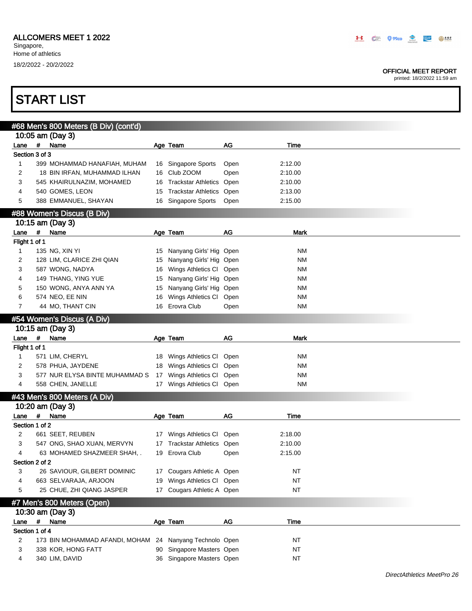#### OFFICIAL MEET REPORT

printed: 18/2/2022 11:59 am

|                            |             | #68 Men's 800 Meters (B Div) (cont'd) |    |                            |      |             |  |  |  |  |
|----------------------------|-------------|---------------------------------------|----|----------------------------|------|-------------|--|--|--|--|
|                            |             | 10:05 am (Day 3)                      |    |                            |      |             |  |  |  |  |
| Lane                       |             | # Name                                |    | Age Team                   | AG   | Time        |  |  |  |  |
| Section 3 of 3             |             |                                       |    |                            |      |             |  |  |  |  |
| 1                          |             | 399 MOHAMMAD HANAFIAH, MUHAM          |    | 16 Singapore Sports        | Open | 2:12.00     |  |  |  |  |
| 2                          |             | 18 BIN IRFAN, MUHAMMAD ILHAN          |    | 16 Club ZOOM               | Open | 2:10.00     |  |  |  |  |
| 3                          |             | 545 KHAIRULNAZIM, MOHAMED             | 16 | <b>Trackstar Athletics</b> | Open | 2:10.00     |  |  |  |  |
| 4                          |             | 540 GOMES, LEON                       | 15 | <b>Trackstar Athletics</b> | Open | 2:13.00     |  |  |  |  |
| 5                          |             | 388 EMMANUEL, SHAYAN                  |    | 16 Singapore Sports        | Open | 2:15.00     |  |  |  |  |
|                            |             | #88 Women's Discus (B Div)            |    |                            |      |             |  |  |  |  |
|                            |             | 10:15 am (Day 3)                      |    |                            |      |             |  |  |  |  |
| Lane                       | #           | Name                                  |    | Age Team                   | AG   | <b>Mark</b> |  |  |  |  |
| Flight 1 of 1              |             |                                       |    |                            |      |             |  |  |  |  |
| 1                          |             | 135 NG, XIN YI                        |    | 15 Nanyang Girls' Hig Open |      | ΝM          |  |  |  |  |
| 2                          |             | 128 LIM, CLARICE ZHI QIAN             |    | 15 Nanyang Girls' Hig Open |      | ΝM          |  |  |  |  |
| 3                          |             | 587 WONG, NADYA                       |    | 16 Wings Athletics Cl Open |      | ΝM          |  |  |  |  |
| 4                          |             | 149 THANG, YING YUE                   | 15 | Nanyang Girls' Hig Open    |      | ΝM          |  |  |  |  |
| 5                          |             | 150 WONG, ANYA ANN YA                 | 15 | Nanyang Girls' Hig Open    |      | <b>NM</b>   |  |  |  |  |
| 6                          |             | 574 NEO, EE NIN                       | 16 | Wings Athletics CI         | Open | ΝM          |  |  |  |  |
| 7                          |             | 44 MO, THANT CIN                      |    | 16 Erovra Club             | Open | ΝM          |  |  |  |  |
|                            |             |                                       |    |                            |      |             |  |  |  |  |
| #54 Women's Discus (A Div) |             |                                       |    |                            |      |             |  |  |  |  |
|                            |             | 10:15 am (Day 3)                      |    |                            |      |             |  |  |  |  |
| Lane                       | $\pmb{\mu}$ | Name                                  |    | Age Team                   | AG   | <b>Mark</b> |  |  |  |  |
| Flight 1 of 1              |             |                                       |    |                            |      |             |  |  |  |  |
| 1                          |             | 571 LIM, CHERYL                       |    | 18 Wings Athletics CI      | Open | ΝM          |  |  |  |  |
| 2                          |             | 578 PHUA, JAYDENE                     |    | 18 Wings Athletics Cl      | Open | ΝM          |  |  |  |  |
| 3                          |             | 577 NUR ELYSA BINTE MUHAMMAD S        | 17 | Wings Athletics CI         | Open | <b>NM</b>   |  |  |  |  |
| 4                          |             | 558 CHEN, JANELLE                     |    | 17 Wings Athletics CI Open |      | ΝM          |  |  |  |  |
|                            |             | #43 Men's 800 Meters (A Div)          |    |                            |      |             |  |  |  |  |
|                            |             | 10:20 am (Day 3)                      |    |                            |      |             |  |  |  |  |
| Lane                       | $\#$        | Name                                  |    | Age Team                   | AG   | Time        |  |  |  |  |
| Section 1 of 2             |             |                                       |    |                            |      |             |  |  |  |  |
| 2                          |             | 661 SEET, REUBEN                      |    | 17 Wings Athletics CI      | Open | 2:18.00     |  |  |  |  |
| 3                          |             | 547 ONG, SHAO XUAN, MERVYN            | 17 | Trackstar Athletics Open   |      | 2:10.00     |  |  |  |  |
| 4                          |             | 63 MOHAMED SHAZMEER SHAH, .           | 19 | Erovra Club                | Open | 2:15.00     |  |  |  |  |
| Section 2 of 2             |             |                                       |    |                            |      |             |  |  |  |  |
| 3                          |             | 26 SAVIOUR, GILBERT DOMINIC           |    | 17 Cougars Athletic A Open |      | <b>NT</b>   |  |  |  |  |
| 4                          |             | 663 SELVARAJA, ARJOON                 | 19 | Wings Athletics Cl Open    |      | <b>NT</b>   |  |  |  |  |
| 5                          |             | 25 CHUE, ZHI QIANG JASPER             |    | 17 Cougars Athletic A Open |      | <b>NT</b>   |  |  |  |  |
|                            |             |                                       |    |                            |      |             |  |  |  |  |
|                            |             | #7 Men's 800 Meters (Open)            |    |                            |      |             |  |  |  |  |
|                            |             | 10:30 am (Day 3)                      |    |                            |      |             |  |  |  |  |
| Lane                       | $\#$        | Name                                  |    | Age Team                   | AG   | Time        |  |  |  |  |
| Section 1 of 4             |             |                                       |    |                            |      |             |  |  |  |  |
| 2                          |             | 173 BIN MOHAMMAD AFANDI, MOHAM        |    | 24 Nanyang Technolo Open   |      | NT          |  |  |  |  |
| 3                          |             | 338 KOR, HONG FATT                    | 90 | Singapore Masters Open     |      | <b>NT</b>   |  |  |  |  |
| 4                          |             | 340 LIM, DAVID                        |    | 36 Singapore Masters Open  |      | <b>NT</b>   |  |  |  |  |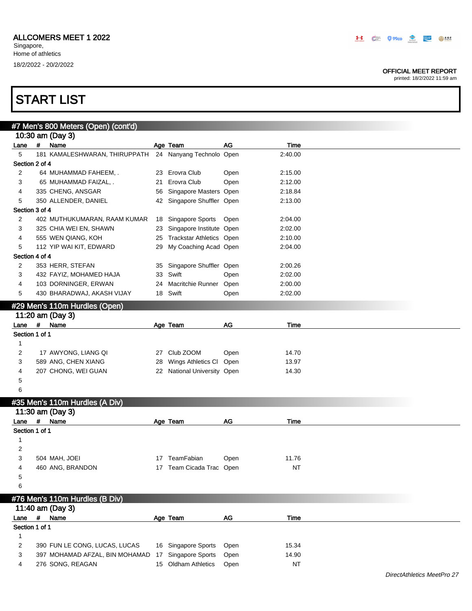#### OFFICIAL MEET REPORT

printed: 18/2/2022 11:59 am

|                |   | #7 Men's 800 Meters (Open) (cont'd) |    |                             |      |           |  |
|----------------|---|-------------------------------------|----|-----------------------------|------|-----------|--|
|                |   | 10:30 am (Day 3)                    |    |                             |      |           |  |
| Lane           | # | Name                                |    | Age Team                    | AG   | Time      |  |
| 5              |   | 181 KAMALESHWARAN, THIRUPPATH       |    | 24 Nanyang Technolo Open    |      | 2:40.00   |  |
| Section 2 of 4 |   |                                     |    |                             |      |           |  |
| 2              |   | 64 MUHAMMAD FAHEEM, .               |    | 23 Erovra Club              | Open | 2:15.00   |  |
| 3              |   | 65 MUHAMMAD FAIZAL, .               | 21 | Erovra Club                 | Open | 2:12.00   |  |
| 4              |   | 335 CHENG, ANSGAR                   | 56 | Singapore Masters Open      |      | 2:18.84   |  |
| 5              |   | 350 ALLENDER, DANIEL                |    | 42 Singapore Shuffler Open  |      | 2:13.00   |  |
| Section 3 of 4 |   |                                     |    |                             |      |           |  |
| 2              |   | 402 MUTHUKUMARAN, RAAM KUMAR        |    | 18 Singapore Sports         | Open | 2:04.00   |  |
| 3              |   | 325 CHIA WEI EN, SHAWN              | 23 | Singapore Institute Open    |      | 2:02.00   |  |
| 4              |   | 555 WEN QIANG, KOH                  | 25 | Trackstar Athletics Open    |      | 2:10.00   |  |
| 5              |   | 112 YIP WAI KIT, EDWARD             | 29 | My Coaching Acad Open       |      | 2:04.00   |  |
| Section 4 of 4 |   |                                     |    |                             |      |           |  |
| 2              |   | 353 HERR, STEFAN                    | 35 | Singapore Shuffler Open     |      | 2:00.26   |  |
| 3              |   | 432 FAYIZ, MOHAMED HAJA             | 33 | Swift                       | Open | 2:02.00   |  |
| 4              |   | 103 DORNINGER, ERWAN                | 24 | Macritchie Runner Open      |      | 2:00.00   |  |
| 5              |   | 430 BHARADWAJ, AKASH VIJAY          |    | 18 Swift                    | Open | 2:02.00   |  |
|                |   |                                     |    |                             |      |           |  |
|                |   | #29 Men's 110m Hurdles (Open)       |    |                             |      |           |  |
|                |   | 11:20 am (Day 3)                    |    |                             |      |           |  |
| Lane           | # | Name                                |    | Age Team                    | AG   | Time      |  |
| Section 1 of 1 |   |                                     |    |                             |      |           |  |
| 1              |   |                                     |    |                             |      |           |  |
| 2              |   | 17 AWYONG, LIANG QI                 |    | 27 Club ZOOM                | Open | 14.70     |  |
| 3              |   | 589 ANG, CHEN XIANG                 | 28 | Wings Athletics CI          | Open | 13.97     |  |
| 4              |   | 207 CHONG, WEI GUAN                 |    | 22 National University Open |      | 14.30     |  |
| 5              |   |                                     |    |                             |      |           |  |
| 6              |   |                                     |    |                             |      |           |  |
|                |   | #35 Men's 110m Hurdles (A Div)      |    |                             |      |           |  |
|                |   | 11:30 am (Day 3)                    |    |                             |      |           |  |
| Lane           | # | Name                                |    | Age Team                    | AG   | Time      |  |
| Section 1 of 1 |   |                                     |    |                             |      |           |  |
| 1              |   |                                     |    |                             |      |           |  |
| 2              |   |                                     |    |                             |      |           |  |
| 3              |   | 504 MAH, JOEI                       |    | 17 TeamFabian               | Open | 11.76     |  |
| 4              |   | 460 ANG, BRANDON                    |    | 17 Team Cicada Trac Open    |      | <b>NT</b> |  |
| 5              |   |                                     |    |                             |      |           |  |
| 6              |   |                                     |    |                             |      |           |  |
|                |   | #76 Men's 110m Hurdles (B Div)      |    |                             |      |           |  |
|                |   | 11:40 am (Day 3)                    |    |                             |      |           |  |
| Lane #         |   | Name                                |    | Age Team                    | AG   | Time      |  |
| Section 1 of 1 |   |                                     |    |                             |      |           |  |
| $\mathbf{1}$   |   |                                     |    |                             |      |           |  |
| 2              |   | 390 FUN LE CONG, LUCAS, LUCAS       |    | 16 Singapore Sports         | Open | 15.34     |  |
| 3              |   | 397 MOHAMAD AFZAL, BIN MOHAMAD      |    | Singapore Sports            |      |           |  |
|                |   |                                     | 17 |                             | Open | 14.90     |  |
| 4              |   | 276 SONG, REAGAN                    |    | 15 Oldham Athletics         | Open | NT        |  |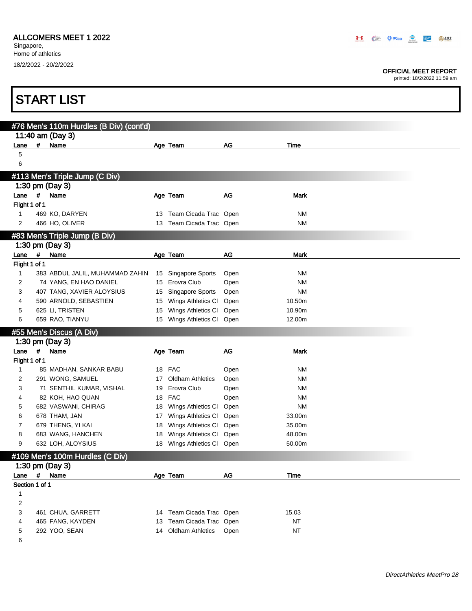Singapore, Home of athletics 18/2/2022 - 20/2/2022

П

#### OFFICIAL MEET REPORT

printed: 18/2/2022 11:59 am

٦

|        |                | <b>START LIST</b>                                           |    |                                                     |      |                  |  |
|--------|----------------|-------------------------------------------------------------|----|-----------------------------------------------------|------|------------------|--|
|        |                |                                                             |    |                                                     |      |                  |  |
|        |                | #76 Men's 110m Hurdles (B Div) (cont'd)<br>11:40 am (Day 3) |    |                                                     |      |                  |  |
| Lane   | #              | Name                                                        |    | Age Team                                            | AG   | Time             |  |
| 5      |                |                                                             |    |                                                     |      |                  |  |
| 6      |                |                                                             |    |                                                     |      |                  |  |
|        |                | #113 Men's Triple Jump (C Div)                              |    |                                                     |      |                  |  |
|        |                | 1:30 pm (Day 3)                                             |    |                                                     |      |                  |  |
| Lane   | #              | Name                                                        |    | Age Team                                            | AG   | <b>Mark</b>      |  |
|        | Flight 1 of 1  |                                                             |    |                                                     |      |                  |  |
| 1      |                | 469 KO, DARYEN                                              |    | 13 Team Cicada Trac Open                            |      | ΝM               |  |
| 2      |                | 466 HO, OLIVER                                              |    | 13 Team Cicada Trac Open                            |      | NM               |  |
|        |                | #83 Men's Triple Jump (B Div)                               |    |                                                     |      |                  |  |
|        |                | 1:30 pm (Day 3)                                             |    |                                                     |      |                  |  |
| Lane   | $\#$           | Name                                                        |    | Age Team                                            | AG   | Mark             |  |
|        | Flight 1 of 1  |                                                             |    |                                                     |      |                  |  |
| 1      |                | 383 ABDUL JALIL, MUHAMMAD ZAHIN                             |    | 15 Singapore Sports                                 | Open | ΝM               |  |
| 2      |                | 74 YANG, EN HAO DANIEL                                      |    | 15 Erovra Club                                      | Open | <b>NM</b>        |  |
| 3      |                | 407 TANG, XAVIER ALOYSIUS                                   | 15 | <b>Singapore Sports</b>                             | Open | <b>NM</b>        |  |
| 4      |                | 590 ARNOLD, SEBASTIEN                                       |    | 15 Wings Athletics CI                               | Open | 10.50m           |  |
| 5      |                | 625 LI, TRISTEN                                             | 15 | Wings Athletics CI                                  | Open | 10.90m           |  |
| 6      |                | 659 RAO, TIANYU                                             |    | 15 Wings Athletics Cl Open                          |      | 12.00m           |  |
|        |                | #55 Men's Discus (A Div)                                    |    |                                                     |      |                  |  |
|        |                | 1:30 pm (Day 3)                                             |    |                                                     |      |                  |  |
| Lane   | #              | Name                                                        |    | Age Team                                            | AG   | <b>Mark</b>      |  |
|        | Flight 1 of 1  |                                                             |    |                                                     |      |                  |  |
| 1      |                |                                                             |    |                                                     |      |                  |  |
|        |                | 85 MADHAN, SANKAR BABU                                      |    | 18 FAC                                              | Open | ΝM               |  |
| 2      |                | 291 WONG, SAMUEL                                            |    | 17 Oldham Athletics                                 | Open | ΝM               |  |
| 3      |                | 71 SENTHIL KUMAR, VISHAL                                    |    | 19 Erovra Club                                      | Open | ΝM               |  |
| 4      |                | 82 KOH, HAO QUAN                                            |    | 18 FAC                                              | Open | ΝM               |  |
| 5      |                | 682 VASWANI, CHIRAG                                         |    | 18 Wings Athletics CI                               | Open | <b>NM</b>        |  |
| 6      |                | 678 THAM, JAN                                               |    | 17 Wings Athletics CI                               | Open | 33.00m           |  |
| 7<br>8 |                | 679 THENG, YI KAI                                           |    | 18 Wings Athletics CI                               | Open | 35.00m           |  |
| 9      |                | 683 WANG, HANCHEN<br>632 LOH, ALOYSIUS                      |    | 18 Wings Athletics CI<br>18 Wings Athletics Cl Open | Open | 48.00m<br>50.00m |  |
|        |                |                                                             |    |                                                     |      |                  |  |
|        |                | #109 Men's 100m Hurdles (C Div)                             |    |                                                     |      |                  |  |
|        |                | 1:30 pm (Day 3)                                             |    |                                                     |      |                  |  |
|        | Lane $#$       | Name                                                        |    | Age Team                                            | AG   | Time             |  |
| 1      | Section 1 of 1 |                                                             |    |                                                     |      |                  |  |
| 2      |                |                                                             |    |                                                     |      |                  |  |
| 3      |                | 461 CHUA, GARRETT                                           |    | 14 Team Cicada Trac Open                            |      | 15.03            |  |
| 4      |                | 465 FANG, KAYDEN                                            |    | 13 Team Cicada Trac Open                            |      | NT               |  |

6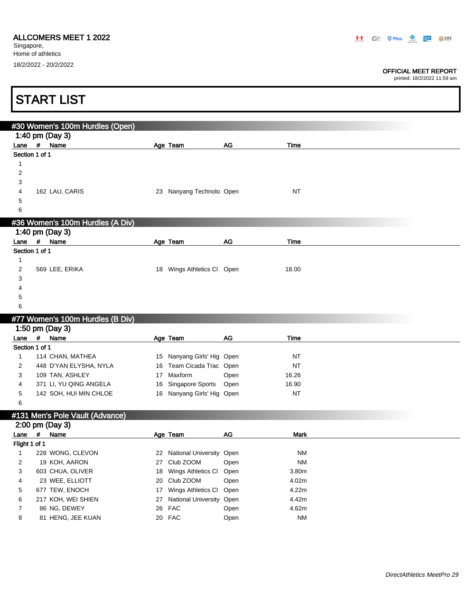Г

#### OFFICIAL MEET REPORT

printed: 18/2/2022 11:59 am

1

|                | <b>START LIST</b>                                  |                            |    |             |
|----------------|----------------------------------------------------|----------------------------|----|-------------|
|                |                                                    |                            |    |             |
|                | #30 Women's 100m Hurdles (Open)<br>1:40 pm (Day 3) |                            |    |             |
| Lane           | Name<br>#                                          | Age Team                   | AG | Time        |
| Section 1 of 1 |                                                    |                            |    |             |
|                |                                                    |                            |    |             |
| $\overline{2}$ |                                                    |                            |    |             |
| 3              |                                                    |                            |    |             |
| 4              | 162 LAU, CARIS                                     | 23 Nanyang Technolo Open   |    | <b>NT</b>   |
| 5              |                                                    |                            |    |             |
| 6              |                                                    |                            |    |             |
|                | #36 Women's 100m Hurdles (A Div)                   |                            |    |             |
|                | 1:40 pm (Day 3)                                    |                            |    |             |
| Lane #         | Name                                               | Age Team                   | AG | <b>Time</b> |
| Section 1 of 1 |                                                    |                            |    |             |
| 1<br>2         | 569 LEE, ERIKA                                     | 18 Wings Athletics Cl Open |    | 18.00       |
| 3              |                                                    |                            |    |             |
| 4              |                                                    |                            |    |             |
| 5              |                                                    |                            |    |             |
| 6              |                                                    |                            |    |             |

### #77 Women's 100m Hurdles (B Div)

|                |     | 1:50 pm (Day 3)        |    |                            |      |           |
|----------------|-----|------------------------|----|----------------------------|------|-----------|
| Lane           | - # | Name                   |    | Age Team                   | AG   | Time      |
| Section 1 of 1 |     |                        |    |                            |      |           |
|                |     | 114 CHAN, MATHEA       |    | 15 Nanyang Girls' Hig Open |      | <b>NT</b> |
|                |     | 448 D'YAN ELYSHA, NYLA |    | 16 Team Cicada Trac Open   |      | <b>NT</b> |
|                |     | 109 TAN, ASHLEY        | 17 | Maxform                    | Open | 16.26     |
| 4              |     | 371 LI, YU QING ANGELA |    | 16 Singapore Sports        | Open | 16.90     |
| 5              |     | 142 SOH. HUI MIN CHLOE |    | 16 Nanyang Girls' Hig Open |      | <b>NT</b> |
|                |     |                        |    |                            |      |           |

### #131 Men's Pole Vault (Advance)

|                |   | 2:00 pm (Day 3)    |    |                             |      |             |
|----------------|---|--------------------|----|-----------------------------|------|-------------|
| Lane           | # | Name               |    | Age Team                    | AG   | <b>Mark</b> |
| Flight 1 of 1  |   |                    |    |                             |      |             |
|                |   | 228 WONG, CLEVON   | 22 | National University Open    |      | <b>NM</b>   |
| $\overline{2}$ |   | 19 KOH, AARON      | 27 | Club ZOOM                   | Open | <b>NM</b>   |
| 3              |   | 603 CHUA, OLIVER   |    | 18 Wings Athletics CI Open  |      | 3.80m       |
| 4              |   | 23 WEE, ELLIOTT    |    | 20 Club ZOOM                | Open | 4.02m       |
| 5              |   | 677 TEW, ENOCH     | 17 | Wings Athletics CI Open     |      | 4.22m       |
| 6              |   | 217 KOH, WEI SHIEN |    | 27 National University Open |      | 4.42m       |
|                |   | 86 NG, DEWEY       |    | 26 FAC                      | Open | 4.62m       |
| 8              |   | 81 HENG, JEE KUAN  |    | 20 FAC                      | Open | <b>NM</b>   |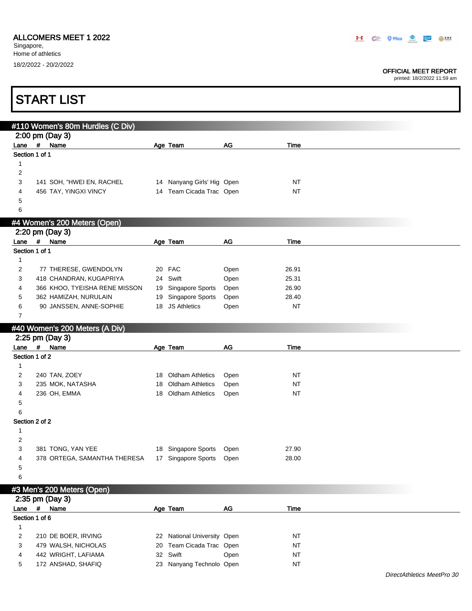Singapore, Home of athletics 18/2/2022 - 20/2/2022

#### OFFICIAL MEET REPORT

DirectAthletics MeetPro 30

|              | <b>START LIST</b>                |    |                             |               |           |  |
|--------------|----------------------------------|----|-----------------------------|---------------|-----------|--|
|              | #110 Women's 80m Hurdles (C Div) |    |                             |               |           |  |
|              | 2:00 pm (Day 3)                  |    |                             |               |           |  |
| Lane #       | Name                             |    | Age Team                    | AG            | Time      |  |
|              | Section 1 of 1                   |    |                             |               |           |  |
| 1            |                                  |    |                             |               |           |  |
| 2            |                                  |    |                             |               |           |  |
| 3            | 141 SOH, "HWEI EN, RACHEL        |    | 14 Nanyang Girls' Hig Open  |               | <b>NT</b> |  |
| 4            | 456 TAY, YINGXI VINCY            |    | 14 Team Cicada Trac Open    |               | <b>NT</b> |  |
| 5            |                                  |    |                             |               |           |  |
| 6            |                                  |    |                             |               |           |  |
|              | #4 Women's 200 Meters (Open)     |    |                             |               |           |  |
|              | 2:20 pm (Day 3)                  |    |                             |               |           |  |
|              | Lane # Name                      |    | Age Team                    | $\mathsf{AG}$ | Time      |  |
|              | Section 1 of 1                   |    |                             |               |           |  |
| 1            |                                  |    |                             |               |           |  |
| 2            | 77 THERESE, GWENDOLYN            |    | 20 FAC                      | Open          | 26.91     |  |
| 3            | 418 CHANDRAN, KUGAPRIYA          |    | 24 Swift                    | Open          | 25.31     |  |
| 4            | 366 KHOO, TYEISHA RENE MISSON    |    | 19 Singapore Sports         | Open          | 26.90     |  |
| 5            | 362 HAMIZAH, NURULAIN            |    | 19 Singapore Sports         | Open          | 28.40     |  |
| 6            | 90 JANSSEN, ANNE-SOPHIE          |    | 18 JS Athletics             | Open          | <b>NT</b> |  |
| 7            |                                  |    |                             |               |           |  |
|              | #40 Women's 200 Meters (A Div)   |    |                             |               |           |  |
|              | 2:25 pm (Day 3)                  |    |                             |               |           |  |
|              | Lane # Name                      |    | Age Team                    | AG            | Time      |  |
|              | Section 1 of 2                   |    |                             |               |           |  |
| $\mathbf{1}$ |                                  |    |                             |               |           |  |
| 2            | 240 TAN, ZOEY                    |    | 18 Oldham Athletics         | Open          | NT        |  |
| 3            | 235 MOK, NATASHA                 | 18 | <b>Oldham Athletics</b>     | Open          | NT        |  |
| 4            | 236 OH, EMMA                     | 18 | <b>Oldham Athletics</b>     | Open          | <b>NT</b> |  |
| 5            |                                  |    |                             |               |           |  |
| 6            |                                  |    |                             |               |           |  |
| 1            | Section 2 of 2                   |    |                             |               |           |  |
| 2            |                                  |    |                             |               |           |  |
| 3            | 381 TONG, YAN YEE                |    | 18 Singapore Sports         | Open          | 27.90     |  |
| 4            | 378 ORTEGA, SAMANTHA THERESA     |    | 17 Singapore Sports         | Open          | 28.00     |  |
| 5            |                                  |    |                             |               |           |  |
| 6            |                                  |    |                             |               |           |  |
|              |                                  |    |                             |               |           |  |
|              | #3 Men's 200 Meters (Open)       |    |                             |               |           |  |
|              | 2:35 pm (Day 3)<br># Name        |    |                             |               |           |  |
| Lane         | Section 1 of 6                   |    | Age Team                    | AG            | Time      |  |
| 1            |                                  |    |                             |               |           |  |
| 2            | 210 DE BOER, IRVING              |    | 22 National University Open |               | NT        |  |
| 3            | 479 WALSH, NICHOLAS              | 20 | Team Cicada Trac Open       |               | <b>NT</b> |  |
| 4            | 442 WRIGHT, LAFIAMA              |    | 32 Swift                    | Open          | <b>NT</b> |  |
| 5            | 172 ANSHAD, SHAFIQ               |    | 23 Nanyang Technolo Open    |               | NT        |  |
|              |                                  |    |                             |               |           |  |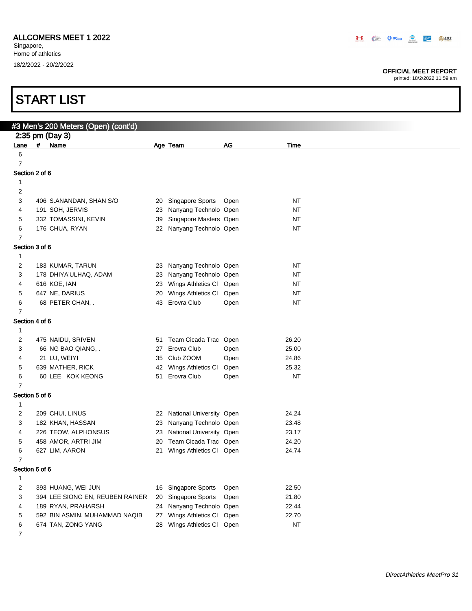Singapore, Home of athletics 18/2/2022 - 20/2/2022

#### OFFICIAL MEET REPORT

| <b>START LIST</b>   |            |                                                     |    |                                                        |      |                |  |
|---------------------|------------|-----------------------------------------------------|----|--------------------------------------------------------|------|----------------|--|
|                     |            |                                                     |    |                                                        |      |                |  |
|                     |            | #3 Men's 200 Meters (Open) (cont'd)                 |    |                                                        |      |                |  |
|                     |            | 2:35 pm (Day 3)                                     |    |                                                        |      |                |  |
| Lane                | $\pmb{\#}$ | Name                                                |    | Age Team                                               | AG   | <b>Time</b>    |  |
| 6                   |            |                                                     |    |                                                        |      |                |  |
| 7<br>Section 2 of 6 |            |                                                     |    |                                                        |      |                |  |
| 1                   |            |                                                     |    |                                                        |      |                |  |
| 2                   |            |                                                     |    |                                                        |      |                |  |
| 3                   |            | 406 S.ANANDAN, SHAN S/O                             | 20 | Singapore Sports                                       | Open | <b>NT</b>      |  |
| 4                   |            | 191 SOH, JERVIS                                     | 23 | Nanyang Technolo Open                                  |      | <b>NT</b>      |  |
| 5                   |            | 332 TOMASSINI, KEVIN                                | 39 | Singapore Masters Open                                 |      | <b>NT</b>      |  |
| 6                   |            | 176 CHUA, RYAN                                      | 22 | Nanyang Technolo Open                                  |      | <b>NT</b>      |  |
| 7                   |            |                                                     |    |                                                        |      |                |  |
| Section 3 of 6      |            |                                                     |    |                                                        |      |                |  |
| 1                   |            |                                                     |    |                                                        |      |                |  |
| 2                   |            | 183 KUMAR, TARUN                                    | 23 | Nanyang Technolo Open                                  |      | NT             |  |
| 3                   |            | 178 DHIYA'ULHAQ, ADAM                               | 23 | Nanyang Technolo Open                                  |      | NT             |  |
| 4                   |            | 616 KOE, IAN                                        | 23 | Wings Athletics Cl Open                                |      | <b>NT</b>      |  |
| 5                   |            | 647 NE, DARIUS                                      | 20 | Wings Athletics CI                                     | Open | <b>NT</b>      |  |
| 6                   |            | 68 PETER CHAN, .                                    | 43 | Erovra Club                                            | Open | NT             |  |
| 7                   |            |                                                     |    |                                                        |      |                |  |
| Section 4 of 6<br>1 |            |                                                     |    |                                                        |      |                |  |
| $\overline{c}$      |            | 475 NAIDU, SRIVEN                                   | 51 | Team Cicada Trac Open                                  |      | 26.20          |  |
| 3                   |            | 66 NG BAO QIANG, .                                  | 27 | Erovra Club                                            | Open | 25.00          |  |
| 4                   |            | 21 LU, WEIYI                                        | 35 | Club ZOOM                                              | Open | 24.86          |  |
| 5                   |            | 639 MATHER, RICK                                    | 42 | Wings Athletics CI                                     | Open | 25.32          |  |
| 6                   |            | 60 LEE, KOK KEONG                                   | 51 | Erovra Club                                            | Open | <b>NT</b>      |  |
| 7                   |            |                                                     |    |                                                        |      |                |  |
| Section 5 of 6      |            |                                                     |    |                                                        |      |                |  |
| 1                   |            |                                                     |    |                                                        |      |                |  |
| $\overline{c}$      |            | 209 CHUI, LINUS                                     |    | 22 National University Open                            |      | 24.24          |  |
| 3                   |            | 182 KHAN, HASSAN                                    |    | 23 Nanyang Technolo Open                               |      | 23.48          |  |
| 4                   |            | 226 TEOW, ALPHONSUS                                 |    | 23 National University Open                            |      | 23.17          |  |
| 5                   |            | 458 AMOR, ARTRI JIM                                 |    | 20 Team Cicada Trac Open                               |      | 24.20          |  |
| 6                   |            | 627 LIM, AARON                                      |    | 21 Wings Athletics Cl Open                             |      | 24.74          |  |
| 7                   |            |                                                     |    |                                                        |      |                |  |
| Section 6 of 6      |            |                                                     |    |                                                        |      |                |  |
| $\mathbf{1}$        |            |                                                     |    |                                                        |      |                |  |
| 2                   |            | 393 HUANG, WEI JUN                                  |    | 16 Singapore Sports                                    | Open | 22.50          |  |
| 3                   |            | 394 LEE SIONG EN, REUBEN RAINER                     |    | 20 Singapore Sports                                    | Open | 21.80          |  |
| 4<br>5              |            | 189 RYAN, PRAHARSH<br>592 BIN ASMIN, MUHAMMAD NAQIB |    | 24 Nanyang Technolo Open<br>27 Wings Athletics CI Open |      | 22.44<br>22.70 |  |
| 6                   |            | 674 TAN, ZONG YANG                                  |    | 28 Wings Athletics Cl Open                             |      | <b>NT</b>      |  |
| 7                   |            |                                                     |    |                                                        |      |                |  |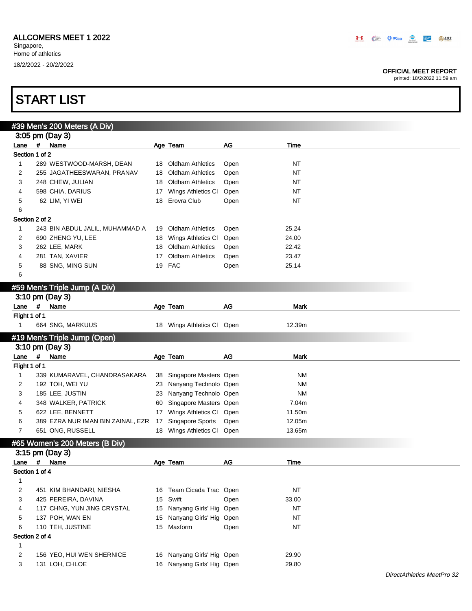#### OFFICIAL MEET REPORT

printed: 18/2/2022 11:59 am

|                | #39 Men's 200 Meters (A Div)      |    |                            |      |             |  |
|----------------|-----------------------------------|----|----------------------------|------|-------------|--|
|                | 3:05 pm (Day 3)                   |    |                            |      |             |  |
| Lane           | $\pmb{\#}$<br>Name                |    | Age Team                   | AG   | Time        |  |
| Section 1 of 2 |                                   |    |                            |      |             |  |
| 1              | 289 WESTWOOD-MARSH, DEAN          | 18 | Oldham Athletics           | Open | <b>NT</b>   |  |
| 2              | 255 JAGATHEESWARAN, PRANAV        | 18 | <b>Oldham Athletics</b>    | Open | <b>NT</b>   |  |
| 3              | 248 CHEW, JULIAN                  | 18 | <b>Oldham Athletics</b>    | Open | <b>NT</b>   |  |
| 4              | 598 CHIA, DARIUS                  | 17 | Wings Athletics CI         | Open | <b>NT</b>   |  |
| 5              | 62 LIM, YI WEI                    | 18 | Erovra Club                | Open | <b>NT</b>   |  |
| 6              |                                   |    |                            |      |             |  |
| Section 2 of 2 |                                   |    |                            |      |             |  |
| 1              | 243 BIN ABDUL JALIL, MUHAMMAD A   | 19 | <b>Oldham Athletics</b>    | Open | 25.24       |  |
| 2              | 690 ZHENG YU, LEE                 | 18 | Wings Athletics CI         | Open | 24.00       |  |
| 3              | 262 LEE, MARK                     | 18 | <b>Oldham Athletics</b>    | Open | 22.42       |  |
| 4              | 281 TAN, XAVIER                   | 17 | <b>Oldham Athletics</b>    | Open | 23.47       |  |
| 5              | 88 SNG, MING SUN                  | 19 | <b>FAC</b>                 | Open | 25.14       |  |
| 6              |                                   |    |                            |      |             |  |
|                | #59 Men's Triple Jump (A Div)     |    |                            |      |             |  |
|                | 3:10 pm (Day 3)                   |    |                            |      |             |  |
| Lane #         | Name                              |    | Age Team                   | AG   | <b>Mark</b> |  |
| Flight 1 of 1  |                                   |    |                            |      |             |  |
| $\mathbf{1}$   | 664 SNG, MARKUUS                  |    | 18 Wings Athletics Cl Open |      | 12.39m      |  |
|                |                                   |    |                            |      |             |  |
|                | #19 Men's Triple Jump (Open)      |    |                            |      |             |  |
|                | 3:10 pm (Day 3)                   |    |                            |      |             |  |
|                |                                   |    |                            |      |             |  |
| Lane $#$       | Name                              |    | Age Team                   | AG   | <b>Mark</b> |  |
| Flight 1 of 1  |                                   |    |                            |      |             |  |
| $\mathbf{1}$   | 339 KUMARAVEL, CHANDRASAKARA      | 38 | Singapore Masters Open     |      | <b>NM</b>   |  |
| 2              | 192 TOH, WEI YU                   | 23 | Nanyang Technolo Open      |      | <b>NM</b>   |  |
| 3              | 185 LEE, JUSTIN                   | 23 | Nanyang Technolo Open      |      | <b>NM</b>   |  |
| 4              | 348 WALKER, PATRICK               | 60 | Singapore Masters Open     |      | 7.04m       |  |
| 5              | 622 LEE, BENNETT                  | 17 | Wings Athletics CI         | Open | 11.50m      |  |
| 6              | 389 EZRA NUR IMAN BIN ZAINAL, EZR | 17 | Singapore Sports           | Open | 12.05m      |  |
| 7              | 651 ONG, RUSSELL                  | 18 | Wings Athletics Cl         | Open | 13.65m      |  |
|                | #65 Women's 200 Meters (B Div)    |    |                            |      |             |  |
|                | 3:15 pm (Day 3)                   |    |                            |      |             |  |
| Lane #         | Name                              |    | Age Team                   | AG   | Time        |  |
| Section 1 of 4 |                                   |    |                            |      |             |  |
| 1              |                                   |    |                            |      |             |  |
| 2              | 451 KIM BHANDARI, NIESHA          |    | 16 Team Cicada Trac Open   |      | <b>NT</b>   |  |
| 3              | 425 PEREIRA, DAVINA               | 15 | Swift                      | Open | 33.00       |  |
| 4              | 117 CHNG, YUN JING CRYSTAL        |    | 15 Nanyang Girls' Hig Open |      | NT          |  |
| 5              | 137 POH, WAN EN                   |    | 15 Nanyang Girls' Hig Open |      | NT          |  |
| 6              | 110 TEH, JUSTINE                  |    | 15 Maxform                 | Open | NT          |  |
| Section 2 of 4 |                                   |    |                            |      |             |  |
| 1              |                                   |    |                            |      |             |  |
| 2              | 156 YEO, HUI WEN SHERNICE         |    | 16 Nanyang Girls' Hig Open |      | 29.90       |  |
| 3              | 131 LOH, CHLOE                    |    | 16 Nanyang Girls' Hig Open |      | 29.80       |  |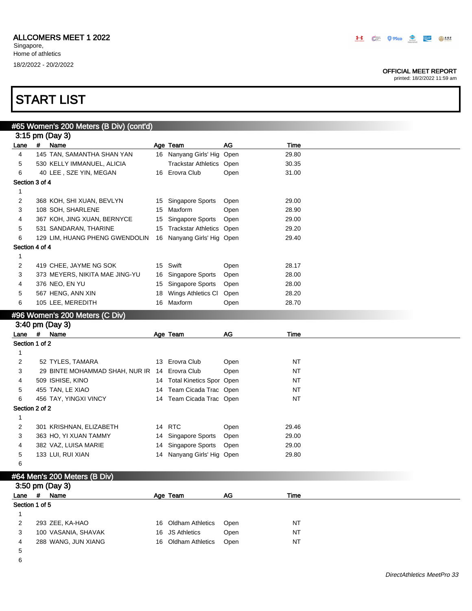#### OFFICIAL MEET REPORT

printed: 18/2/2022 11:59 am

## START LIST

|                |      | #65 Women's 200 Meters (B Div) (cont'd) |    |                             |      |           |  |
|----------------|------|-----------------------------------------|----|-----------------------------|------|-----------|--|
|                |      | 3:15 pm (Day 3)                         |    |                             |      |           |  |
| Lane           | $\#$ | Name                                    |    | Age Team                    | AG   | Time      |  |
| 4              |      | 145 TAN, SAMANTHA SHAN YAN              |    | 16 Nanyang Girls' Hig Open  |      | 29.80     |  |
| 5              |      | 530 KELLY IMMANUEL, ALICIA              |    | Trackstar Athletics Open    |      | 30.35     |  |
| 6              |      | 40 LEE, SZE YIN, MEGAN                  |    | 16 Erovra Club              | Open | 31.00     |  |
| Section 3 of 4 |      |                                         |    |                             |      |           |  |
| $\mathbf{1}$   |      |                                         |    |                             |      |           |  |
| 2              |      | 368 KOH, SHI XUAN, BEVLYN               |    | 15 Singapore Sports         | Open | 29.00     |  |
| 3              |      | 108 SOH, SHARLENE                       |    | 15 Maxform                  | Open | 28.90     |  |
| 4              |      | 367 KOH, JING XUAN, BERNYCE             | 15 | <b>Singapore Sports</b>     | Open | 29.00     |  |
| 5              |      | 531 SANDARAN, THARINE                   |    | 15 Trackstar Athletics Open |      | 29.20     |  |
| 6              |      | 129 LIM, HUANG PHENG GWENDOLIN          |    | 16 Nanyang Girls' Hig Open  |      | 29.40     |  |
| Section 4 of 4 |      |                                         |    |                             |      |           |  |
| $\mathbf{1}$   |      |                                         |    |                             |      |           |  |
| $\overline{c}$ |      | 419 CHEE, JAYME NG SOK                  | 15 | Swift                       | Open | 28.17     |  |
| 3              |      | 373 MEYERS, NIKITA MAE JING-YU          |    | 16 Singapore Sports         | Open | 28.00     |  |
| 4              |      | 376 NEO, EN YU                          |    | 15 Singapore Sports         | Open | 28.00     |  |
| 5              |      | 567 HENG, ANN XIN                       |    | 18 Wings Athletics CI       | Open | 28.20     |  |
| 6              |      | 105 LEE, MEREDITH                       |    | 16 Maxform                  | Open | 28.70     |  |
|                |      |                                         |    |                             |      |           |  |
|                |      | #96 Women's 200 Meters (C Div)          |    |                             |      |           |  |
|                |      | 3:40 pm (Day 3)                         |    |                             |      |           |  |
| Lane           | #    | Name                                    |    | Age Team                    | AG   | Time      |  |
| Section 1 of 2 |      |                                         |    |                             |      |           |  |
| 1              |      |                                         |    |                             |      |           |  |
|                |      |                                         |    |                             |      |           |  |
| 2              |      | 52 TYLES, TAMARA                        |    | 13 Erovra Club              | Open | NT        |  |
| 3              |      | 29 BINTE MOHAMMAD SHAH, NUR IR          |    | 14 Erovra Club              | Open | NT        |  |
| 4              |      | 509 ISHISE, KINO                        |    | 14 Total Kinetics Spor Open |      | NT        |  |
| 5              |      | 455 TAN, LE XIAO                        |    | 14 Team Cicada Trac Open    |      | NT        |  |
| 6              |      | 456 TAY, YINGXI VINCY                   |    | 14 Team Cicada Trac Open    |      | NT        |  |
| Section 2 of 2 |      |                                         |    |                             |      |           |  |
| 1              |      |                                         |    |                             |      |           |  |
| 2              |      | 301 KRISHNAN, ELIZABETH                 | 14 | <b>RTC</b>                  | Open | 29.46     |  |
| 3              |      | 363 HO, YI XUAN TAMMY                   | 14 | Singapore Sports            | Open | 29.00     |  |
| 4              |      | 382 VAZ, LUISA MARIE                    | 14 | Singapore Sports            | Open | 29.00     |  |
| 5              |      | 133 LUI, RUI XIAN                       | 14 | Nanyang Girls' Hig Open     |      | 29.80     |  |
| 6              |      |                                         |    |                             |      |           |  |
|                |      | #64 Men's 200 Meters (B Div)            |    |                             |      |           |  |
|                |      | 3:50 pm (Day 3)                         |    |                             |      |           |  |
| Lane           | #    | Name                                    |    | Age Team                    | AG   | Time      |  |
| Section 1 of 5 |      |                                         |    |                             |      |           |  |
| 1              |      |                                         |    |                             |      |           |  |
| 2              |      | 293 ZEE, KA-HAO                         |    | 16 Oldham Athletics         | Open | <b>NT</b> |  |
| 3              |      | 100 VASANIA, SHAVAK                     | 16 | <b>JS Athletics</b>         | Open | NT        |  |
| 4              |      | 288 WANG, JUN XIANG                     |    | 16 Oldham Athletics         | Open | NT        |  |

6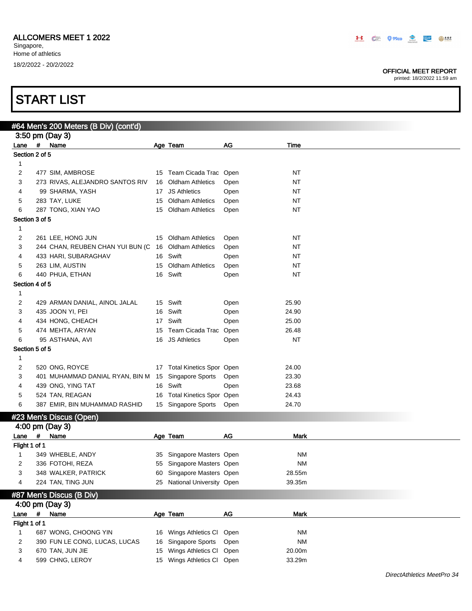#### OFFICIAL MEET REPORT

| #64 Men's 200 Meters (B Div) (cont'd) |   |                                                     |    |                             |      |             |  |
|---------------------------------------|---|-----------------------------------------------------|----|-----------------------------|------|-------------|--|
|                                       |   | 3:50 pm (Day 3)                                     |    |                             |      |             |  |
| Lane # Name                           |   |                                                     |    | Age Team                    | AG   | Time        |  |
| Section 2 of 5                        |   |                                                     |    |                             |      |             |  |
| 1                                     |   |                                                     |    |                             |      |             |  |
| 2                                     |   | 477 SIM, AMBROSE                                    |    | 15 Team Cicada Trac Open    |      | NT          |  |
| 3                                     |   | 273 RIVAS, ALEJANDRO SANTOS RIV                     | 16 | <b>Oldham Athletics</b>     | Open | NT          |  |
| 4                                     |   | 99 SHARMA, YASH                                     |    | 17 JS Athletics             | Open | NT          |  |
| 5                                     |   | 283 TAY, LUKE                                       |    | 15 Oldham Athletics         | Open | <b>NT</b>   |  |
| 6                                     |   | 287 TONG, XIAN YAO                                  |    | 15 Oldham Athletics         | Open | <b>NT</b>   |  |
| Section 3 of 5                        |   |                                                     |    |                             |      |             |  |
| 1                                     |   |                                                     |    |                             |      |             |  |
| 2                                     |   | 261 LEE, HONG JUN                                   |    | 15 Oldham Athletics         | Open | NT          |  |
| 3                                     |   | 244 CHAN, REUBEN CHAN YUI BUN (C                    |    | 16 Oldham Athletics         | Open | NT          |  |
| 4                                     |   | 433 HARI, SUBARAGHAV                                |    | 16 Swift                    | Open | NT          |  |
| 5                                     |   | 263 LIM, AUSTIN                                     |    | 15 Oldham Athletics         | Open | NT          |  |
| 6                                     |   | 440 PHUA, ETHAN                                     |    | 16 Swift                    | Open | <b>NT</b>   |  |
| Section 4 of 5                        |   |                                                     |    |                             |      |             |  |
| 1                                     |   |                                                     |    |                             |      |             |  |
| 2                                     |   | 429 ARMAN DANIAL, AINOL JALAL                       |    | 15 Swift                    | Open | 25.90       |  |
| 3                                     |   | 435 JOON YI, PEI                                    |    | 16 Swift                    | Open | 24.90       |  |
| 4                                     |   | 434 HONG, CHEACH                                    | 17 | Swift                       | Open | 25.00       |  |
| 5                                     |   | 474 MEHTA, ARYAN                                    |    | 15 Team Cicada Trac         | Open | 26.48       |  |
| 6                                     |   | 95 ASTHANA, AVI                                     |    | 16 JS Athletics             | Open | NT          |  |
| Section 5 of 5                        |   |                                                     |    |                             |      |             |  |
| 1                                     |   |                                                     |    |                             |      |             |  |
| 2                                     |   | 520 ONG, ROYCE                                      |    | 17 Total Kinetics Spor Open |      | 24.00       |  |
| 3                                     |   | 401 MUHAMMAD DANIAL RYAN, BIN M 15 Singapore Sports |    |                             | Open | 23.30       |  |
| 4                                     |   | 439 ONG, YING TAT                                   |    | 16 Swift                    | Open | 23.68       |  |
| 5                                     |   | 524 TAN, REAGAN                                     |    | 16 Total Kinetics Spor Open |      | 24.43       |  |
| 6                                     |   | 387 EMIR, BIN MUHAMMAD RASHID                       |    | 15 Singapore Sports         | Open | 24.70       |  |
|                                       |   | #23 Men's Discus (Open)                             |    |                             |      |             |  |
|                                       |   |                                                     |    |                             |      |             |  |
|                                       |   | 4:00 pm (Day 3)                                     |    |                             |      |             |  |
| Lane                                  | # | Name                                                |    | Age Team                    | AG   | <b>Mark</b> |  |
| Flight 1 of 1                         |   |                                                     |    |                             |      |             |  |
| 1                                     |   | 349 WHEBLE, ANDY<br>336 FOTOHI, REZA                |    | 35 Singapore Masters Open   |      | <b>NM</b>   |  |
| 2                                     |   |                                                     | 55 | Singapore Masters Open      |      | <b>NM</b>   |  |
| 3                                     |   | 348 WALKER, PATRICK                                 | 60 | Singapore Masters Open      |      | 28.55m      |  |
| 4                                     |   | 224 TAN, TING JUN                                   |    | 25 National University Open |      | 39.35m      |  |
|                                       |   | #87 Men's Discus (B Div)                            |    |                             |      |             |  |
|                                       |   | 4:00 pm (Day 3)                                     |    |                             |      |             |  |
| Lane                                  | # | Name                                                |    | Age Team                    | AG   | <b>Mark</b> |  |
| Flight 1 of 1                         |   |                                                     |    |                             |      |             |  |
| 1                                     |   | 687 WONG, CHOONG YIN                                |    | 16 Wings Athletics Cl       | Open | ΝM          |  |
| 2                                     |   | 390 FUN LE CONG, LUCAS, LUCAS                       |    | 16 Singapore Sports         | Open | <b>NM</b>   |  |
| 3                                     |   | 670 TAN, JUN JIE                                    |    | 15 Wings Athletics Cl Open  |      | 20.00m      |  |
| 4                                     |   | 599 CHNG, LEROY                                     |    | 15 Wings Athletics Cl Open  |      | 33.29m      |  |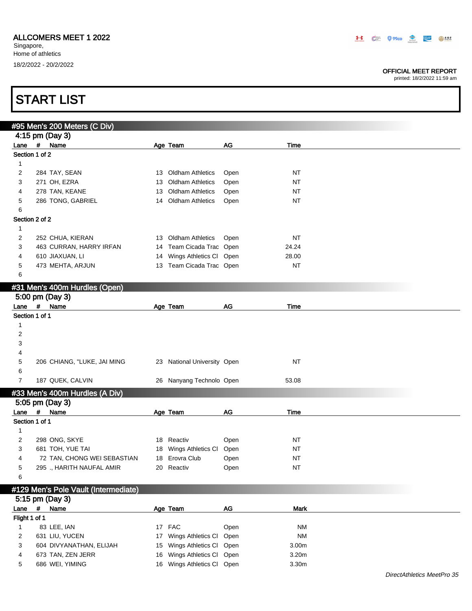#### OFFICIAL MEET REPORT

printed: 18/2/2022 11:59 am

|                |   | #95 Men's 200 Meters (C Div)         |    |                             |      |             |
|----------------|---|--------------------------------------|----|-----------------------------|------|-------------|
|                |   | 4:15 pm (Day 3)                      |    |                             |      |             |
| Lane # Name    |   |                                      |    | Age Team                    | AG   | Time        |
| Section 1 of 2 |   |                                      |    |                             |      |             |
| $\mathbf{1}$   |   |                                      |    |                             |      |             |
| 2              |   | 284 TAY, SEAN                        |    | 13 Oldham Athletics         | Open | NT          |
| 3              |   | 271 OH, EZRA                         | 13 | <b>Oldham Athletics</b>     | Open | <b>NT</b>   |
| 4              |   | 278 TAN, KEANE                       | 13 | <b>Oldham Athletics</b>     | Open | NT          |
| 5              |   | 286 TONG, GABRIEL                    |    | 14 Oldham Athletics         | Open | NT          |
| 6              |   |                                      |    |                             |      |             |
| Section 2 of 2 |   |                                      |    |                             |      |             |
| $\mathbf{1}$   |   |                                      |    |                             |      |             |
| 2              |   | 252 CHUA, KIERAN                     |    | 13 Oldham Athletics         | Open | <b>NT</b>   |
| 3              |   | 463 CURRAN, HARRY IRFAN              |    | 14 Team Cicada Trac Open    |      | 24.24       |
| 4              |   | 610 JIAXUAN, LI                      |    | 14 Wings Athletics Cl Open  |      | 28.00       |
| 5              |   | 473 MEHTA, ARJUN                     |    | 13 Team Cicada Trac Open    |      | <b>NT</b>   |
| 6              |   |                                      |    |                             |      |             |
|                |   | #31 Men's 400m Hurdles (Open)        |    |                             |      |             |
|                |   | 5:00 pm (Day 3)                      |    |                             |      |             |
| Lane           | # | Name                                 |    | Age Team                    | AG   | <b>Time</b> |
| Section 1 of 1 |   |                                      |    |                             |      |             |
| 1              |   |                                      |    |                             |      |             |
| 2              |   |                                      |    |                             |      |             |
| 3              |   |                                      |    |                             |      |             |
| 4              |   |                                      |    |                             |      |             |
| 5              |   | 206 CHIANG, "LUKE, JAI MING          |    | 23 National University Open |      | <b>NT</b>   |
| 6              |   |                                      |    |                             |      |             |
| $\overline{7}$ |   | 187 QUEK, CALVIN                     |    | 26 Nanyang Technolo Open    |      | 53.08       |
|                |   |                                      |    |                             |      |             |
|                |   | #33 Men's 400m Hurdles (A Div)       |    |                             |      |             |
|                |   | 5:05 pm (Day 3)                      |    |                             |      |             |
| Lane # Name    |   |                                      |    | Age Team                    | AG   | Time        |
| Section 1 of 1 |   |                                      |    |                             |      |             |
| 1              |   |                                      |    |                             |      |             |
| 2              |   | 298 ONG, SKYE                        |    | 18 Reactiv                  | Open | NT          |
| 3              |   | 681 TOH, YUE TAI                     |    | 18 Wings Athletics Cl Open  |      | <b>NT</b>   |
| 4              |   | 72 TAN, CHONG WEI SEBASTIAN          |    | 18 Erovra Club              | Open | <b>NT</b>   |
| 5              |   | 295 ., HARITH NAUFAL AMIR            |    | 20 Reactiv                  | Open | $\sf{NT}$   |
| 6              |   |                                      |    |                             |      |             |
|                |   | #129 Men's Pole Vault (Intermediate) |    |                             |      |             |
|                |   | 5:15 pm (Day 3)                      |    |                             |      |             |
| Lane           |   | # Name                               |    | Age Team                    | $AG$ | <b>Mark</b> |
| Flight 1 of 1  |   |                                      |    |                             |      |             |
| $\mathbf{1}$   |   | 83 LEE, IAN                          |    | 17 FAC                      | Open | <b>NM</b>   |
| 2              |   | 631 LIU, YUCEN                       | 17 | Wings Athletics CI Open     |      | <b>NM</b>   |
| 3              |   | 604 DIVYANATHAN, ELIJAH              | 15 | Wings Athletics Cl Open     |      | 3.00m       |
| 4              |   | 673 TAN, ZEN JERR                    | 16 | Wings Athletics Cl Open     |      | 3.20m       |
| 5              |   | 686 WEI, YIMING                      |    | 16 Wings Athletics Cl Open  |      | 3.30m       |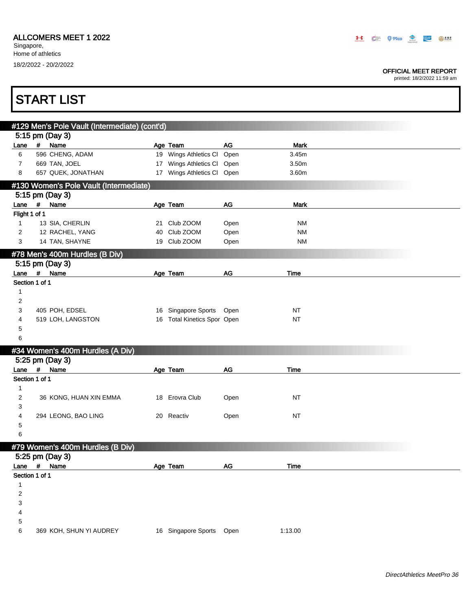#### OFFICIAL MEET REPORT

|                         | <b>START LIST</b>                             |    |                             |      |             |  |
|-------------------------|-----------------------------------------------|----|-----------------------------|------|-------------|--|
|                         | #129 Men's Pole Vault (Intermediate) (cont'd) |    |                             |      |             |  |
|                         | 5:15 pm (Day 3)                               |    |                             |      |             |  |
| Lane                    | # Name                                        |    | Age Team                    | AG   | <b>Mark</b> |  |
| 6                       | 596 CHENG, ADAM                               |    | 19 Wings Athletics Cl       | Open | 3.45m       |  |
| $\overline{7}$          | 669 TAN, JOEL                                 |    | 17 Wings Athletics Cl       | Open | 3.50m       |  |
| 8                       | 657 QUEK, JONATHAN                            |    | 17 Wings Athletics Cl Open  |      | 3.60m       |  |
|                         | #130 Women's Pole Vault (Intermediate)        |    |                             |      |             |  |
|                         | 5:15 pm (Day 3)                               |    |                             |      |             |  |
| Lane                    | # Name                                        |    | Age Team                    | AG   | <b>Mark</b> |  |
| Flight 1 of 1           |                                               |    |                             |      |             |  |
| 1                       | 13 SIA, CHERLIN                               | 21 | Club ZOOM                   | Open | NM          |  |
| 2                       | 12 RACHEL, YANG                               | 40 | Club ZOOM                   | Open | <b>NM</b>   |  |
| 3                       | 14 TAN, SHAYNE                                |    | 19 Club ZOOM                | Open | <b>NM</b>   |  |
|                         | #78 Men's 400m Hurdles (B Div)                |    |                             |      |             |  |
|                         | 5:15 pm (Day 3)                               |    |                             |      |             |  |
| Lane                    | #<br>Name                                     |    | Age Team                    | AG   | Time        |  |
| Section 1 of 1          |                                               |    |                             |      |             |  |
| 1                       |                                               |    |                             |      |             |  |
| 2                       |                                               |    |                             |      |             |  |
| 3                       | 405 POH, EDSEL                                |    | 16 Singapore Sports Open    |      | <b>NT</b>   |  |
| 4                       | 519 LOH, LANGSTON                             |    | 16 Total Kinetics Spor Open |      | <b>NT</b>   |  |
| 5                       |                                               |    |                             |      |             |  |
| 6                       |                                               |    |                             |      |             |  |
|                         | #34 Women's 400m Hurdles (A Div)              |    |                             |      |             |  |
|                         | 5.25 pm (Day 3)                               |    |                             |      |             |  |
|                         | Lane # Name                                   |    | Age Team                    | AG   | Time        |  |
| Section 1 of 1          |                                               |    |                             |      |             |  |
| 1                       |                                               |    |                             |      |             |  |
| 2                       | 36 KONG, HUAN XIN EMMA                        |    | 18 Erovra Club              | Open | NT          |  |
| 3                       |                                               |    |                             |      |             |  |
| 4                       | 294 LEONG, BAO LING                           |    | 20 Reactiv                  | Open | <b>NT</b>   |  |
| 5                       |                                               |    |                             |      |             |  |
| 6                       |                                               |    |                             |      |             |  |
|                         | #79 Women's 400m Hurdles (B Div)              |    |                             |      |             |  |
|                         | 5:25 pm (Day 3)                               |    |                             |      |             |  |
|                         | Lane # Name                                   |    | Age Team                    | $AG$ | Time        |  |
| Section 1 of 1          |                                               |    |                             |      |             |  |
| 1                       |                                               |    |                             |      |             |  |
| $\overline{\mathbf{c}}$ |                                               |    |                             |      |             |  |
| 3                       |                                               |    |                             |      |             |  |
| 4                       |                                               |    |                             |      |             |  |
| 5                       |                                               |    |                             |      |             |  |
| 6                       | 369 KOH, SHUN YI AUDREY                       |    | 16 Singapore Sports         | Open | 1:13.00     |  |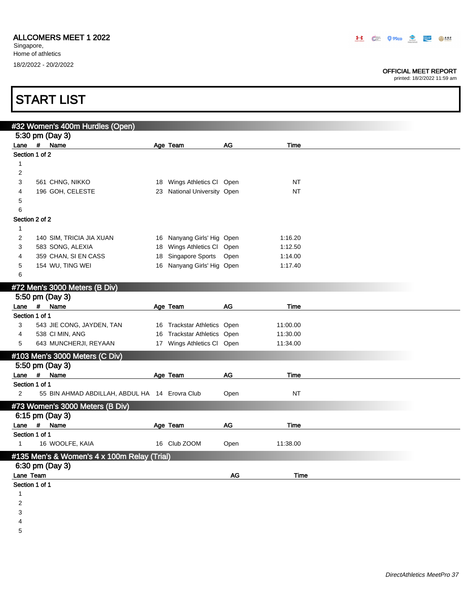#### OFFICIAL MEET REPORT

printed: 18/2/2022 11:59 am

| #32 Women's 400m Hurdles (Open)                                  |                                                          |      |                    |  |
|------------------------------------------------------------------|----------------------------------------------------------|------|--------------------|--|
| 5:30 pm (Day 3)                                                  |                                                          |      |                    |  |
| Lane # Name                                                      | Age Team                                                 | AG   | Time               |  |
| Section 1 of 2                                                   |                                                          |      |                    |  |
| 1                                                                |                                                          |      |                    |  |
| $\overline{\mathbf{c}}$                                          |                                                          |      |                    |  |
| 3<br>561 CHNG, NIKKO                                             | 18 Wings Athletics CI Open                               |      | NT                 |  |
| 196 GOH, CELESTE<br>4                                            | 23 National University Open                              |      | <b>NT</b>          |  |
| 5                                                                |                                                          |      |                    |  |
| 6                                                                |                                                          |      |                    |  |
| Section 2 of 2                                                   |                                                          |      |                    |  |
| 1                                                                |                                                          |      |                    |  |
| 2<br>140 SIM, TRICIA JIA XUAN<br>3<br>583 SONG, ALEXIA           | 16 Nanyang Girls' Hig Open<br>18 Wings Athletics Cl Open |      | 1:16.20<br>1:12.50 |  |
| 359 CHAN, SI EN CASS<br>4                                        | 18 Singapore Sports Open                                 |      | 1:14.00            |  |
| 154 WU, TING WEI<br>5                                            | 16 Nanyang Girls' Hig Open                               |      | 1:17.40            |  |
| 6                                                                |                                                          |      |                    |  |
|                                                                  |                                                          |      |                    |  |
| #72 Men's 3000 Meters (B Div)<br>5:50 pm (Day 3)                 |                                                          |      |                    |  |
| Lane # Name                                                      | Age Team                                                 | AG   | <b>Time</b>        |  |
| Section 1 of 1                                                   |                                                          |      |                    |  |
| 3<br>543 JIE CONG, JAYDEN, TAN                                   | 16 Trackstar Athletics Open                              |      | 11:00.00           |  |
| 538 CI MIN, ANG<br>4                                             | 16 Trackstar Athletics Open                              |      | 11:30.00           |  |
| 643 MUNCHERJI, REYAAN<br>5                                       | 17 Wings Athletics Cl Open                               |      | 11:34.00           |  |
| #103 Men's 3000 Meters (C Div)                                   |                                                          |      |                    |  |
| 5:50 pm (Day 3)                                                  |                                                          |      |                    |  |
| Lane # Name                                                      | Age Team                                                 | AG   | Time               |  |
| Section 1 of 1                                                   |                                                          |      |                    |  |
| $\overline{2}$<br>55 BIN AHMAD ABDILLAH, ABDUL HA 14 Erovra Club |                                                          | Open | <b>NT</b>          |  |
| #73 Women's 3000 Meters (B Div)                                  |                                                          |      |                    |  |
| 6:15 pm (Day 3)                                                  |                                                          |      |                    |  |
| Lane # Name                                                      | Age Team                                                 | AG   | Time               |  |
| Section 1 of 1                                                   |                                                          |      |                    |  |
| 16 WOOLFE, KAIA<br>1                                             | 16 Club ZOOM                                             | Open | 11:38.00           |  |
| #135 Men's & Women's 4 x 100m Relay (Trial)                      |                                                          |      |                    |  |
| 6:30 pm (Day 3)                                                  |                                                          |      |                    |  |
|                                                                  |                                                          | AG   | Time               |  |

3

4

5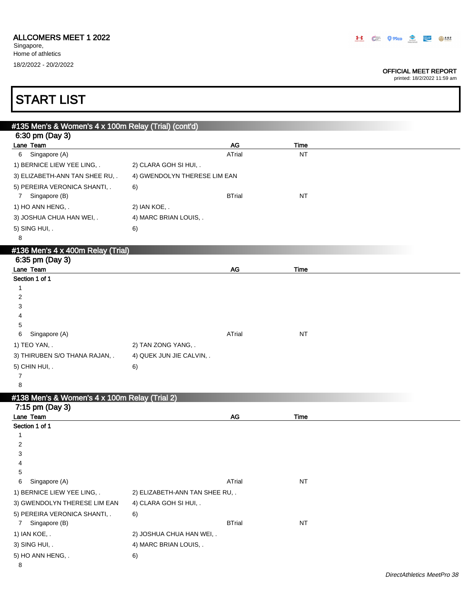Singapore, Home of athletics 18/2/2022 - 20/2/2022

#### OFFICIAL MEET REPORT

| <b>START LIST</b>                                    |                                 |                   |  |
|------------------------------------------------------|---------------------------------|-------------------|--|
|                                                      |                                 |                   |  |
| #135 Men's & Women's 4 x 100m Relay (Trial) (cont'd) |                                 |                   |  |
| 6:30 pm (Day 3)<br>Lane Team                         |                                 |                   |  |
| Singapore (A)<br>6                                   | AG<br>ATrial                    | Time<br><b>NT</b> |  |
| 1) BERNICE LIEW YEE LING, .                          | 2) CLARA GOH SI HUI, .          |                   |  |
|                                                      |                                 |                   |  |
| 3) ELIZABETH-ANN TAN SHEE RU, .                      | 4) GWENDOLYN THERESE LIM EAN    |                   |  |
| 5) PEREIRA VERONICA SHANTI, .<br>7 Singapore (B)     | 6)<br><b>BTrial</b>             | <b>NT</b>         |  |
|                                                      |                                 |                   |  |
| 1) HO ANN HENG, .                                    | 2) IAN KOE, .                   |                   |  |
| 3) JOSHUA CHUA HAN WEI, .                            | 4) MARC BRIAN LOUIS, .          |                   |  |
| 5) SING HUI, .<br>8                                  | 6)                              |                   |  |
|                                                      |                                 |                   |  |
| #136 Men's 4 x 400m Relay (Trial)                    |                                 |                   |  |
| 6:35 pm (Day 3)<br>Lane Team                         | AG                              | Time              |  |
| Section 1 of 1                                       |                                 |                   |  |
| $\mathbf{1}$                                         |                                 |                   |  |
| 2                                                    |                                 |                   |  |
| 3                                                    |                                 |                   |  |
| 4                                                    |                                 |                   |  |
| 5                                                    |                                 |                   |  |
| Singapore (A)<br>6                                   | ATrial                          | <b>NT</b>         |  |
| 1) TEO YAN, .                                        | 2) TAN ZONG YANG, .             |                   |  |
| 3) THIRUBEN S/O THANA RAJAN, .                       | 4) QUEK JUN JIE CALVIN, .       |                   |  |
| 5) CHIN HUI, .                                       | 6)                              |                   |  |
| 7                                                    |                                 |                   |  |
| 8                                                    |                                 |                   |  |
| #138 Men's & Women's 4 x 100m Relay (Trial 2)        |                                 |                   |  |
| 7:15 pm (Day 3)                                      |                                 |                   |  |
| Lane Team                                            | AG                              | Time              |  |
| Section 1 of 1                                       |                                 |                   |  |
| 1<br>$\overline{2}$                                  |                                 |                   |  |
| 3                                                    |                                 |                   |  |
| 4                                                    |                                 |                   |  |
| 5                                                    |                                 |                   |  |
| 6<br>Singapore (A)                                   | ATrial                          | NT                |  |
| 1) BERNICE LIEW YEE LING, .                          | 2) ELIZABETH-ANN TAN SHEE RU, . |                   |  |
| 3) GWENDOLYN THERESE LIM EAN                         | 4) CLARA GOH SI HUI, .          |                   |  |
| 5) PEREIRA VERONICA SHANTI, .                        | 6)                              |                   |  |
| Singapore (B)<br>$\mathbf{7}$                        | <b>BTrial</b>                   | <b>NT</b>         |  |
| 1) IAN KOE, .                                        | 2) JOSHUA CHUA HAN WEI, .       |                   |  |
| 3) SING HUI, .                                       | 4) MARC BRIAN LOUIS, .          |                   |  |
|                                                      |                                 |                   |  |
| 5) HO ANN HENG, .                                    | 6)                              |                   |  |